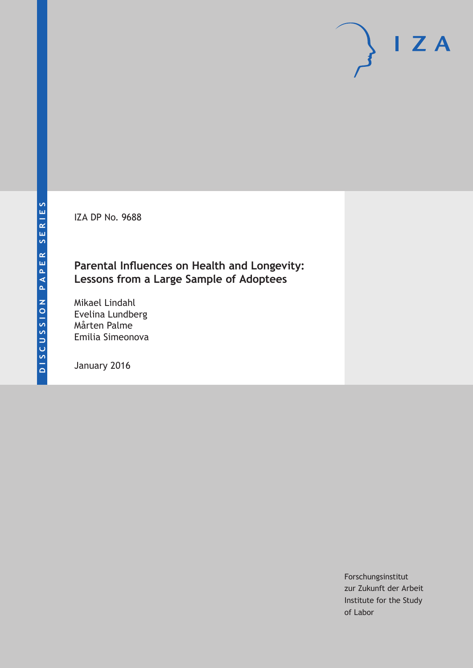IZA DP No. 9688

# **Parental Influences on Health and Longevity: Lessons from a Large Sample of Adoptees**

Mikael Lindahl Evelina Lundberg Mårten Palme Emilia Simeonova

January 2016

Forschungsinstitut zur Zukunft der Arbeit Institute for the Study of Labor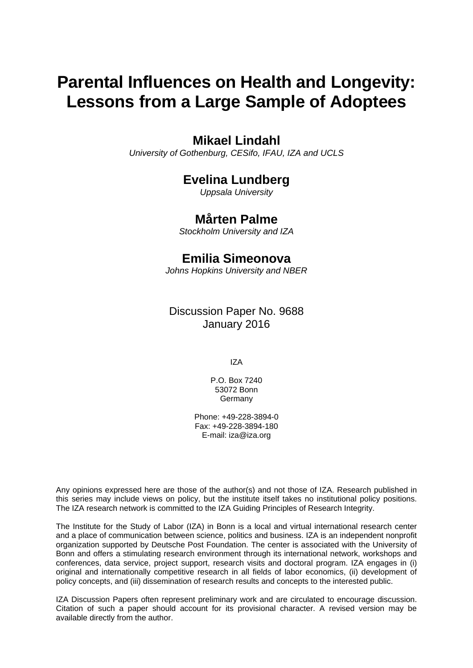# **Parental Influences on Health and Longevity: Lessons from a Large Sample of Adoptees**

# **Mikael Lindahl**

*University of Gothenburg, CESifo, IFAU, IZA and UCLS* 

# **Evelina Lundberg**

*Uppsala University* 

## **Mårten Palme**

*Stockholm University and IZA*

# **Emilia Simeonova**

*Johns Hopkins University and NBER*

Discussion Paper No. 9688 January 2016

IZA

P.O. Box 7240 53072 Bonn **Germany** 

Phone: +49-228-3894-0 Fax: +49-228-3894-180 E-mail: iza@iza.org

Any opinions expressed here are those of the author(s) and not those of IZA. Research published in this series may include views on policy, but the institute itself takes no institutional policy positions. The IZA research network is committed to the IZA Guiding Principles of Research Integrity.

The Institute for the Study of Labor (IZA) in Bonn is a local and virtual international research center and a place of communication between science, politics and business. IZA is an independent nonprofit organization supported by Deutsche Post Foundation. The center is associated with the University of Bonn and offers a stimulating research environment through its international network, workshops and conferences, data service, project support, research visits and doctoral program. IZA engages in (i) original and internationally competitive research in all fields of labor economics, (ii) development of policy concepts, and (iii) dissemination of research results and concepts to the interested public.

IZA Discussion Papers often represent preliminary work and are circulated to encourage discussion. Citation of such a paper should account for its provisional character. A revised version may be available directly from the author.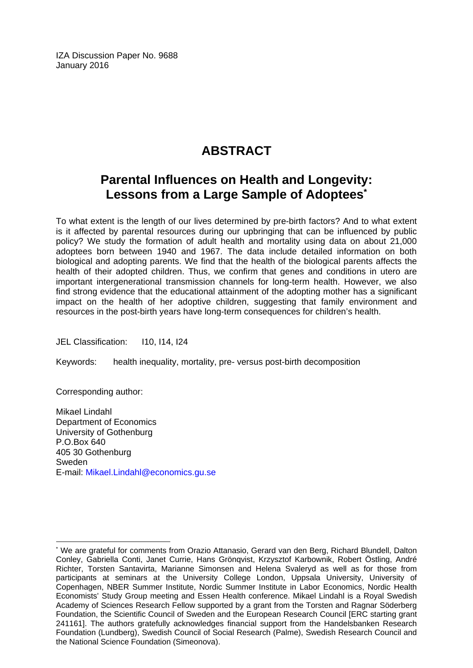IZA Discussion Paper No. 9688 January 2016

# **ABSTRACT**

# **Parental Influences on Health and Longevity: Lessons from a Large Sample of Adoptees\***

To what extent is the length of our lives determined by pre-birth factors? And to what extent is it affected by parental resources during our upbringing that can be influenced by public policy? We study the formation of adult health and mortality using data on about 21,000 adoptees born between 1940 and 1967. The data include detailed information on both biological and adopting parents. We find that the health of the biological parents affects the health of their adopted children. Thus, we confirm that genes and conditions in utero are important intergenerational transmission channels for long-term health. However, we also find strong evidence that the educational attainment of the adopting mother has a significant impact on the health of her adoptive children, suggesting that family environment and resources in the post-birth years have long-term consequences for children's health.

JEL Classification: I10, I14, I24

Keywords: health inequality, mortality, pre- versus post-birth decomposition

Corresponding author:

 $\overline{a}$ 

Mikael Lindahl Department of Economics University of Gothenburg P.O.Box 640 405 30 Gothenburg Sweden E-mail: Mikael.Lindahl@economics.gu.se

<sup>\*</sup> We are grateful for comments from Orazio Attanasio, Gerard van den Berg, Richard Blundell, Dalton Conley, Gabriella Conti, Janet Currie, Hans Grönqvist, Krzysztof Karbownik, Robert Östling, André Richter, Torsten Santavirta, Marianne Simonsen and Helena Svaleryd as well as for those from participants at seminars at the University College London, Uppsala University, University of Copenhagen, NBER Summer Institute, Nordic Summer Institute in Labor Economics, Nordic Health Economists' Study Group meeting and Essen Health conference. Mikael Lindahl is a Royal Swedish Academy of Sciences Research Fellow supported by a grant from the Torsten and Ragnar Söderberg Foundation, the Scientific Council of Sweden and the European Research Council [ERC starting grant 241161]. The authors gratefully acknowledges financial support from the Handelsbanken Research Foundation (Lundberg), Swedish Council of Social Research (Palme), Swedish Research Council and the National Science Foundation (Simeonova).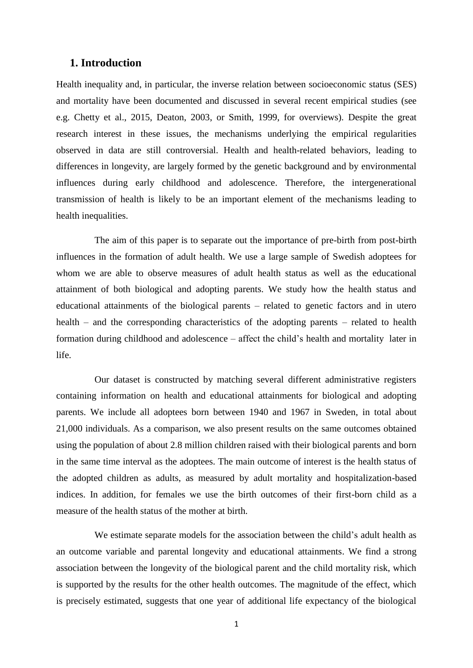### **1. Introduction**

Health inequality and, in particular, the inverse relation between socioeconomic status (SES) and mortality have been documented and discussed in several recent empirical studies (see e.g. Chetty et al., 2015, Deaton, 2003, or Smith, 1999, for overviews). Despite the great research interest in these issues, the mechanisms underlying the empirical regularities observed in data are still controversial. Health and health-related behaviors, leading to differences in longevity, are largely formed by the genetic background and by environmental influences during early childhood and adolescence. Therefore, the intergenerational transmission of health is likely to be an important element of the mechanisms leading to health inequalities.

The aim of this paper is to separate out the importance of pre-birth from post-birth influences in the formation of adult health. We use a large sample of Swedish adoptees for whom we are able to observe measures of adult health status as well as the educational attainment of both biological and adopting parents. We study how the health status and educational attainments of the biological parents – related to genetic factors and in utero health – and the corresponding characteristics of the adopting parents – related to health formation during childhood and adolescence – affect the child's health and mortality later in life.

Our dataset is constructed by matching several different administrative registers containing information on health and educational attainments for biological and adopting parents. We include all adoptees born between 1940 and 1967 in Sweden, in total about 21,000 individuals. As a comparison, we also present results on the same outcomes obtained using the population of about 2.8 million children raised with their biological parents and born in the same time interval as the adoptees. The main outcome of interest is the health status of the adopted children as adults, as measured by adult mortality and hospitalization-based indices. In addition, for females we use the birth outcomes of their first-born child as a measure of the health status of the mother at birth.

We estimate separate models for the association between the child's adult health as an outcome variable and parental longevity and educational attainments. We find a strong association between the longevity of the biological parent and the child mortality risk, which is supported by the results for the other health outcomes. The magnitude of the effect, which is precisely estimated, suggests that one year of additional life expectancy of the biological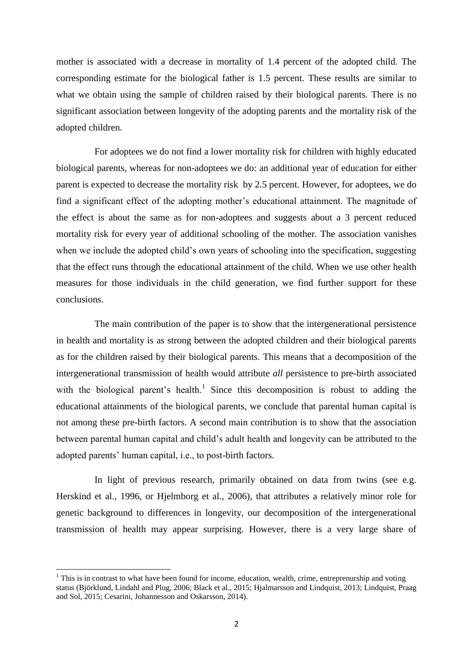mother is associated with a decrease in mortality of 1.4 percent of the adopted child. The corresponding estimate for the biological father is 1.5 percent. These results are similar to what we obtain using the sample of children raised by their biological parents. There is no significant association between longevity of the adopting parents and the mortality risk of the adopted children.

For adoptees we do not find a lower mortality risk for children with highly educated biological parents, whereas for non-adoptees we do: an additional year of education for either parent is expected to decrease the mortality risk by 2.5 percent. However, for adoptees, we do find a significant effect of the adopting mother's educational attainment. The magnitude of the effect is about the same as for non-adoptees and suggests about a 3 percent reduced mortality risk for every year of additional schooling of the mother. The association vanishes when we include the adopted child's own years of schooling into the specification, suggesting that the effect runs through the educational attainment of the child. When we use other health measures for those individuals in the child generation, we find further support for these conclusions.

The main contribution of the paper is to show that the intergenerational persistence in health and mortality is as strong between the adopted children and their biological parents as for the children raised by their biological parents. This means that a decomposition of the intergenerational transmission of health would attribute *all* persistence to pre-birth associated with the biological parent's health.<sup>1</sup> Since this decomposition is robust to adding the educational attainments of the biological parents, we conclude that parental human capital is not among these pre-birth factors. A second main contribution is to show that the association between parental human capital and child's adult health and longevity can be attributed to the adopted parents' human capital, i.e., to post-birth factors.

In light of previous research, primarily obtained on data from twins (see e.g. Herskind et al., 1996, or Hjelmborg et al., 2006), that attributes a relatively minor role for genetic background to differences in longevity, our decomposition of the intergenerational transmission of health may appear surprising. However, there is a very large share of

 $\overline{\phantom{a}}$ 

 $1$  This is in contrast to what have been found for income, education, wealth, crime, entreprenurship and voting status (Björklund, Lindahl and Plug, 2006; Black et al., 2015; Hjalmarsson and Lindquist, 2013; Lindquist, Praag and Sol, 2015; Cesarini, Johannesson and Oskarsson, 2014).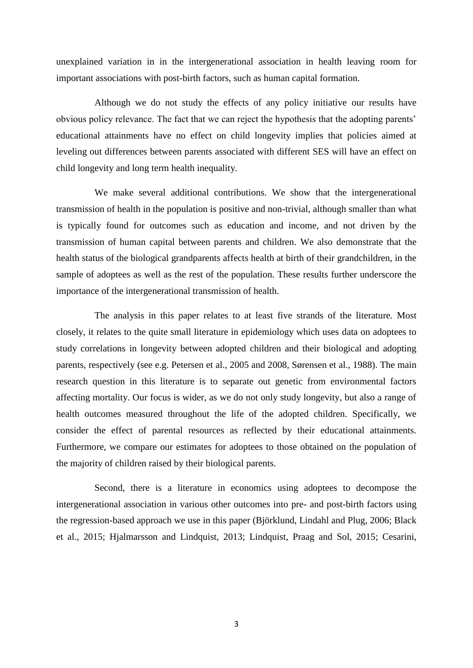unexplained variation in in the intergenerational association in health leaving room for important associations with post-birth factors, such as human capital formation.

Although we do not study the effects of any policy initiative our results have obvious policy relevance. The fact that we can reject the hypothesis that the adopting parents' educational attainments have no effect on child longevity implies that policies aimed at leveling out differences between parents associated with different SES will have an effect on child longevity and long term health inequality.

We make several additional contributions. We show that the intergenerational transmission of health in the population is positive and non-trivial, although smaller than what is typically found for outcomes such as education and income, and not driven by the transmission of human capital between parents and children. We also demonstrate that the health status of the biological grandparents affects health at birth of their grandchildren, in the sample of adoptees as well as the rest of the population. These results further underscore the importance of the intergenerational transmission of health.

The analysis in this paper relates to at least five strands of the literature. Most closely, it relates to the quite small literature in epidemiology which uses data on adoptees to study correlations in longevity between adopted children and their biological and adopting parents, respectively (see e.g. Petersen et al., 2005 and 2008, Sørensen et al., 1988). The main research question in this literature is to separate out genetic from environmental factors affecting mortality. Our focus is wider, as we do not only study longevity, but also a range of health outcomes measured throughout the life of the adopted children. Specifically, we consider the effect of parental resources as reflected by their educational attainments. Furthermore, we compare our estimates for adoptees to those obtained on the population of the majority of children raised by their biological parents.

Second, there is a literature in economics using adoptees to decompose the intergenerational association in various other outcomes into pre- and post-birth factors using the regression-based approach we use in this paper (Björklund, Lindahl and Plug, 2006; Black et al., 2015; Hjalmarsson and Lindquist, 2013; Lindquist, Praag and Sol, 2015; Cesarini,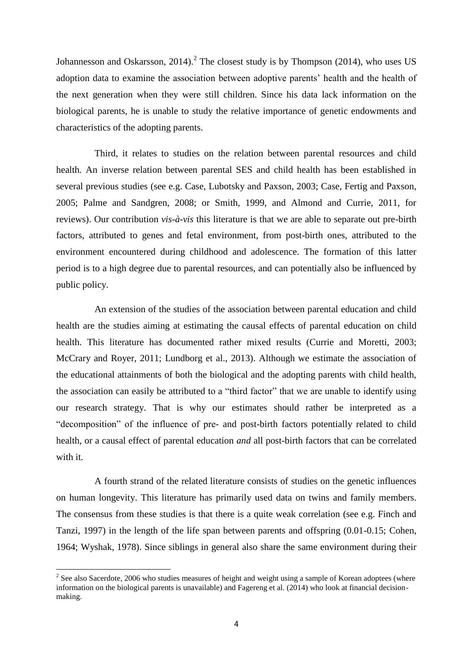Johannesson and Oskarsson, 2014).<sup>2</sup> The closest study is by Thompson (2014), who uses US adoption data to examine the association between adoptive parents' health and the health of the next generation when they were still children. Since his data lack information on the biological parents, he is unable to study the relative importance of genetic endowments and characteristics of the adopting parents.

Third, it relates to studies on the relation between parental resources and child health*.* An inverse relation between parental SES and child health has been established in several previous studies (see e.g. Case, Lubotsky and Paxson, 2003; Case, Fertig and Paxson, 2005; Palme and Sandgren, 2008; or Smith, 1999, and Almond and Currie, 2011, for reviews). Our contribution *vis-à-vis* this literature is that we are able to separate out pre-birth factors, attributed to genes and fetal environment, from post-birth ones, attributed to the environment encountered during childhood and adolescence. The formation of this latter period is to a high degree due to parental resources, and can potentially also be influenced by public policy.

An extension of the studies of the association between parental education and child health are the studies aiming at estimating the causal effects of parental education on child health. This literature has documented rather mixed results (Currie and Moretti, 2003; McCrary and Royer, 2011; Lundborg et al., 2013). Although we estimate the association of the educational attainments of both the biological and the adopting parents with child health, the association can easily be attributed to a "third factor" that we are unable to identify using our research strategy. That is why our estimates should rather be interpreted as a "decomposition" of the influence of pre- and post-birth factors potentially related to child health, or a causal effect of parental education *and* all post-birth factors that can be correlated with it.

A fourth strand of the related literature consists of studies on the genetic influences on human longevity. This literature has primarily used data on twins and family members. The consensus from these studies is that there is a quite weak correlation (see e.g. Finch and Tanzi, 1997) in the length of the life span between parents and offspring (0.01-0.15; Cohen, 1964; Wyshak, 1978). Since siblings in general also share the same environment during their

 $\overline{\phantom{a}}$ 

 $2^2$  See also Sacerdote, 2006 who studies measures of height and weight using a sample of Korean adoptees (where information on the biological parents is unavailable) and Fagereng et al. (2014) who look at financial decisionmaking.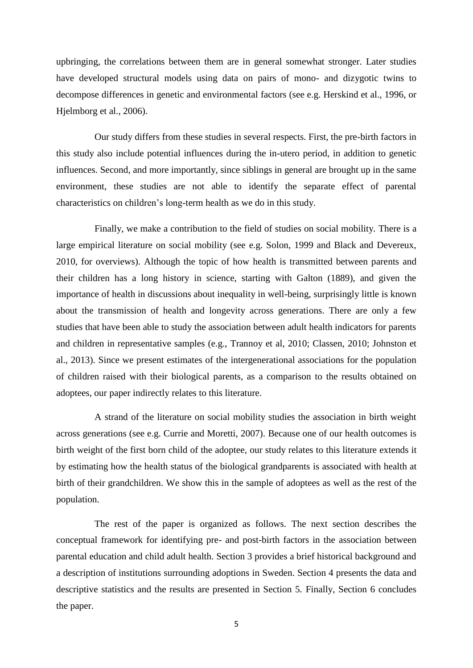upbringing, the correlations between them are in general somewhat stronger. Later studies have developed structural models using data on pairs of mono- and dizygotic twins to decompose differences in genetic and environmental factors (see e.g. Herskind et al., 1996, or Hjelmborg et al., 2006).

Our study differs from these studies in several respects. First, the pre-birth factors in this study also include potential influences during the in-utero period, in addition to genetic influences. Second, and more importantly, since siblings in general are brought up in the same environment, these studies are not able to identify the separate effect of parental characteristics on children's long-term health as we do in this study.

Finally, we make a contribution to the field of studies on social mobility*.* There is a large empirical literature on social mobility (see e.g. Solon, 1999 and Black and Devereux, 2010, for overviews). Although the topic of how health is transmitted between parents and their children has a long history in science, starting with Galton (1889), and given the importance of health in discussions about inequality in well-being, surprisingly little is known about the transmission of health and longevity across generations. There are only a few studies that have been able to study the association between adult health indicators for parents and children in representative samples (e.g., Trannoy et al, 2010; Classen, 2010; Johnston et al., 2013). Since we present estimates of the intergenerational associations for the population of children raised with their biological parents, as a comparison to the results obtained on adoptees, our paper indirectly relates to this literature.

A strand of the literature on social mobility studies the association in birth weight across generations (see e.g. Currie and Moretti, 2007). Because one of our health outcomes is birth weight of the first born child of the adoptee, our study relates to this literature extends it by estimating how the health status of the biological grandparents is associated with health at birth of their grandchildren. We show this in the sample of adoptees as well as the rest of the population.

The rest of the paper is organized as follows. The next section describes the conceptual framework for identifying pre- and post-birth factors in the association between parental education and child adult health. Section 3 provides a brief historical background and a description of institutions surrounding adoptions in Sweden. Section 4 presents the data and descriptive statistics and the results are presented in Section 5. Finally, Section 6 concludes the paper.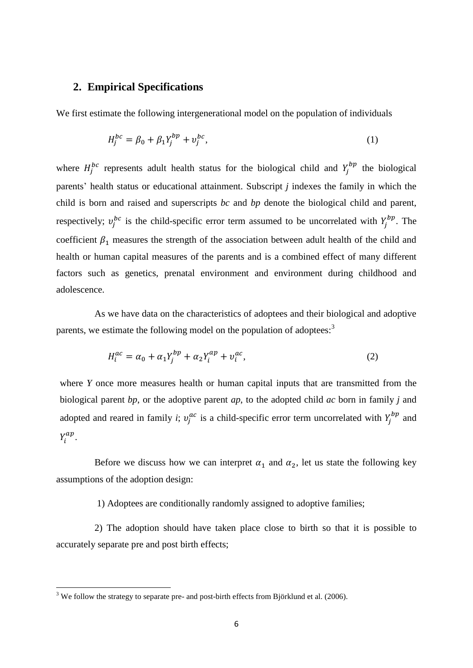### **2. Empirical Specifications**

We first estimate the following intergenerational model on the population of individuals

$$
H_j^{bc} = \beta_0 + \beta_1 Y_j^{bp} + v_j^{bc},\tag{1}
$$

where  $H_j^{bc}$  represents adult health status for the biological child and  $Y_j^{bp}$  the biological parents' health status or educational attainment. Subscript *j* indexes the family in which the child is born and raised and superscripts *bc* and *bp* denote the biological child and parent, respectively;  $v_i^{bc}$  is the child-specific error term assumed to be uncorrelated with  $Y_i^{bp}$ . The coefficient  $\beta_1$  measures the strength of the association between adult health of the child and health or human capital measures of the parents and is a combined effect of many different factors such as genetics, prenatal environment and environment during childhood and adolescence.

As we have data on the characteristics of adoptees and their biological and adoptive parents, we estimate the following model on the population of adoptees:<sup>3</sup>

$$
H_i^{ac} = \alpha_0 + \alpha_1 Y_j^{bp} + \alpha_2 Y_i^{ap} + v_i^{ac},\tag{2}
$$

where *Y* once more measures health or human capital inputs that are transmitted from the biological parent *bp*, or the adoptive parent *ap*, to the adopted child *ac* born in family *j* and adopted and reared in family *i*;  $v_i^{ac}$  is a child-specific error term uncorrelated with  $Y_i^{bp}$  and  $Y_i^{ap}$ .

Before we discuss how we can interpret  $\alpha_1$  and  $\alpha_2$ , let us state the following key assumptions of the adoption design:

1) Adoptees are conditionally randomly assigned to adoptive families;

2) The adoption should have taken place close to birth so that it is possible to accurately separate pre and post birth effects;

 $3$  We follow the strategy to separate pre- and post-birth effects from Björklund et al. (2006).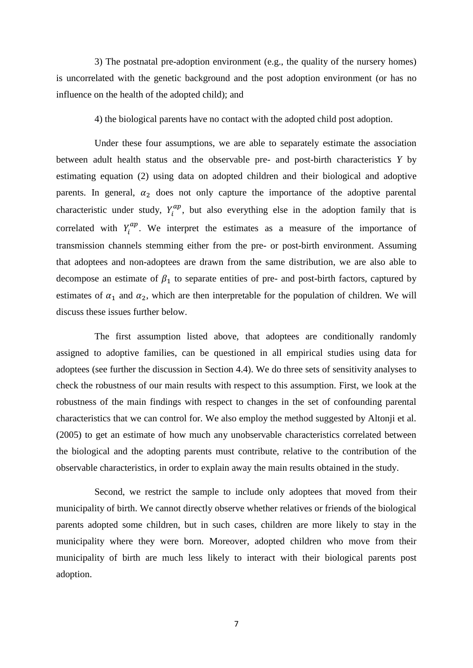3) The postnatal pre-adoption environment (e.g., the quality of the nursery homes) is uncorrelated with the genetic background and the post adoption environment (or has no influence on the health of the adopted child); and

4) the biological parents have no contact with the adopted child post adoption.

Under these four assumptions, we are able to separately estimate the association between adult health status and the observable pre- and post-birth characteristics *Y* by estimating equation (2) using data on adopted children and their biological and adoptive parents. In general,  $\alpha_2$  does not only capture the importance of the adoptive parental characteristic under study,  $Y_i^{ap}$ , but also everything else in the adoption family that is correlated with  $Y_i^{ap}$ . We interpret the estimates as a measure of the importance of transmission channels stemming either from the pre- or post-birth environment. Assuming that adoptees and non-adoptees are drawn from the same distribution, we are also able to decompose an estimate of  $\beta_1$  to separate entities of pre- and post-birth factors, captured by estimates of  $\alpha_1$  and  $\alpha_2$ , which are then interpretable for the population of children. We will discuss these issues further below.

The first assumption listed above, that adoptees are conditionally randomly assigned to adoptive families, can be questioned in all empirical studies using data for adoptees (see further the discussion in Section 4.4). We do three sets of sensitivity analyses to check the robustness of our main results with respect to this assumption. First, we look at the robustness of the main findings with respect to changes in the set of confounding parental characteristics that we can control for. We also employ the method suggested by Altonji et al. (2005) to get an estimate of how much any unobservable characteristics correlated between the biological and the adopting parents must contribute, relative to the contribution of the observable characteristics, in order to explain away the main results obtained in the study.

Second, we restrict the sample to include only adoptees that moved from their municipality of birth. We cannot directly observe whether relatives or friends of the biological parents adopted some children, but in such cases, children are more likely to stay in the municipality where they were born. Moreover, adopted children who move from their municipality of birth are much less likely to interact with their biological parents post adoption.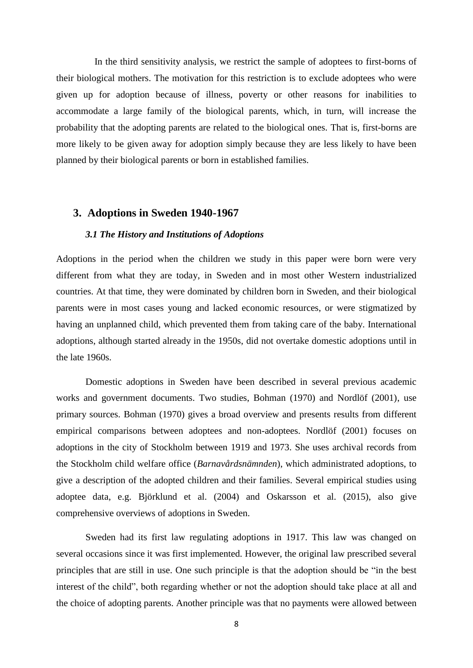In the third sensitivity analysis, we restrict the sample of adoptees to first-borns of their biological mothers. The motivation for this restriction is to exclude adoptees who were given up for adoption because of illness, poverty or other reasons for inabilities to accommodate a large family of the biological parents, which, in turn, will increase the probability that the adopting parents are related to the biological ones. That is, first-borns are more likely to be given away for adoption simply because they are less likely to have been planned by their biological parents or born in established families.

### **3. Adoptions in Sweden 1940-1967**

#### *3.1 The History and Institutions of Adoptions*

Adoptions in the period when the children we study in this paper were born were very different from what they are today, in Sweden and in most other Western industrialized countries. At that time, they were dominated by children born in Sweden, and their biological parents were in most cases young and lacked economic resources, or were stigmatized by having an unplanned child, which prevented them from taking care of the baby. International adoptions, although started already in the 1950s, did not overtake domestic adoptions until in the late 1960s.

Domestic adoptions in Sweden have been described in several previous academic works and government documents. Two studies, Bohman (1970) and Nordlöf (2001), use primary sources. Bohman (1970) gives a broad overview and presents results from different empirical comparisons between adoptees and non-adoptees. Nordlöf (2001) focuses on adoptions in the city of Stockholm between 1919 and 1973. She uses archival records from the Stockholm child welfare office (*Barnavårdsnämnden*), which administrated adoptions, to give a description of the adopted children and their families. Several empirical studies using adoptee data, e.g. Björklund et al. (2004) and Oskarsson et al. (2015), also give comprehensive overviews of adoptions in Sweden.

Sweden had its first law regulating adoptions in 1917. This law was changed on several occasions since it was first implemented. However, the original law prescribed several principles that are still in use. One such principle is that the adoption should be "in the best interest of the child", both regarding whether or not the adoption should take place at all and the choice of adopting parents. Another principle was that no payments were allowed between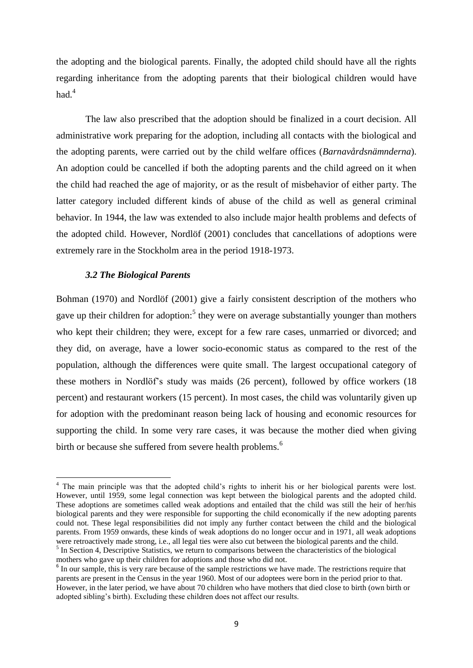the adopting and the biological parents. Finally, the adopted child should have all the rights regarding inheritance from the adopting parents that their biological children would have had $4$ 

The law also prescribed that the adoption should be finalized in a court decision. All administrative work preparing for the adoption, including all contacts with the biological and the adopting parents, were carried out by the child welfare offices (*Barnavårdsnämnderna*). An adoption could be cancelled if both the adopting parents and the child agreed on it when the child had reached the age of majority, or as the result of misbehavior of either party. The latter category included different kinds of abuse of the child as well as general criminal behavior. In 1944, the law was extended to also include major health problems and defects of the adopted child. However, Nordlöf (2001) concludes that cancellations of adoptions were extremely rare in the Stockholm area in the period 1918-1973.

### *3.2 The Biological Parents*

**.** 

Bohman (1970) and Nordlöf (2001) give a fairly consistent description of the mothers who gave up their children for adoption:<sup>5</sup> they were on average substantially younger than mothers who kept their children; they were, except for a few rare cases, unmarried or divorced; and they did, on average, have a lower socio-economic status as compared to the rest of the population, although the differences were quite small. The largest occupational category of these mothers in Nordlöf's study was maids (26 percent), followed by office workers (18 percent) and restaurant workers (15 percent). In most cases, the child was voluntarily given up for adoption with the predominant reason being lack of housing and economic resources for supporting the child. In some very rare cases, it was because the mother died when giving birth or because she suffered from severe health problems.<sup>6</sup>

<sup>&</sup>lt;sup>4</sup> The main principle was that the adopted child's rights to inherit his or her biological parents were lost. However, until 1959, some legal connection was kept between the biological parents and the adopted child. These adoptions are sometimes called weak adoptions and entailed that the child was still the heir of her/his biological parents and they were responsible for supporting the child economically if the new adopting parents could not. These legal responsibilities did not imply any further contact between the child and the biological parents. From 1959 onwards, these kinds of weak adoptions do no longer occur and in 1971, all weak adoptions were retroactively made strong, i.e., all legal ties were also cut between the biological parents and the child. <sup>5</sup> In Section 4, Descriptive Statistics, we return to comparisons between the characteristics of the biological mothers who gave up their children for adoptions and those who did not.

<sup>&</sup>lt;sup>6</sup> In our sample, this is very rare because of the sample restrictions we have made. The restrictions require that parents are present in the Census in the year 1960. Most of our adoptees were born in the period prior to that. However, in the later period, we have about 70 children who have mothers that died close to birth (own birth or adopted sibling's birth). Excluding these children does not affect our results.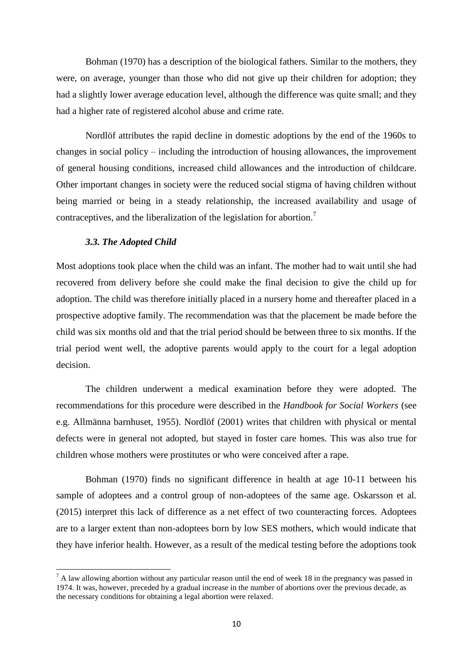Bohman (1970) has a description of the biological fathers. Similar to the mothers, they were, on average, younger than those who did not give up their children for adoption; they had a slightly lower average education level, although the difference was quite small; and they had a higher rate of registered alcohol abuse and crime rate.

Nordlöf attributes the rapid decline in domestic adoptions by the end of the 1960s to changes in social policy  $-$  including the introduction of housing allowances, the improvement of general housing conditions, increased child allowances and the introduction of childcare. Other important changes in society were the reduced social stigma of having children without being married or being in a steady relationship, the increased availability and usage of contraceptives, and the liberalization of the legislation for abortion.<sup>7</sup>

#### *3.3. The Adopted Child*

 $\overline{\phantom{a}}$ 

Most adoptions took place when the child was an infant. The mother had to wait until she had recovered from delivery before she could make the final decision to give the child up for adoption. The child was therefore initially placed in a nursery home and thereafter placed in a prospective adoptive family. The recommendation was that the placement be made before the child was six months old and that the trial period should be between three to six months. If the trial period went well, the adoptive parents would apply to the court for a legal adoption decision.

The children underwent a medical examination before they were adopted. The recommendations for this procedure were described in the *Handbook for Social Workers* (see e.g. Allmänna barnhuset, 1955). Nordlöf (2001) writes that children with physical or mental defects were in general not adopted, but stayed in foster care homes. This was also true for children whose mothers were prostitutes or who were conceived after a rape.

Bohman (1970) finds no significant difference in health at age 10-11 between his sample of adoptees and a control group of non-adoptees of the same age. Oskarsson et al. (2015) interpret this lack of difference as a net effect of two counteracting forces. Adoptees are to a larger extent than non-adoptees born by low SES mothers, which would indicate that they have inferior health. However, as a result of the medical testing before the adoptions took

 $^7$  A law allowing abortion without any particular reason until the end of week 18 in the pregnancy was passed in 1974. It was, however, preceded by a gradual increase in the number of abortions over the previous decade, as the necessary conditions for obtaining a legal abortion were relaxed.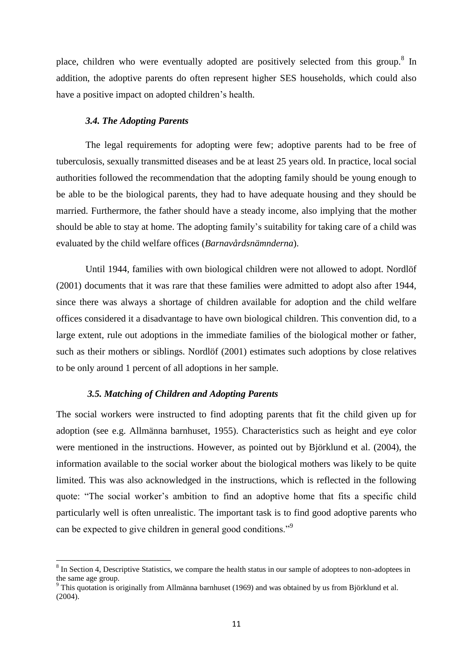place, children who were eventually adopted are positively selected from this group.<sup>8</sup> In addition, the adoptive parents do often represent higher SES households, which could also have a positive impact on adopted children's health.

#### *3.4. The Adopting Parents*

The legal requirements for adopting were few; adoptive parents had to be free of tuberculosis, sexually transmitted diseases and be at least 25 years old. In practice, local social authorities followed the recommendation that the adopting family should be young enough to be able to be the biological parents, they had to have adequate housing and they should be married. Furthermore, the father should have a steady income, also implying that the mother should be able to stay at home. The adopting family's suitability for taking care of a child was evaluated by the child welfare offices (*Barnavårdsnämnderna*).

Until 1944, families with own biological children were not allowed to adopt. Nordlöf (2001) documents that it was rare that these families were admitted to adopt also after 1944, since there was always a shortage of children available for adoption and the child welfare offices considered it a disadvantage to have own biological children. This convention did, to a large extent, rule out adoptions in the immediate families of the biological mother or father, such as their mothers or siblings. Nordlöf (2001) estimates such adoptions by close relatives to be only around 1 percent of all adoptions in her sample.

#### *3.5. Matching of Children and Adopting Parents*

**.** 

The social workers were instructed to find adopting parents that fit the child given up for adoption (see e.g. Allmänna barnhuset, 1955). Characteristics such as height and eye color were mentioned in the instructions. However, as pointed out by Björklund et al. (2004), the information available to the social worker about the biological mothers was likely to be quite limited. This was also acknowledged in the instructions, which is reflected in the following quote: "The social worker's ambition to find an adoptive home that fits a specific child particularly well is often unrealistic. The important task is to find good adoptive parents who can be expected to give children in general good conditions."<sup>9</sup>

 $8 \text{ In Section 4, Descriptive Statistics, we compare the health status in our sample of adopted to non-adoptees in }$ the same age group.

<sup>&</sup>lt;sup>9</sup> This quotation is originally from Allmänna barnhuset (1969) and was obtained by us from Björklund et al. (2004).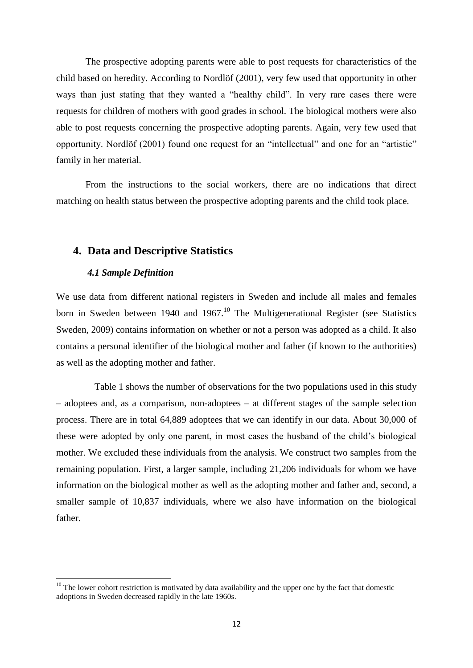The prospective adopting parents were able to post requests for characteristics of the child based on heredity. According to Nordlöf (2001), very few used that opportunity in other ways than just stating that they wanted a "healthy child". In very rare cases there were requests for children of mothers with good grades in school. The biological mothers were also able to post requests concerning the prospective adopting parents. Again, very few used that opportunity. Nordlöf (2001) found one request for an "intellectual" and one for an "artistic" family in her material.

From the instructions to the social workers, there are no indications that direct matching on health status between the prospective adopting parents and the child took place.

### **4. Data and Descriptive Statistics**

#### *4.1 Sample Definition*

1

We use data from different national registers in Sweden and include all males and females born in Sweden between 1940 and 1967.<sup>10</sup> The Multigenerational Register (see Statistics Sweden, 2009) contains information on whether or not a person was adopted as a child. It also contains a personal identifier of the biological mother and father (if known to the authorities) as well as the adopting mother and father.

Table 1 shows the number of observations for the two populations used in this study – adoptees and, as a comparison, non-adoptees – at different stages of the sample selection process. There are in total 64,889 adoptees that we can identify in our data. About 30,000 of these were adopted by only one parent, in most cases the husband of the child's biological mother. We excluded these individuals from the analysis. We construct two samples from the remaining population. First, a larger sample, including 21,206 individuals for whom we have information on the biological mother as well as the adopting mother and father and, second, a smaller sample of 10,837 individuals, where we also have information on the biological father.

 $10$  The lower cohort restriction is motivated by data availability and the upper one by the fact that domestic adoptions in Sweden decreased rapidly in the late 1960s.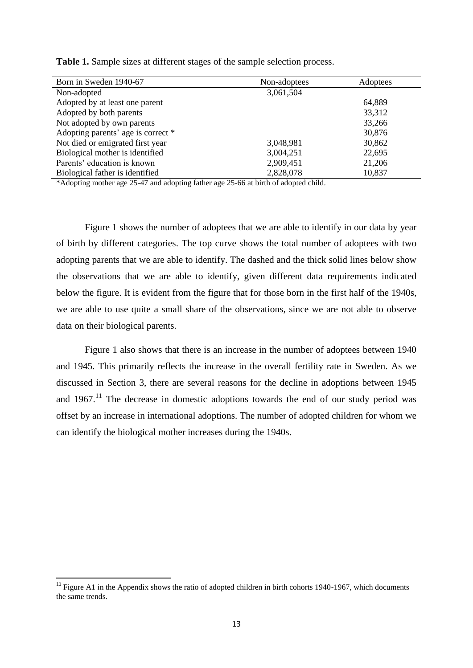| Born in Sweden 1940-67             | Non-adoptees | Adoptees |  |
|------------------------------------|--------------|----------|--|
| Non-adopted                        | 3,061,504    |          |  |
| Adopted by at least one parent     |              | 64,889   |  |
| Adopted by both parents            |              | 33,312   |  |
| Not adopted by own parents         |              | 33,266   |  |
| Adopting parents' age is correct * |              | 30,876   |  |
| Not died or emigrated first year   | 3,048,981    | 30,862   |  |
| Biological mother is identified    | 3,004,251    | 22,695   |  |
| Parents' education is known        | 2,909,451    | 21,206   |  |
| Biological father is identified    | 2,828,078    | 10,837   |  |

**Table 1.** Sample sizes at different stages of the sample selection process.

\*Adopting mother age 25-47 and adopting father age 25-66 at birth of adopted child.

Figure 1 shows the number of adoptees that we are able to identify in our data by year of birth by different categories. The top curve shows the total number of adoptees with two adopting parents that we are able to identify. The dashed and the thick solid lines below show the observations that we are able to identify, given different data requirements indicated below the figure. It is evident from the figure that for those born in the first half of the 1940s, we are able to use quite a small share of the observations, since we are not able to observe data on their biological parents.

Figure 1 also shows that there is an increase in the number of adoptees between 1940 and 1945. This primarily reflects the increase in the overall fertility rate in Sweden. As we discussed in Section 3, there are several reasons for the decline in adoptions between 1945 and  $1967$ .<sup>11</sup> The decrease in domestic adoptions towards the end of our study period was offset by an increase in international adoptions. The number of adopted children for whom we can identify the biological mother increases during the 1940s.

1

 $11$  Figure A1 in the Appendix shows the ratio of adopted children in birth cohorts 1940-1967, which documents the same trends.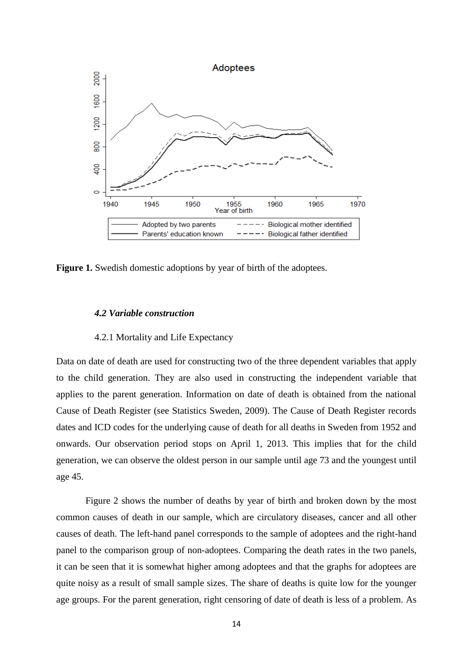

Figure 1. Swedish domestic adoptions by year of birth of the adoptees.

#### *4.2 Variable construction*

#### 4.2.1 Mortality and Life Expectancy

Data on date of death are used for constructing two of the three dependent variables that apply to the child generation. They are also used in constructing the independent variable that applies to the parent generation. Information on date of death is obtained from the national Cause of Death Register (see Statistics Sweden, 2009). The Cause of Death Register records dates and ICD codes for the underlying cause of death for all deaths in Sweden from 1952 and onwards. Our observation period stops on April 1, 2013. This implies that for the child generation, we can observe the oldest person in our sample until age 73 and the youngest until age 45.

Figure 2 shows the number of deaths by year of birth and broken down by the most common causes of death in our sample, which are circulatory diseases, cancer and all other causes of death. The left-hand panel corresponds to the sample of adoptees and the right-hand panel to the comparison group of non-adoptees. Comparing the death rates in the two panels, it can be seen that it is somewhat higher among adoptees and that the graphs for adoptees are quite noisy as a result of small sample sizes. The share of deaths is quite low for the younger age groups. For the parent generation, right censoring of date of death is less of a problem. As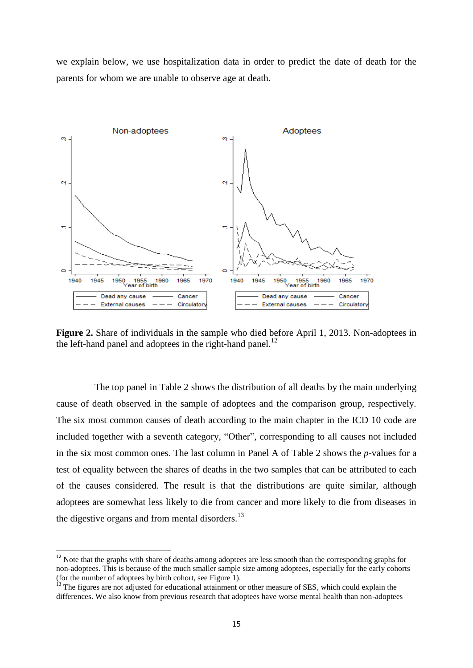we explain below, we use hospitalization data in order to predict the date of death for the parents for whom we are unable to observe age at death.



Figure 2. Share of individuals in the sample who died before April 1, 2013. Non-adoptees in the left-hand panel and adoptees in the right-hand panel.<sup>12</sup>

The top panel in Table 2 shows the distribution of all deaths by the main underlying cause of death observed in the sample of adoptees and the comparison group, respectively. The six most common causes of death according to the main chapter in the ICD 10 code are included together with a seventh category, "Other", corresponding to all causes not included in the six most common ones. The last column in Panel A of Table 2 shows the *p*-values for a test of equality between the shares of deaths in the two samples that can be attributed to each of the causes considered. The result is that the distributions are quite similar, although adoptees are somewhat less likely to die from cancer and more likely to die from diseases in the digestive organs and from mental disorders.<sup>13</sup>

 $\overline{\phantom{a}}$ 

 $12$  Note that the graphs with share of deaths among adoptees are less smooth than the corresponding graphs for non-adoptees. This is because of the much smaller sample size among adoptees, especially for the early cohorts (for the number of adoptees by birth cohort, see Figure 1).

<sup>&</sup>lt;sup>13</sup> The figures are not adjusted for educational attainment or other measure of SES, which could explain the differences. We also know from previous research that adoptees have worse mental health than non-adoptees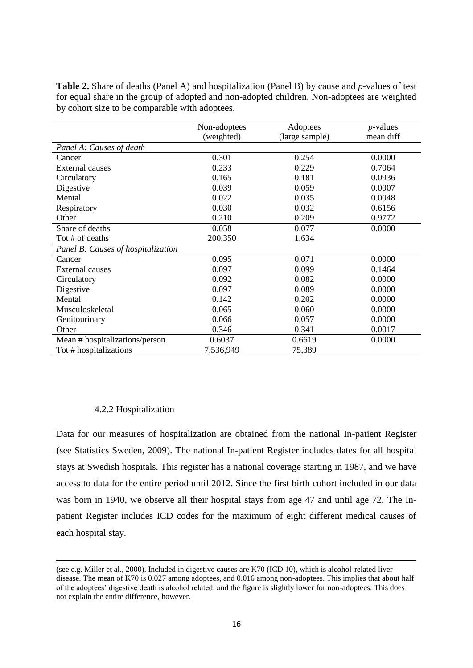|                                    | Non-adoptees | Adoptees       | $p$ -values |
|------------------------------------|--------------|----------------|-------------|
|                                    | (weighted)   | (large sample) | mean diff   |
| Panel A: Causes of death           |              |                |             |
| Cancer                             | 0.301        | 0.254          | 0.0000      |
| <b>External causes</b>             | 0.233        | 0.229          | 0.7064      |
| Circulatory                        | 0.165        | 0.181          | 0.0936      |
| Digestive                          | 0.039        | 0.059          | 0.0007      |
| Mental                             | 0.022        | 0.035          | 0.0048      |
| Respiratory                        | 0.030        | 0.032          | 0.6156      |
| Other                              | 0.210        | 0.209          | 0.9772      |
| Share of deaths                    | 0.058        | 0.077          | 0.0000      |
| Tot # of deaths                    | 200,350      | 1,634          |             |
| Panel B: Causes of hospitalization |              |                |             |
| Cancer                             | 0.095        | 0.071          | 0.0000      |
| <b>External causes</b>             | 0.097        | 0.099          | 0.1464      |
| Circulatory                        | 0.092        | 0.082          | 0.0000      |
| Digestive                          | 0.097        | 0.089          | 0.0000      |
| Mental                             | 0.142        | 0.202          | 0.0000      |
| Musculoskeletal                    | 0.065        | 0.060          | 0.0000      |
| Genitourinary                      | 0.066        | 0.057          | 0.0000      |
| Other                              | 0.346        | 0.341          | 0.0017      |
| Mean # hospitalizations/person     | 0.6037       | 0.6619         | 0.0000      |
| Tot # hospitalizations             | 7,536,949    | 75,389         |             |

**Table 2.** Share of deaths (Panel A) and hospitalization (Panel B) by cause and *p*-values of test for equal share in the group of adopted and non-adopted children. Non-adoptees are weighted by cohort size to be comparable with adoptees.

#### 4.2.2 Hospitalization

 $\overline{a}$ 

Data for our measures of hospitalization are obtained from the national In-patient Register (see Statistics Sweden, 2009). The national In-patient Register includes dates for all hospital stays at Swedish hospitals. This register has a national coverage starting in 1987, and we have access to data for the entire period until 2012. Since the first birth cohort included in our data was born in 1940, we observe all their hospital stays from age 47 and until age 72. The Inpatient Register includes ICD codes for the maximum of eight different medical causes of each hospital stay.

<sup>(</sup>see e.g. Miller et al., 2000). Included in digestive causes are K70 (ICD 10), which is alcohol-related liver disease. The mean of K70 is 0.027 among adoptees, and 0.016 among non-adoptees. This implies that about half of the adoptees' digestive death is alcohol related, and the figure is slightly lower for non-adoptees. This does not explain the entire difference, however.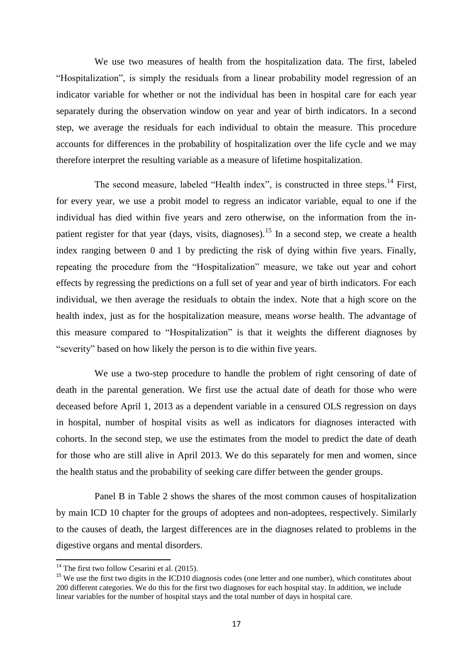We use two measures of health from the hospitalization data. The first, labeled "Hospitalization", is simply the residuals from a linear probability model regression of an indicator variable for whether or not the individual has been in hospital care for each year separately during the observation window on year and year of birth indicators. In a second step, we average the residuals for each individual to obtain the measure. This procedure accounts for differences in the probability of hospitalization over the life cycle and we may therefore interpret the resulting variable as a measure of lifetime hospitalization.

The second measure, labeled "Health index", is constructed in three steps.<sup>14</sup> First, for every year, we use a probit model to regress an indicator variable, equal to one if the individual has died within five years and zero otherwise, on the information from the inpatient register for that year (days, visits, diagnoses).<sup>15</sup> In a second step, we create a health index ranging between 0 and 1 by predicting the risk of dying within five years. Finally, repeating the procedure from the "Hospitalization" measure, we take out year and cohort effects by regressing the predictions on a full set of year and year of birth indicators. For each individual, we then average the residuals to obtain the index. Note that a high score on the health index, just as for the hospitalization measure, means *worse* health. The advantage of this measure compared to "Hospitalization" is that it weights the different diagnoses by "severity" based on how likely the person is to die within five years.

We use a two-step procedure to handle the problem of right censoring of date of death in the parental generation. We first use the actual date of death for those who were deceased before April 1, 2013 as a dependent variable in a censured OLS regression on days in hospital, number of hospital visits as well as indicators for diagnoses interacted with cohorts. In the second step, we use the estimates from the model to predict the date of death for those who are still alive in April 2013. We do this separately for men and women, since the health status and the probability of seeking care differ between the gender groups.

Panel B in Table 2 shows the shares of the most common causes of hospitalization by main ICD 10 chapter for the groups of adoptees and non-adoptees, respectively. Similarly to the causes of death, the largest differences are in the diagnoses related to problems in the digestive organs and mental disorders.

 $14$  The first two follow Cesarini et al. (2015).

<sup>&</sup>lt;sup>15</sup> We use the first two digits in the ICD10 diagnosis codes (one letter and one number), which constitutes about 200 different categories. We do this for the first two diagnoses for each hospital stay. In addition, we include linear variables for the number of hospital stays and the total number of days in hospital care.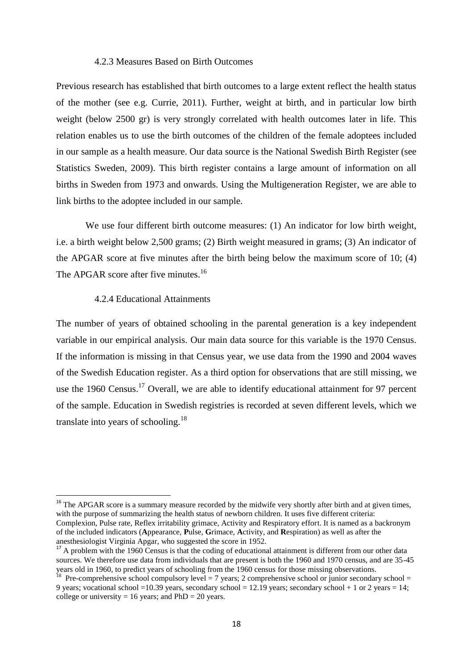#### 4.2.3 Measures Based on Birth Outcomes

Previous research has established that birth outcomes to a large extent reflect the health status of the mother (see e.g. Currie, 2011). Further, weight at birth, and in particular low birth weight (below 2500 gr) is very strongly correlated with health outcomes later in life. This relation enables us to use the birth outcomes of the children of the female adoptees included in our sample as a health measure. Our data source is the National Swedish Birth Register (see Statistics Sweden, 2009). This birth register contains a large amount of information on all births in Sweden from 1973 and onwards. Using the Multigeneration Register, we are able to link births to the adoptee included in our sample.

We use four different birth outcome measures: (1) An indicator for low birth weight, i.e. a birth weight below 2,500 grams; (2) Birth weight measured in grams; (3) An indicator of the APGAR score at five minutes after the birth being below the maximum score of 10; (4) The APGAR score after five minutes.<sup>16</sup>

#### 4.2.4 Educational Attainments

1

The number of years of obtained schooling in the parental generation is a key independent variable in our empirical analysis. Our main data source for this variable is the 1970 Census. If the information is missing in that Census year, we use data from the 1990 and 2004 waves of the Swedish Education register. As a third option for observations that are still missing, we use the 1960 Census.<sup>17</sup> Overall, we are able to identify educational attainment for 97 percent of the sample. Education in Swedish registries is recorded at seven different levels, which we translate into years of schooling.<sup>18</sup>

<sup>&</sup>lt;sup>16</sup> The APGAR score is a summary measure recorded by the midwife very shortly after birth and at given times, with the purpose of summarizing the health status of newborn children. It uses five different criteria: Complexion, Pulse rate, Reflex irritability grimace, Activity and Respiratory effort. It is named as a backronym of the included indicators (**A**ppearance, **P**ulse, **G**rimace, **A**ctivity, and **R**espiration) as well as after the anesthesiologist Virginia Apgar, who suggested the score in 1952.

<sup>&</sup>lt;sup>17</sup> A problem with the 1960 Census is that the coding of educational attainment is different from our other data sources. We therefore use data from individuals that are present is both the 1960 and 1970 census, and are 35-45 years old in 1960, to predict years of schooling from the 1960 census for those missing observations.

<sup>&</sup>lt;sup>18</sup> Pre-comprehensive school compulsory level = 7 years; 2 comprehensive school or junior secondary school = 9 years; vocational school = 10.39 years, secondary school = 12.19 years; secondary school + 1 or 2 years = 14; college or university = 16 years; and  $PhD = 20$  years.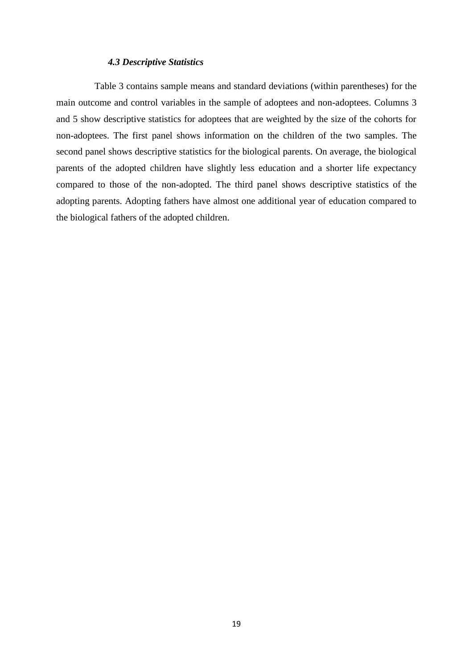#### *4.3 Descriptive Statistics*

Table 3 contains sample means and standard deviations (within parentheses) for the main outcome and control variables in the sample of adoptees and non-adoptees. Columns 3 and 5 show descriptive statistics for adoptees that are weighted by the size of the cohorts for non-adoptees. The first panel shows information on the children of the two samples. The second panel shows descriptive statistics for the biological parents. On average, the biological parents of the adopted children have slightly less education and a shorter life expectancy compared to those of the non-adopted. The third panel shows descriptive statistics of the adopting parents. Adopting fathers have almost one additional year of education compared to the biological fathers of the adopted children.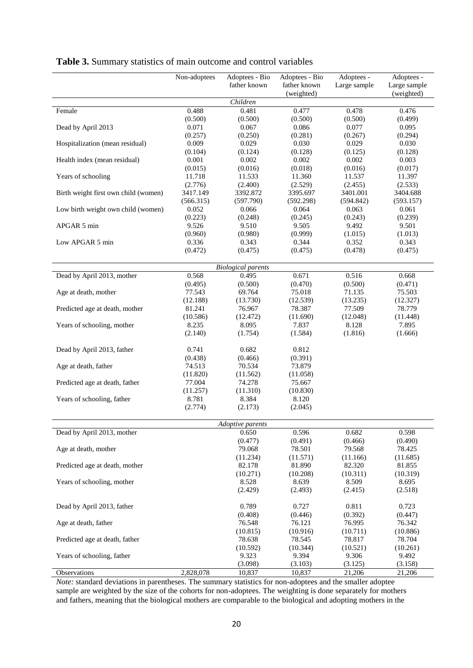|                                      | Non-adoptees     | Adoptees - Bio<br>father known | Adoptees - Bio<br>father known | Adoptees -<br>Large sample | Adoptees -<br>Large sample |
|--------------------------------------|------------------|--------------------------------|--------------------------------|----------------------------|----------------------------|
|                                      |                  | Children                       | (weighted)                     |                            | (weighted)                 |
| Female                               | 0.488            | 0.481                          | 0.477                          | 0.478                      | 0.476                      |
|                                      | (0.500)          | (0.500)                        | (0.500)                        | (0.500)                    | (0.499)                    |
| Dead by April 2013                   | 0.071            | 0.067                          | 0.086                          | 0.077                      | 0.095                      |
|                                      | (0.257)          | (0.250)                        | (0.281)                        | (0.267)                    | (0.294)                    |
| Hospitalization (mean residual)      | 0.009            | 0.029                          | 0.030                          | 0.029                      | 0.030                      |
|                                      | (0.104)          | (0.124)                        | (0.128)                        | (0.125)                    | (0.128)                    |
| Health index (mean residual)         | 0.001            | 0.002                          | 0.002                          | 0.002                      | 0.003                      |
|                                      | (0.015)          | (0.016)                        | (0.018)                        | (0.016)                    | (0.017)                    |
| Years of schooling                   | 11.718           | 11.533                         | 11.360                         | 11.537                     | 11.397                     |
|                                      | (2.776)          | (2.400)                        | (2.529)                        | (2.455)                    | (2.533)                    |
| Birth weight first own child (women) | 3417.149         | 3392.872                       | 3395.697                       | 3401.001                   | 3404.688                   |
|                                      | (566.315)        | (597.790)                      | (592.298)                      | (594.842)                  | (593.157)                  |
| Low birth weight own child (women)   | 0.052            | 0.066                          | 0.064                          | 0.063                      | 0.061                      |
|                                      | (0.223)          | (0.248)                        | (0.245)                        | (0.243)                    | (0.239)                    |
| APGAR 5 min                          | 9.526            | 9.510                          | 9.505                          | 9.492                      | 9.501                      |
|                                      | (0.960)          | (0.980)                        | (0.999)                        | (1.015)                    | (1.013)                    |
| Low APGAR 5 min                      | 0.336            | 0.343                          | 0.344                          | 0.352                      | 0.343                      |
|                                      | (0.472)          | (0.475)                        | (0.475)                        | (0.478)                    | (0.475)                    |
|                                      |                  |                                |                                |                            |                            |
|                                      |                  | <b>Biological parents</b>      |                                |                            |                            |
| Dead by April 2013, mother           | 0.568<br>(0.495) | 0.495<br>(0.500)               | 0.671<br>(0.470)               | 0.516<br>(0.500)           | 0.668<br>(0.471)           |
| Age at death, mother                 | 77.543           | 69.764                         | 75.018                         | 71.135                     | 75.503                     |
|                                      | (12.188)         | (13.730)                       | (12.539)                       | (13.235)                   | (12.327)                   |
| Predicted age at death, mother       | 81.241           | 76.967                         | 78.387                         | 77.509                     | 78.779                     |
|                                      | (10.586)         | (12.472)                       | (11.690)                       | (12.048)                   | (11.448)                   |
| Years of schooling, mother           | 8.235            | 8.095                          | 7.837                          | 8.128                      | 7.895                      |
|                                      | (2.140)          | (1.754)                        | (1.584)                        | (1.816)                    | (1.666)                    |
|                                      |                  |                                |                                |                            |                            |
| Dead by April 2013, father           | 0.741            | 0.682                          | 0.812                          |                            |                            |
|                                      | (0.438)          | (0.466)                        | (0.391)                        |                            |                            |
| Age at death, father                 | 74.513           | 70.534                         | 73.879                         |                            |                            |
|                                      | (11.820)         | (11.562)                       | (11.058)                       |                            |                            |
| Predicted age at death, father       | 77.004           | 74.278                         | 75.667                         |                            |                            |
|                                      | (11.257)         | (11.310)                       | (10.830)                       |                            |                            |
| Years of schooling, father           | 8.781            | 8.384                          | 8.120                          |                            |                            |
|                                      | (2.774)          | (2.173)                        | (2.045)                        |                            |                            |
|                                      |                  |                                |                                |                            |                            |
|                                      |                  | <i>Adoptive parents</i>        |                                |                            |                            |
| Dead by April 2013, mother           |                  | 0.650                          | 0.596                          | 0.682                      | 0.598                      |
|                                      |                  | (0.477)                        | (0.491)                        | (0.466)                    | (0.490)                    |
| Age at death, mother                 |                  | 79.068                         | 78.501                         | 79.568                     | 78.425                     |
|                                      |                  | (11.234)                       | (11.571)                       | (11.166)                   | (11.685)                   |
| Predicted age at death, mother       |                  | 82.178                         | 81.890                         | 82.320                     | 81.855                     |
|                                      |                  | (10.271)                       | (10.208)                       | (10.311)                   | (10.319)                   |
| Years of schooling, mother           |                  | 8.528                          | 8.639                          | 8.509                      | 8.695                      |
|                                      |                  | (2.429)                        | (2.493)                        | (2.415)                    | (2.518)                    |
| Dead by April 2013, father           |                  | 0.789                          | 0.727                          | 0.811                      | 0.723                      |
|                                      |                  | (0.408)                        | (0.446)                        | (0.392)                    | (0.447)                    |
| Age at death, father                 |                  | 76.548                         | 76.121                         | 76.995                     | 76.342                     |
|                                      |                  | (10.815)                       | (10.916)                       | (10.711)                   | (10.886)                   |
| Predicted age at death, father       |                  | 78.638                         | 78.545                         | 78.817                     | 78.704                     |
|                                      |                  | (10.592)                       | (10.344)                       | (10.521)                   | (10.261)                   |
| Years of schooling, father           |                  | 9.323                          | 9.394                          | 9.306                      | 9.492                      |
|                                      |                  | (3.098)                        | (3.103)                        | (3.125)                    | (3.158)                    |
| Observations                         | 2,828,078        | 10,837                         | 10,837                         | 21,206                     | 21,206                     |

### **Table 3.** Summary statistics of main outcome and control variables

*Note:* standard deviations in parentheses. The summary statistics for non-adoptees and the smaller adoptee sample are weighted by the size of the cohorts for non-adoptees. The weighting is done separately for mothers and fathers, meaning that the biological mothers are comparable to the biological and adopting mothers in the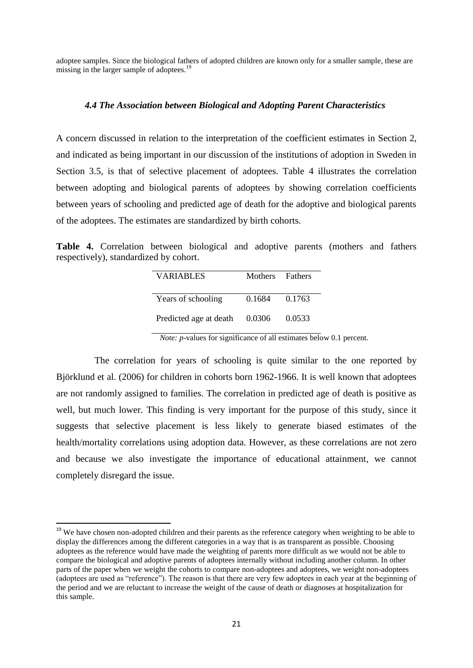adoptee samples. Since the biological fathers of adopted children are known only for a smaller sample, these are missing in the larger sample of adoptees.<sup>19</sup>

#### *4.4 The Association between Biological and Adopting Parent Characteristics*

A concern discussed in relation to the interpretation of the coefficient estimates in Section 2, and indicated as being important in our discussion of the institutions of adoption in Sweden in Section 3.5, is that of selective placement of adoptees. Table 4 illustrates the correlation between adopting and biological parents of adoptees by showing correlation coefficients between years of schooling and predicted age of death for the adoptive and biological parents of the adoptees. The estimates are standardized by birth cohorts.

**Table 4.** Correlation between biological and adoptive parents (mothers and fathers respectively), standardized by cohort.

| <b>VARIABLES</b>       | Mothers Fathers |        |  |
|------------------------|-----------------|--------|--|
| Years of schooling     | 0.1684 0.1763   |        |  |
| Predicted age at death | 0.0306          | 0.0533 |  |

*Note: p*-values for significance of all estimates below 0.1 percent.

The correlation for years of schooling is quite similar to the one reported by Björklund et al. (2006) for children in cohorts born 1962-1966. It is well known that adoptees are not randomly assigned to families. The correlation in predicted age of death is positive as well, but much lower. This finding is very important for the purpose of this study, since it suggests that selective placement is less likely to generate biased estimates of the health/mortality correlations using adoption data. However, as these correlations are not zero and because we also investigate the importance of educational attainment, we cannot completely disregard the issue.

1

<sup>&</sup>lt;sup>19</sup> We have chosen non-adopted children and their parents as the reference category when weighting to be able to display the differences among the different categories in a way that is as transparent as possible. Choosing adoptees as the reference would have made the weighting of parents more difficult as we would not be able to compare the biological and adoptive parents of adoptees internally without including another column. In other parts of the paper when we weight the cohorts to compare non-adoptees and adoptees, we weight non-adoptees (adoptees are used as "reference"). The reason is that there are very few adoptees in each year at the beginning of the period and we are reluctant to increase the weight of the cause of death or diagnoses at hospitalization for this sample.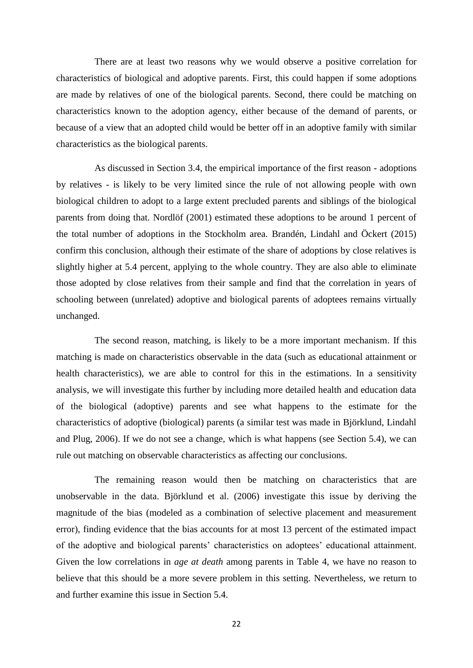There are at least two reasons why we would observe a positive correlation for characteristics of biological and adoptive parents. First, this could happen if some adoptions are made by relatives of one of the biological parents. Second, there could be matching on characteristics known to the adoption agency, either because of the demand of parents, or because of a view that an adopted child would be better off in an adoptive family with similar characteristics as the biological parents.

As discussed in Section 3.4, the empirical importance of the first reason - adoptions by relatives - is likely to be very limited since the rule of not allowing people with own biological children to adopt to a large extent precluded parents and siblings of the biological parents from doing that. Nordlöf (2001) estimated these adoptions to be around 1 percent of the total number of adoptions in the Stockholm area. Brandén, Lindahl and Öckert (2015) confirm this conclusion, although their estimate of the share of adoptions by close relatives is slightly higher at 5.4 percent, applying to the whole country. They are also able to eliminate those adopted by close relatives from their sample and find that the correlation in years of schooling between (unrelated) adoptive and biological parents of adoptees remains virtually unchanged.

The second reason, matching, is likely to be a more important mechanism. If this matching is made on characteristics observable in the data (such as educational attainment or health characteristics), we are able to control for this in the estimations. In a sensitivity analysis, we will investigate this further by including more detailed health and education data of the biological (adoptive) parents and see what happens to the estimate for the characteristics of adoptive (biological) parents (a similar test was made in Björklund, Lindahl and Plug, 2006). If we do not see a change, which is what happens (see Section 5.4), we can rule out matching on observable characteristics as affecting our conclusions.

The remaining reason would then be matching on characteristics that are unobservable in the data. Björklund et al. (2006) investigate this issue by deriving the magnitude of the bias (modeled as a combination of selective placement and measurement error), finding evidence that the bias accounts for at most 13 percent of the estimated impact of the adoptive and biological parents' characteristics on adoptees' educational attainment. Given the low correlations in *age at death* among parents in Table 4, we have no reason to believe that this should be a more severe problem in this setting. Nevertheless, we return to and further examine this issue in Section 5.4.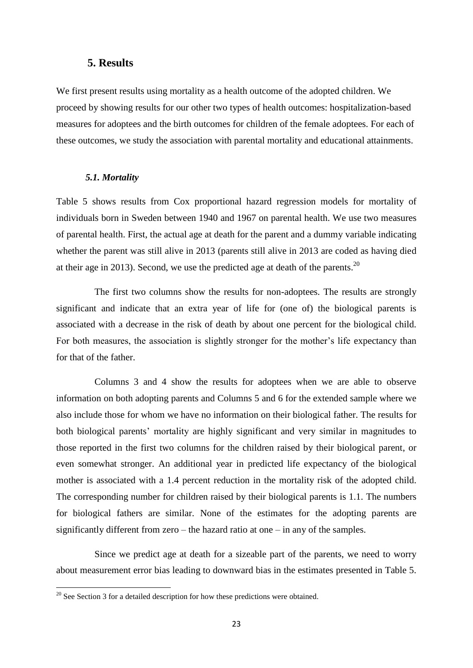### **5. Results**

We first present results using mortality as a health outcome of the adopted children. We proceed by showing results for our other two types of health outcomes: hospitalization-based measures for adoptees and the birth outcomes for children of the female adoptees. For each of these outcomes, we study the association with parental mortality and educational attainments.

#### *5.1. Mortality*

Table 5 shows results from Cox proportional hazard regression models for mortality of individuals born in Sweden between 1940 and 1967 on parental health. We use two measures of parental health. First, the actual age at death for the parent and a dummy variable indicating whether the parent was still alive in 2013 (parents still alive in 2013 are coded as having died at their age in 2013). Second, we use the predicted age at death of the parents.<sup>20</sup>

The first two columns show the results for non-adoptees. The results are strongly significant and indicate that an extra year of life for (one of) the biological parents is associated with a decrease in the risk of death by about one percent for the biological child. For both measures, the association is slightly stronger for the mother's life expectancy than for that of the father.

Columns 3 and 4 show the results for adoptees when we are able to observe information on both adopting parents and Columns 5 and 6 for the extended sample where we also include those for whom we have no information on their biological father. The results for both biological parents' mortality are highly significant and very similar in magnitudes to those reported in the first two columns for the children raised by their biological parent, or even somewhat stronger. An additional year in predicted life expectancy of the biological mother is associated with a 1.4 percent reduction in the mortality risk of the adopted child. The corresponding number for children raised by their biological parents is 1.1. The numbers for biological fathers are similar. None of the estimates for the adopting parents are significantly different from zero – the hazard ratio at one – in any of the samples.

Since we predict age at death for a sizeable part of the parents, we need to worry about measurement error bias leading to downward bias in the estimates presented in Table 5.

 $20$  See Section 3 for a detailed description for how these predictions were obtained.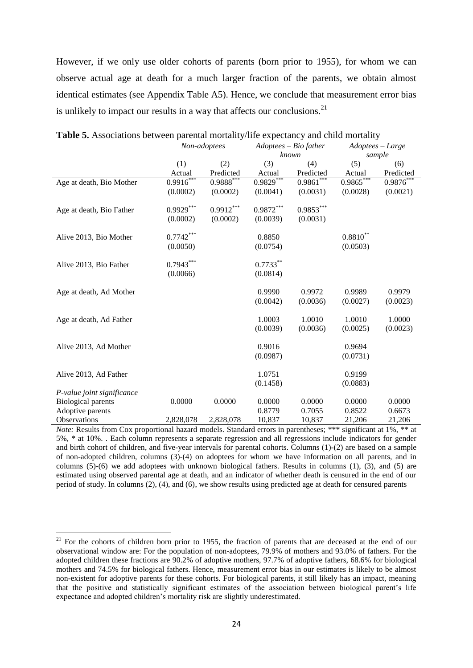However, if we only use older cohorts of parents (born prior to 1955), for whom we can observe actual age at death for a much larger fraction of the parents, we obtain almost identical estimates (see Appendix Table A5). Hence, we conclude that measurement error bias is unlikely to impact our results in a way that affects our conclusions. $^{21}$ 

|                            | Non-adoptees            |             |             | $Adoptees - Bio father$ | $Adoptees-Large$ |           |  |  |
|----------------------------|-------------------------|-------------|-------------|-------------------------|------------------|-----------|--|--|
|                            |                         |             |             | known                   | sample           |           |  |  |
|                            | (1)                     | (2)         | (3)         | (4)                     | (5)              | (6)       |  |  |
|                            | Actual                  | Predicted   | Actual      | Predicted               | Actual           | Predicted |  |  |
| Age at death, Bio Mother   | $0.9916***$             | $0.9888***$ | $0.9829***$ | $0.9861***$             | $0.9865***$      | 0.9876    |  |  |
|                            | (0.0002)                | (0.0002)    | (0.0041)    | (0.0031)                | (0.0028)         | (0.0021)  |  |  |
| Age at death, Bio Father   | $0.9929***$             | $0.9912***$ | $0.9872***$ | $0.9853***$             |                  |           |  |  |
|                            | (0.0002)                | (0.0002)    | (0.0039)    | (0.0031)                |                  |           |  |  |
| Alive 2013, Bio Mother     | $0.7742^{\ast\ast\ast}$ |             | 0.8850      |                         | $0.8810***$      |           |  |  |
|                            | (0.0050)                |             | (0.0754)    |                         | (0.0503)         |           |  |  |
| Alive 2013, Bio Father     | $0.7943***$             |             | $0.7733***$ |                         |                  |           |  |  |
|                            | (0.0066)                |             | (0.0814)    |                         |                  |           |  |  |
| Age at death, Ad Mother    |                         |             | 0.9990      | 0.9972                  | 0.9989           | 0.9979    |  |  |
|                            |                         |             | (0.0042)    | (0.0036)                | (0.0027)         | (0.0023)  |  |  |
| Age at death, Ad Father    |                         |             | 1.0003      | 1.0010                  | 1.0010           | 1.0000    |  |  |
|                            |                         |             | (0.0039)    | (0.0036)                | (0.0025)         | (0.0023)  |  |  |
| Alive 2013, Ad Mother      |                         |             | 0.9016      |                         | 0.9694           |           |  |  |
|                            |                         |             | (0.0987)    |                         | (0.0731)         |           |  |  |
| Alive 2013, Ad Father      |                         |             | 1.0751      |                         | 0.9199           |           |  |  |
|                            |                         |             | (0.1458)    |                         | (0.0883)         |           |  |  |
| P-value joint significance |                         |             |             |                         |                  |           |  |  |
| <b>Biological parents</b>  | 0.0000                  | 0.0000      | 0.0000      | 0.0000                  | 0.0000           | 0.0000    |  |  |
| Adoptive parents           |                         |             | 0.8779      | 0.7055                  | 0.8522           | 0.6673    |  |  |
| <b>Observations</b>        | 2,828,078               | 2,828,078   | 10,837      | 10,837                  | 21,206           | 21,206    |  |  |
|                            |                         |             |             |                         |                  |           |  |  |

**Table 5.** Associations between parental mortality/life expectancy and child mortality

*Note:* Results from Cox proportional hazard models. Standard errors in parentheses; \*\*\* significant at 1%, \*\* at 5%, \* at 10%. . Each column represents a separate regression and all regressions include indicators for gender and birth cohort of children, and five-year intervals for parental cohorts. Columns (1)-(2) are based on a sample of non-adopted children, columns (3)-(4) on adoptees for whom we have information on all parents, and in columns  $(5)-(6)$  we add adoptees with unknown biological fathers. Results in columns  $(1)$ ,  $(3)$ , and  $(5)$  are estimated using observed parental age at death, and an indicator of whether death is censured in the end of our period of study. In columns (2), (4), and (6), we show results using predicted age at death for censured parents

 $21$  For the cohorts of children born prior to 1955, the fraction of parents that are deceased at the end of our observational window are: For the population of non-adoptees, 79.9% of mothers and 93.0% of fathers. For the adopted children these fractions are 90.2% of adoptive mothers, 97.7% of adoptive fathers, 68.6% for biological mothers and 74.5% for biological fathers. Hence, measurement error bias in our estimates is likely to be almost non-existent for adoptive parents for these cohorts. For biological parents, it still likely has an impact, meaning that the positive and statistically significant estimates of the association between biological parent's life expectance and adopted children's mortality risk are slightly underestimated.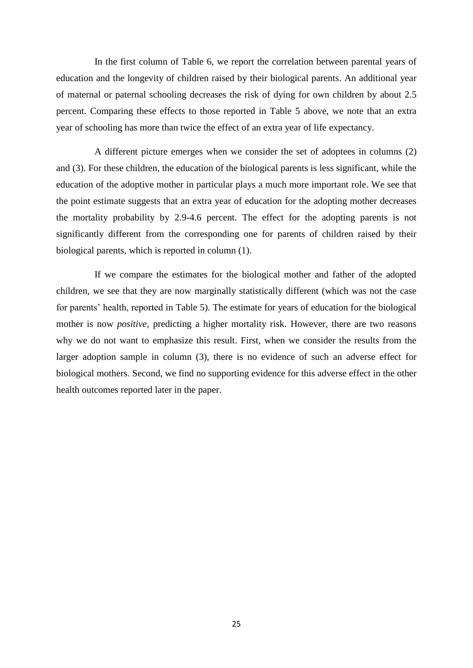In the first column of Table 6, we report the correlation between parental years of education and the longevity of children raised by their biological parents. An additional year of maternal or paternal schooling decreases the risk of dying for own children by about 2.5 percent. Comparing these effects to those reported in Table 5 above, we note that an extra year of schooling has more than twice the effect of an extra year of life expectancy.

A different picture emerges when we consider the set of adoptees in columns (2) and (3). For these children, the education of the biological parents is less significant, while the education of the adoptive mother in particular plays a much more important role. We see that the point estimate suggests that an extra year of education for the adopting mother decreases the mortality probability by 2.9-4.6 percent. The effect for the adopting parents is not significantly different from the corresponding one for parents of children raised by their biological parents, which is reported in column (1).

If we compare the estimates for the biological mother and father of the adopted children, we see that they are now marginally statistically different (which was not the case for parents' health, reported in Table 5). The estimate for years of education for the biological mother is now *positive*, predicting a higher mortality risk. However, there are two reasons why we do not want to emphasize this result. First, when we consider the results from the larger adoption sample in column (3), there is no evidence of such an adverse effect for biological mothers. Second, we find no supporting evidence for this adverse effect in the other health outcomes reported later in the paper.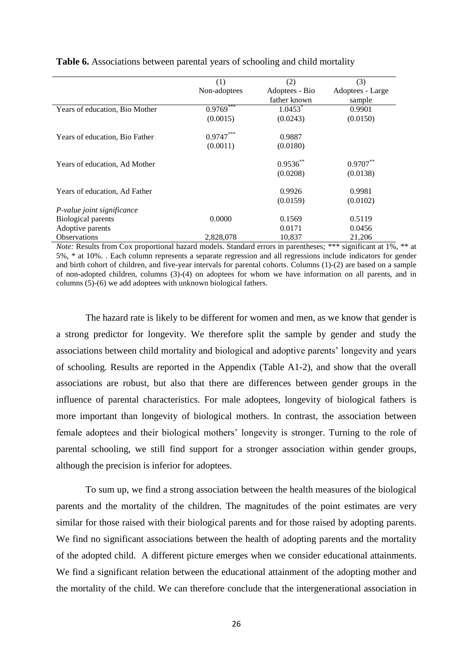|                                | (1)          | (2)                   | (3)              |
|--------------------------------|--------------|-----------------------|------------------|
|                                | Non-adoptees | Adoptees - Bio        | Adoptees - Large |
|                                |              | father known          | sample           |
| Years of education, Bio Mother | $0.9769***$  | $1.0453$ <sup>*</sup> | 0.9901           |
|                                | (0.0015)     | (0.0243)              | (0.0150)         |
| Years of education, Bio Father | $0.9747***$  | 0.9887                |                  |
|                                | (0.0011)     | (0.0180)              |                  |
| Years of education, Ad Mother  |              | $0.9536$ **           | $0.9707***$      |
|                                |              | (0.0208)              | (0.0138)         |
| Years of education, Ad Father  |              | 0.9926                | 0.9981           |
|                                |              | (0.0159)              | (0.0102)         |
| P-value joint significance     |              |                       |                  |
| <b>Biological parents</b>      | 0.0000       | 0.1569                | 0.5119           |
| Adoptive parents               |              | 0.0171                | 0.0456           |
| <b>Observations</b>            | 2,828,078    | 10,837                | 21,206           |

**Table 6.** Associations between parental years of schooling and child mortality

*Note:* Results from Cox proportional hazard models. Standard errors in parentheses; \*\*\* significant at 1%, \*\* at 5%, \* at 10%. . Each column represents a separate regression and all regressions include indicators for gender and birth cohort of children, and five-year intervals for parental cohorts. Columns (1)-(2) are based on a sample of non-adopted children, columns (3)-(4) on adoptees for whom we have information on all parents, and in columns (5)-(6) we add adoptees with unknown biological fathers.

The hazard rate is likely to be different for women and men, as we know that gender is a strong predictor for longevity. We therefore split the sample by gender and study the associations between child mortality and biological and adoptive parents' longevity and years of schooling. Results are reported in the Appendix (Table A1-2), and show that the overall associations are robust, but also that there are differences between gender groups in the influence of parental characteristics. For male adoptees, longevity of biological fathers is more important than longevity of biological mothers. In contrast, the association between female adoptees and their biological mothers' longevity is stronger. Turning to the role of parental schooling, we still find support for a stronger association within gender groups, although the precision is inferior for adoptees.

To sum up, we find a strong association between the health measures of the biological parents and the mortality of the children. The magnitudes of the point estimates are very similar for those raised with their biological parents and for those raised by adopting parents. We find no significant associations between the health of adopting parents and the mortality of the adopted child. A different picture emerges when we consider educational attainments. We find a significant relation between the educational attainment of the adopting mother and the mortality of the child. We can therefore conclude that the intergenerational association in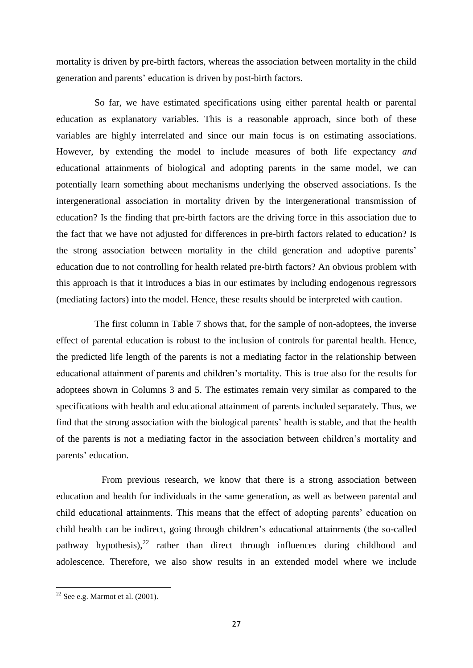mortality is driven by pre-birth factors, whereas the association between mortality in the child generation and parents' education is driven by post-birth factors.

So far, we have estimated specifications using either parental health or parental education as explanatory variables. This is a reasonable approach, since both of these variables are highly interrelated and since our main focus is on estimating associations. However, by extending the model to include measures of both life expectancy *and* educational attainments of biological and adopting parents in the same model, we can potentially learn something about mechanisms underlying the observed associations. Is the intergenerational association in mortality driven by the intergenerational transmission of education? Is the finding that pre-birth factors are the driving force in this association due to the fact that we have not adjusted for differences in pre-birth factors related to education? Is the strong association between mortality in the child generation and adoptive parents' education due to not controlling for health related pre-birth factors? An obvious problem with this approach is that it introduces a bias in our estimates by including endogenous regressors (mediating factors) into the model. Hence, these results should be interpreted with caution.

The first column in Table 7 shows that, for the sample of non-adoptees, the inverse effect of parental education is robust to the inclusion of controls for parental health. Hence, the predicted life length of the parents is not a mediating factor in the relationship between educational attainment of parents and children's mortality. This is true also for the results for adoptees shown in Columns 3 and 5. The estimates remain very similar as compared to the specifications with health and educational attainment of parents included separately. Thus, we find that the strong association with the biological parents' health is stable, and that the health of the parents is not a mediating factor in the association between children's mortality and parents' education.

 From previous research, we know that there is a strong association between education and health for individuals in the same generation, as well as between parental and child educational attainments. This means that the effect of adopting parents' education on child health can be indirect, going through children's educational attainments (the so-called pathway hypothesis), $^{22}$  rather than direct through influences during childhood and adolescence. Therefore, we also show results in an extended model where we include

 $22$  See e.g. Marmot et al. (2001).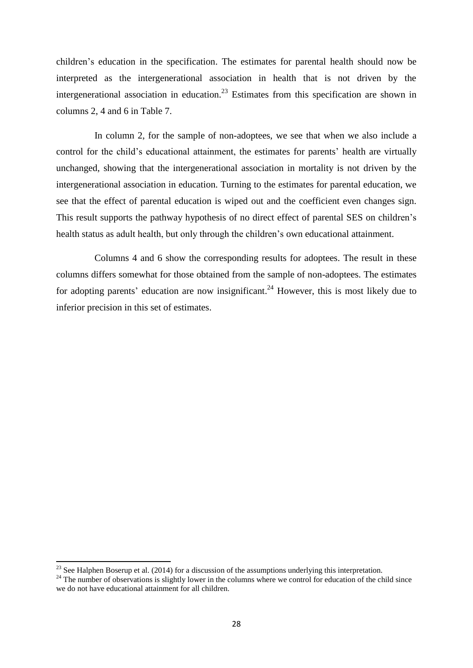children's education in the specification. The estimates for parental health should now be interpreted as the intergenerational association in health that is not driven by the intergenerational association in education.<sup>23</sup> Estimates from this specification are shown in columns 2, 4 and 6 in Table 7.

In column 2, for the sample of non-adoptees, we see that when we also include a control for the child's educational attainment, the estimates for parents' health are virtually unchanged, showing that the intergenerational association in mortality is not driven by the intergenerational association in education. Turning to the estimates for parental education, we see that the effect of parental education is wiped out and the coefficient even changes sign. This result supports the pathway hypothesis of no direct effect of parental SES on children's health status as adult health, but only through the children's own educational attainment.

Columns 4 and 6 show the corresponding results for adoptees. The result in these columns differs somewhat for those obtained from the sample of non-adoptees. The estimates for adopting parents' education are now insignificant.<sup>24</sup> However, this is most likely due to inferior precision in this set of estimates.

 $^{23}$  See Halphen Boserup et al. (2014) for a discussion of the assumptions underlying this interpretation.

 $^{24}$  The number of observations is slightly lower in the columns where we control for education of the child since we do not have educational attainment for all children.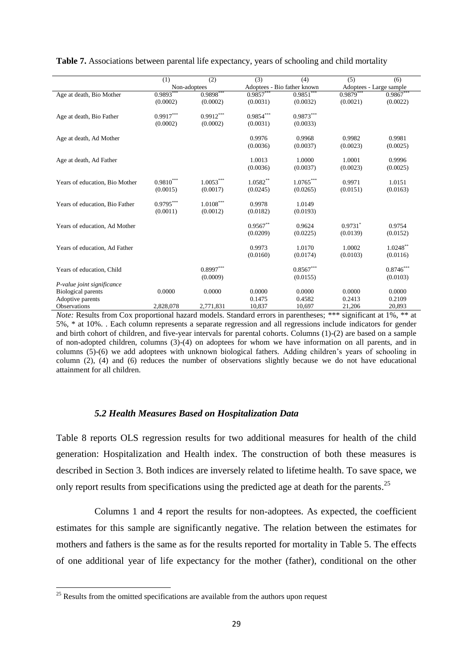|                                | (1)                      | (2)                     | (3)                     | (4)                         | (5)                     | (6)          |
|--------------------------------|--------------------------|-------------------------|-------------------------|-----------------------------|-------------------------|--------------|
|                                | Non-adoptees             |                         |                         | Adoptees - Bio father known | Adoptees - Large sample |              |
| Age at death, Bio Mother       | $0.9893$ <sup>**</sup>   | $0.9898***$             | $0.9857***$             | $0.9851***$                 | $0.9879$ <sup>*</sup>   | $0.9867$ *** |
|                                | (0.0002)                 | (0.0002)                | (0.0031)                | (0.0032)                    | (0.0021)                | (0.0022)     |
| Age at death, Bio Father       | $0.9917***$              | $0.9912***$             | $0.9854^{\ast\ast\ast}$ | $0.9873***$                 |                         |              |
|                                | (0.0002)                 | (0.0002)                | (0.0031)                | (0.0033)                    |                         |              |
|                                |                          |                         |                         |                             |                         |              |
| Age at death, Ad Mother        |                          |                         | 0.9976                  | 0.9968                      | 0.9982                  | 0.9981       |
|                                |                          |                         | (0.0036)                | (0.0037)                    | (0.0023)                | (0.0025)     |
| Age at death, Ad Father        |                          |                         | 1.0013                  | 1.0000                      | 1.0001                  | 0.9996       |
|                                |                          |                         | (0.0036)                | (0.0037)                    | (0.0023)                | (0.0025)     |
|                                |                          |                         |                         |                             |                         |              |
| Years of education, Bio Mother | $0.98 10^{\ast\ast\ast}$ | $1.0053^{***}$          | $1.0582**$              | $1.0765^{\ast\ast\ast}$     | 0.9971                  | 1.0151       |
|                                | (0.0015)                 | (0.0017)                | (0.0245)                | (0.0265)                    | (0.0151)                | (0.0163)     |
|                                |                          |                         |                         |                             |                         |              |
| Years of education, Bio Father | $0.9795***$              | $1.0108^{\ast\ast\ast}$ | 0.9978                  | 1.0149                      |                         |              |
|                                | (0.0011)                 | (0.0012)                | (0.0182)                | (0.0193)                    |                         |              |
| Years of education, Ad Mother  |                          |                         | $0.9567**$              | 0.9624                      | $0.9731$ <sup>*</sup>   | 0.9754       |
|                                |                          |                         | (0.0209)                | (0.0225)                    | (0.0139)                | (0.0152)     |
|                                |                          |                         |                         |                             |                         |              |
| Years of education, Ad Father  |                          |                         | 0.9973                  | 1.0170                      | 1.0002                  | $1.0248$ **  |
|                                |                          |                         | (0.0160)                | (0.0174)                    | (0.0103)                | (0.0116)     |
| Years of education, Child      |                          | $0.8997***$             |                         | $0.8567^{\ast\ast\ast}$     |                         | $0.8746***$  |
|                                |                          | (0.0009)                |                         | (0.0155)                    |                         | (0.0103)     |
| P-value joint significance     |                          |                         |                         |                             |                         |              |
| <b>Biological parents</b>      | 0.0000                   | 0.0000                  | 0.0000                  | 0.0000                      | 0.0000                  | 0.0000       |
| Adoptive parents               |                          |                         | 0.1475                  | 0.4582                      | 0.2413                  | 0.2109       |
| <b>Observations</b>            | 2,828,078                | 2,771,831               | 10,837                  | 10,697                      | 21,206                  | 20,893       |

**Table 7.** Associations between parental life expectancy, years of schooling and child mortality

*Note:* Results from Cox proportional hazard models. Standard errors in parentheses; \*\*\* significant at 1%, \*\* at 5%, \* at 10%. . Each column represents a separate regression and all regressions include indicators for gender and birth cohort of children, and five-year intervals for parental cohorts. Columns (1)-(2) are based on a sample of non-adopted children, columns (3)-(4) on adoptees for whom we have information on all parents, and in columns (5)-(6) we add adoptees with unknown biological fathers. Adding children's years of schooling in column (2), (4) and (6) reduces the number of observations slightly because we do not have educational attainment for all children.

#### *5.2 Health Measures Based on Hospitalization Data*

Table 8 reports OLS regression results for two additional measures for health of the child generation: Hospitalization and Health index. The construction of both these measures is described in Section 3. Both indices are inversely related to lifetime health. To save space, we only report results from specifications using the predicted age at death for the parents.<sup>25</sup>

Columns 1 and 4 report the results for non-adoptees. As expected, the coefficient estimates for this sample are significantly negative. The relation between the estimates for mothers and fathers is the same as for the results reported for mortality in Table 5. The effects of one additional year of life expectancy for the mother (father), conditional on the other

 $25$  Results from the omitted specifications are available from the authors upon request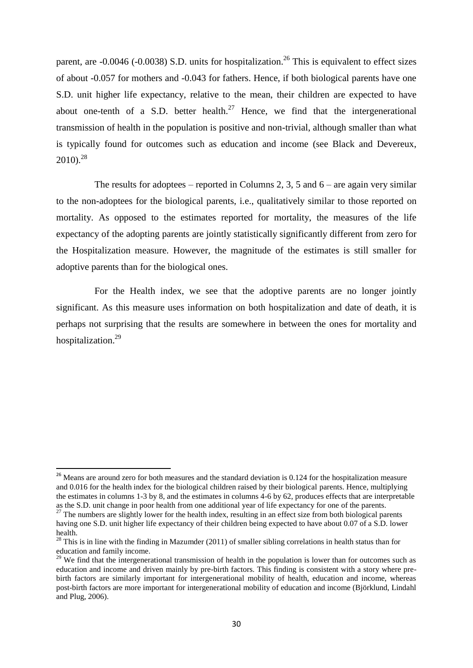parent, are  $-0.0046$  ( $-0.0038$ ) S.D. units for hospitalization.<sup>26</sup> This is equivalent to effect sizes of about -0.057 for mothers and -0.043 for fathers. Hence, if both biological parents have one S.D. unit higher life expectancy, relative to the mean, their children are expected to have about one-tenth of a S.D. better health.<sup>27</sup> Hence, we find that the intergenerational transmission of health in the population is positive and non-trivial, although smaller than what is typically found for outcomes such as education and income (see Black and Devereux,  $2010$ ).<sup>28</sup>

The results for adoptees – reported in Columns 2, 3, 5 and  $6$  – are again very similar to the non-adoptees for the biological parents, i.e., qualitatively similar to those reported on mortality. As opposed to the estimates reported for mortality, the measures of the life expectancy of the adopting parents are jointly statistically significantly different from zero for the Hospitalization measure. However, the magnitude of the estimates is still smaller for adoptive parents than for the biological ones.

For the Health index, we see that the adoptive parents are no longer jointly significant. As this measure uses information on both hospitalization and date of death, it is perhaps not surprising that the results are somewhere in between the ones for mortality and hospitalization.<sup>29</sup>

1

<sup>&</sup>lt;sup>26</sup> Means are around zero for both measures and the standard deviation is 0.124 for the hospitalization measure and 0.016 for the health index for the biological children raised by their biological parents. Hence, multiplying the estimates in columns 1-3 by 8, and the estimates in columns 4-6 by 62, produces effects that are interpretable as the S.D. unit change in poor health from one additional year of life expectancy for one of the parents.

 $^{27}$  The numbers are slightly lower for the health index, resulting in an effect size from both biological parents having one S.D. unit higher life expectancy of their children being expected to have about 0.07 of a S.D. lower health.

<sup>&</sup>lt;sup>28</sup> This is in line with the finding in Mazumder (2011) of smaller sibling correlations in health status than for education and family income.

<sup>&</sup>lt;sup>29</sup> We find that the intergenerational transmission of health in the population is lower than for outcomes such as education and income and driven mainly by pre-birth factors. This finding is consistent with a story where prebirth factors are similarly important for intergenerational mobility of health, education and income, whereas post-birth factors are more important for intergenerational mobility of education and income (Björklund, Lindahl and Plug, 2006).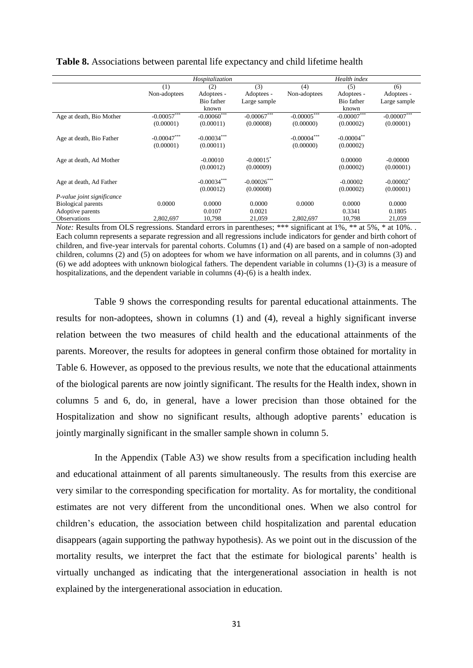|                            |               | Hospitalization |                         |               | Health index  |                         |
|----------------------------|---------------|-----------------|-------------------------|---------------|---------------|-------------------------|
|                            | (1)           | (2)             | (3)                     | (4)           | (5)           | (6)                     |
|                            | Non-adoptees  | Adoptees -      | Adoptees -              | Non-adoptees  | Adoptees -    | Adoptees -              |
|                            |               | Bio father      | Large sample            |               | Bio father    | Large sample            |
|                            |               | known           |                         |               | known         |                         |
| Age at death, Bio Mother   | $-0.00057***$ | $-0.00060***$   | $-0.00067***$           | $-0.00005***$ | $-0.00007***$ | $-0.00007***$           |
|                            | (0.00001)     | (0.00011)       | (0.00008)               | (0.00000)     | (0.00002)     | (0.00001)               |
| Age at death, Bio Father   | $-0.00047***$ | $-0.00034***$   |                         | $-0.00004***$ | $-0.00004$ ** |                         |
|                            | (0.00001)     | (0.00011)       |                         | (0.00000)     | (0.00002)     |                         |
| Age at death, Ad Mother    |               | $-0.00010$      | $-0.00015$ <sup>*</sup> |               | 0.00000       | $-0.00000$              |
|                            |               | (0.00012)       | (0.00009)               |               | (0.00002)     | (0.00001)               |
| Age at death, Ad Father    |               | $-0.00034***$   | $-0.00026$ ***          |               | $-0.00002$    | $-0.00002$ <sup>*</sup> |
|                            |               | (0.00012)       | (0.00008)               |               | (0.00002)     | (0.00001)               |
| P-value joint significance |               |                 |                         |               |               |                         |
| <b>Biological parents</b>  | 0.0000        | 0.0000          | 0.0000                  | 0.0000        | 0.0000        | 0.0000                  |
| Adoptive parents           |               | 0.0107          | 0.0021                  |               | 0.3341        | 0.1805                  |
| Observations               | 2,802,697     | 10,798          | 21,059                  | 2,802,697     | 10,798        | 21,059                  |

**Table 8.** Associations between parental life expectancy and child lifetime health

*Note:* Results from OLS regressions. Standard errors in parentheses; \*\*\* significant at 1%, \*\* at 5%, \* at 10%.. Each column represents a separate regression and all regressions include indicators for gender and birth cohort of children, and five-year intervals for parental cohorts. Columns (1) and (4) are based on a sample of non-adopted children, columns (2) and (5) on adoptees for whom we have information on all parents, and in columns (3) and (6) we add adoptees with unknown biological fathers. The dependent variable in columns (1)-(3) is a measure of hospitalizations, and the dependent variable in columns  $(4)-(6)$  is a health index.

Table 9 shows the corresponding results for parental educational attainments. The results for non-adoptees, shown in columns (1) and (4), reveal a highly significant inverse relation between the two measures of child health and the educational attainments of the parents. Moreover, the results for adoptees in general confirm those obtained for mortality in Table 6. However, as opposed to the previous results, we note that the educational attainments of the biological parents are now jointly significant. The results for the Health index, shown in columns 5 and 6, do, in general, have a lower precision than those obtained for the Hospitalization and show no significant results, although adoptive parents' education is jointly marginally significant in the smaller sample shown in column 5.

In the Appendix (Table A3) we show results from a specification including health and educational attainment of all parents simultaneously. The results from this exercise are very similar to the corresponding specification for mortality. As for mortality, the conditional estimates are not very different from the unconditional ones. When we also control for children's education, the association between child hospitalization and parental education disappears (again supporting the pathway hypothesis). As we point out in the discussion of the mortality results, we interpret the fact that the estimate for biological parents' health is virtually unchanged as indicating that the intergenerational association in health is not explained by the intergenerational association in education.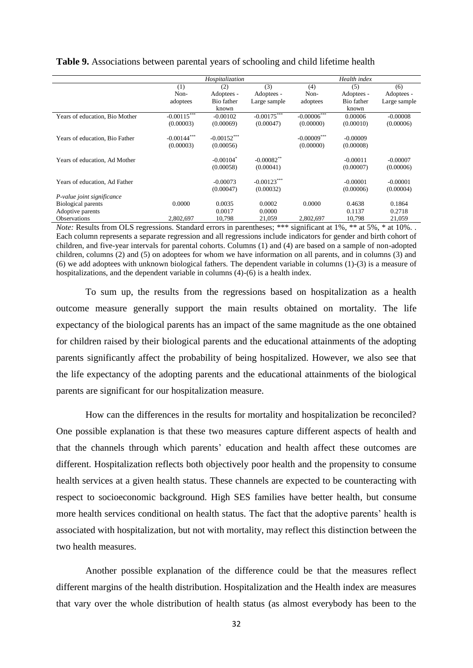|                                | Hospitalization |                         |                             | Health index   |            |              |
|--------------------------------|-----------------|-------------------------|-----------------------------|----------------|------------|--------------|
|                                | (1)             | (2)                     | (3)                         | (4)            | (5)        | (6)          |
|                                | Non-            | Adoptees -              | Adoptees -                  | Non-           | Adoptees - | Adoptees -   |
|                                | adoptees        | Bio father              | Large sample                | adoptees       | Bio father | Large sample |
|                                |                 | known                   |                             |                | known      |              |
| Years of education, Bio Mother | $-0.00115$ ***  | $-0.00102$              | $-0.00\overline{175}^{***}$ | $-0.00006***$  | 0.00006    | $-0.00008$   |
|                                | (0.00003)       | (0.00069)               | (0.00047)                   | (0.00000)      | (0.00010)  | (0.00006)    |
| Years of education, Bio Father | $-0.00144***$   | $-0.00152***$           |                             | $-0.00009$ *** | $-0.00009$ |              |
|                                | (0.00003)       | (0.00056)               |                             | (0.00000)      | (0.00008)  |              |
| Years of education, Ad Mother  |                 | $-0.00104$ <sup>*</sup> | $-0.00082$ **               |                | $-0.00011$ | $-0.00007$   |
|                                |                 | (0.00058)               | (0.00041)                   |                | (0.00007)  | (0.00006)    |
| Years of education, Ad Father  |                 | $-0.00073$              | $-0.00123***$               |                | $-0.00001$ | $-0.00001$   |
|                                |                 | (0.00047)               | (0.00032)                   |                | (0.00006)  | (0.00004)    |
| P-value joint significance     |                 |                         |                             |                |            |              |
| <b>Biological parents</b>      | 0.0000          | 0.0035                  | 0.0002                      | 0.0000         | 0.4638     | 0.1864       |
| Adoptive parents               |                 | 0.0017                  | 0.0000                      |                | 0.1137     | 0.2718       |
| <b>Observations</b>            | 2,802,697       | 10,798                  | 21,059                      | 2,802,697      | 10,798     | 21,059       |

**Table 9.** Associations between parental years of schooling and child lifetime health

*Note:* Results from OLS regressions. Standard errors in parentheses; \*\*\* significant at 1%, \*\* at 5%, \* at 10%.. Each column represents a separate regression and all regressions include indicators for gender and birth cohort of children, and five-year intervals for parental cohorts. Columns (1) and (4) are based on a sample of non-adopted children, columns (2) and (5) on adoptees for whom we have information on all parents, and in columns (3) and (6) we add adoptees with unknown biological fathers. The dependent variable in columns (1)-(3) is a measure of hospitalizations, and the dependent variable in columns (4)-(6) is a health index.

To sum up, the results from the regressions based on hospitalization as a health outcome measure generally support the main results obtained on mortality. The life expectancy of the biological parents has an impact of the same magnitude as the one obtained for children raised by their biological parents and the educational attainments of the adopting parents significantly affect the probability of being hospitalized. However, we also see that the life expectancy of the adopting parents and the educational attainments of the biological parents are significant for our hospitalization measure.

How can the differences in the results for mortality and hospitalization be reconciled? One possible explanation is that these two measures capture different aspects of health and that the channels through which parents' education and health affect these outcomes are different. Hospitalization reflects both objectively poor health and the propensity to consume health services at a given health status. These channels are expected to be counteracting with respect to socioeconomic background. High SES families have better health, but consume more health services conditional on health status. The fact that the adoptive parents' health is associated with hospitalization, but not with mortality, may reflect this distinction between the two health measures.

Another possible explanation of the difference could be that the measures reflect different margins of the health distribution. Hospitalization and the Health index are measures that vary over the whole distribution of health status (as almost everybody has been to the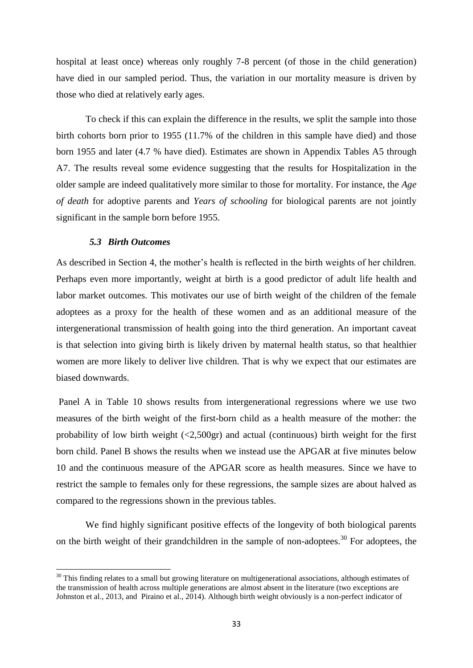hospital at least once) whereas only roughly 7-8 percent (of those in the child generation) have died in our sampled period. Thus, the variation in our mortality measure is driven by those who died at relatively early ages.

To check if this can explain the difference in the results, we split the sample into those birth cohorts born prior to 1955 (11.7% of the children in this sample have died) and those born 1955 and later (4.7 % have died). Estimates are shown in Appendix Tables A5 through A7. The results reveal some evidence suggesting that the results for Hospitalization in the older sample are indeed qualitatively more similar to those for mortality. For instance, the *Age of death* for adoptive parents and *Years of schooling* for biological parents are not jointly significant in the sample born before 1955.

#### *5.3 Birth Outcomes*

 $\overline{\phantom{a}}$ 

As described in Section 4, the mother's health is reflected in the birth weights of her children. Perhaps even more importantly, weight at birth is a good predictor of adult life health and labor market outcomes. This motivates our use of birth weight of the children of the female adoptees as a proxy for the health of these women and as an additional measure of the intergenerational transmission of health going into the third generation. An important caveat is that selection into giving birth is likely driven by maternal health status, so that healthier women are more likely to deliver live children. That is why we expect that our estimates are biased downwards.

Panel A in Table 10 shows results from intergenerational regressions where we use two measures of the birth weight of the first-born child as a health measure of the mother: the probability of low birth weight (<2,500gr) and actual (continuous) birth weight for the first born child. Panel B shows the results when we instead use the APGAR at five minutes below 10 and the continuous measure of the APGAR score as health measures. Since we have to restrict the sample to females only for these regressions, the sample sizes are about halved as compared to the regressions shown in the previous tables.

We find highly significant positive effects of the longevity of both biological parents on the birth weight of their grandchildren in the sample of non-adoptees.<sup>30</sup> For adoptees, the

 $30$  This finding relates to a small but growing literature on multigenerational associations, although estimates of the transmission of health across multiple generations are almost absent in the literature (two exceptions are Johnston et al., 2013, and Piraino et al., 2014). Although birth weight obviously is a non-perfect indicator of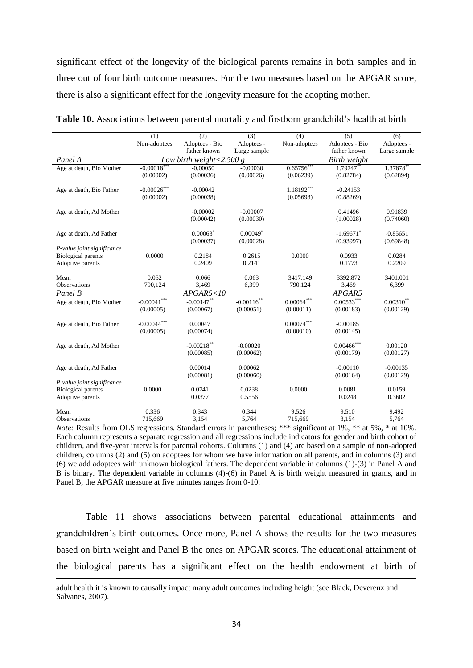significant effect of the longevity of the biological parents remains in both samples and in three out of four birth outcome measures. For the two measures based on the APGAR score, there is also a significant effect for the longevity measure for the adopting mother.

|                            | (1)                     | (2)                         | (3)                     | (4)               | (5)            | (6)            |
|----------------------------|-------------------------|-----------------------------|-------------------------|-------------------|----------------|----------------|
|                            | Non-adoptees            | Adoptees - Bio              | Adoptees -              | Non-adoptees      | Adoptees - Bio | Adoptees -     |
|                            |                         | father known                | Large sample            |                   | father known   | Large sample   |
| Panel A                    |                         | Low birth weight <2,500 $g$ |                         |                   | Birth weight   |                |
| Age at death, Bio Mother   | $-0.00018$ <sup>*</sup> | $-0.00050$                  | $-0.00030$              | $0.65756*$        | 1.79747**      | 1.37878        |
|                            | (0.00002)               | (0.00036)                   | (0.00026)               | (0.06239)         | (0.82784)      | (0.62894)      |
|                            |                         |                             |                         |                   |                |                |
| Age at death, Bio Father   | $-0.00026***$           | $-0.00042$                  |                         | 1.18192***        | $-0.24153$     |                |
|                            | (0.00002)               | (0.00038)                   |                         | (0.05698)         | (0.88269)      |                |
| Age at death, Ad Mother    |                         | $-0.00002$                  | $-0.00007$              |                   | 0.41496        | 0.91839        |
|                            |                         | (0.00042)                   | (0.00030)               |                   | (1.00028)      | (0.74060)      |
|                            |                         |                             |                         |                   |                |                |
| Age at death, Ad Father    |                         | $0.00063$ <sup>*</sup>      | $0.00049$ *             |                   | $-1.69671$ *   | $-0.85651$     |
|                            |                         | (0.00037)                   | (0.00028)               |                   | (0.93997)      | (0.69848)      |
| P-value joint significance |                         |                             |                         |                   |                |                |
| <b>Biological parents</b>  | 0.0000                  | 0.2184                      | 0.2615                  | 0.0000            | 0.0933         | 0.0284         |
| Adoptive parents           |                         | 0.2409                      | 0.2141                  |                   | 0.1773         | 0.2209         |
|                            |                         |                             |                         |                   |                |                |
| Mean                       | 0.052                   | 0.066                       | 0.063                   | 3417.149          | 3392.872       | 3401.001       |
| Observations               | 790,124                 | 3,469                       | 6,399                   | 790,124           | 3,469          | 6,399          |
| Panel B                    |                         | APGAR5 < 10                 |                         |                   | APGAR5         |                |
| Age at death, Bio Mother   | $-0.00041***$           | $-0.00147$ **               | $-0.00116$ <sup>*</sup> | $0.00064***$      | $0.00533***$   | $0.00310^{**}$ |
|                            | (0.00005)               | (0.00067)                   | (0.00051)               | (0.00011)         | (0.00183)      | (0.00129)      |
|                            |                         |                             |                         |                   |                |                |
| Age at death, Bio Father   | $-0.00044***$           | 0.00047                     |                         | $0.00074^{***}\,$ | $-0.00185$     |                |
|                            | (0.00005)               | (0.00074)                   |                         | (0.00010)         | (0.00145)      |                |
|                            |                         |                             |                         |                   |                |                |
| Age at death, Ad Mother    |                         | $-0.00218$ **               | $-0.00020$              |                   | $0.00466$ ***  | 0.00120        |
|                            |                         | (0.00085)                   | (0.00062)               |                   | (0.00179)      | (0.00127)      |
|                            |                         |                             |                         |                   |                |                |
| Age at death, Ad Father    |                         | 0.00014                     | 0.00062                 |                   | $-0.00110$     | $-0.00135$     |
|                            |                         | (0.00081)                   | (0.00060)               |                   | (0.00164)      | (0.00129)      |
| P-value joint significance |                         |                             |                         |                   |                |                |
| <b>Biological parents</b>  | 0.0000                  | 0.0741                      | 0.0238                  | 0.0000            | 0.0081         | 0.0159         |
| Adoptive parents           |                         | 0.0377                      | 0.5556                  |                   | 0.0248         | 0.3602         |
|                            |                         |                             |                         |                   |                |                |
| Mean                       | 0.336                   | 0.343                       | 0.344                   | 9.526             | 9.510          | 9.492          |
| Observations               | 715.669                 | 3.154                       | 5.764                   | 715,669           | 3.154          | 5.764          |

*Note:* Results from OLS regressions. Standard errors in parentheses; \*\*\* significant at 1%, \*\* at 5%, \* at 10%. Each column represents a separate regression and all regressions include indicators for gender and birth cohort of children, and five-year intervals for parental cohorts. Columns (1) and (4) are based on a sample of non-adopted children, columns (2) and (5) on adoptees for whom we have information on all parents, and in columns (3) and (6) we add adoptees with unknown biological fathers. The dependent variable in columns (1)-(3) in Panel A and B is binary. The dependent variable in columns (4)-(6) in Panel A is birth weight measured in grams, and in Panel B, the APGAR measure at five minutes ranges from 0-10.

Table 11 shows associations between parental educational attainments and grandchildren's birth outcomes. Once more, Panel A shows the results for the two measures based on birth weight and Panel B the ones on APGAR scores. The educational attainment of the biological parents has a significant effect on the health endowment at birth of

 $\ddot{\phantom{a}}$ 

adult health it is known to causally impact many adult outcomes including height (see Black, Devereux and Salvanes, 2007).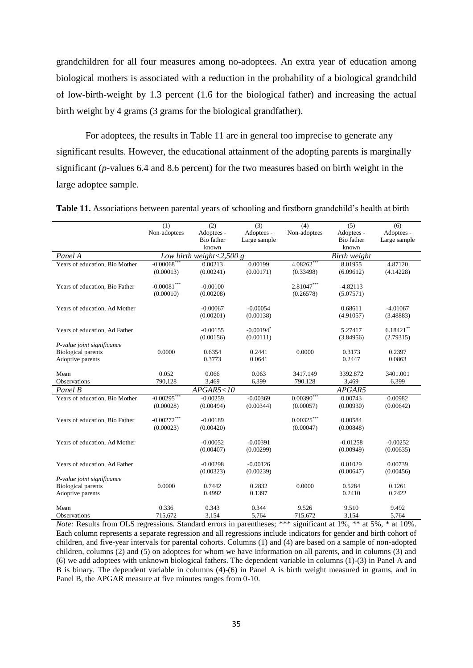grandchildren for all four measures among no-adoptees. An extra year of education among biological mothers is associated with a reduction in the probability of a biological grandchild of low-birth-weight by 1.3 percent (1.6 for the biological father) and increasing the actual birth weight by 4 grams (3 grams for the biological grandfather).

For adoptees, the results in Table 11 are in general too imprecise to generate any significant results. However, the educational attainment of the adopting parents is marginally significant (*p*-values 6.4 and 8.6 percent) for the two measures based on birth weight in the large adoptee sample.

|                                | (1)                       | (2)         | (3)                     | (4)          | (5)          | (6)          |  |
|--------------------------------|---------------------------|-------------|-------------------------|--------------|--------------|--------------|--|
|                                |                           |             |                         |              |              |              |  |
|                                | Non-adoptees              | Adoptees -  | Adoptees -              | Non-adoptees | Adoptees -   | Adoptees -   |  |
|                                |                           | Bio father  | Large sample            |              | Bio father   | Large sample |  |
|                                |                           | known       |                         |              | known        |              |  |
| Panel A                        | Low birth weight <2,500 g |             |                         |              | Birth weight |              |  |
| Years of education, Bio Mother | $-0.00068$ **             | 0.00213     | 0.00199                 | $4.08262***$ | 8.01955      | 4.87120      |  |
|                                | (0.00013)                 | (0.00241)   | (0.00171)               | (0.33498)    | (6.09612)    | (4.14228)    |  |
|                                |                           |             |                         |              |              |              |  |
| Years of education, Bio Father | $-0.00081***$             | $-0.00100$  |                         | $2.81047***$ | $-4.82113$   |              |  |
|                                | (0.00010)                 | (0.00208)   |                         | (0.26578)    | (5.07571)    |              |  |
| Years of education, Ad Mother  |                           | $-0.00067$  | $-0.00054$              |              | 0.68611      | $-4.01067$   |  |
|                                |                           | (0.00201)   | (0.00138)               |              | (4.91057)    | (3.48883)    |  |
|                                |                           |             |                         |              |              |              |  |
| Years of education, Ad Father  |                           | $-0.00155$  | $-0.00194$ <sup>*</sup> |              | 5.27417      | $6.18421***$ |  |
|                                |                           | (0.00156)   | (0.00111)               |              | (3.84956)    | (2.79315)    |  |
| P-value joint significance     |                           |             |                         |              |              |              |  |
| <b>Biological parents</b>      | 0.0000                    | 0.6354      | 0.2441                  | 0.0000       | 0.3173       | 0.2397       |  |
| Adoptive parents               |                           | 0.3773      | 0.0641                  |              | 0.2447       | 0.0863       |  |
|                                |                           |             |                         |              |              |              |  |
| Mean                           | 0.052                     | 0.066       | 0.063                   | 3417.149     | 3392.872     | 3401.001     |  |
| <b>Observations</b>            | 790,128                   | 3,469       | 6,399                   | 790,128      | 3,469        | 6,399        |  |
| Panel B                        |                           | APGAR5 < 10 |                         | APGAR5       |              |              |  |
| Years of education, Bio Mother | $-0.00295$ **             | $-0.00259$  | $-0.00369$              | $0.00390***$ | 0.00743      | 0.00982      |  |
|                                | (0.00028)                 | (0.00494)   | (0.00344)               | (0.00057)    | (0.00930)    | (0.00642)    |  |
|                                |                           |             |                         |              |              |              |  |
| Years of education, Bio Father | $-0.00272***$             | $-0.00189$  |                         | $0.00325***$ | 0.00584      |              |  |
|                                | (0.00023)                 | (0.00420)   |                         | (0.00047)    | (0.00848)    |              |  |
|                                |                           |             |                         |              |              |              |  |
| Years of education, Ad Mother  |                           | $-0.00052$  | $-0.00391$              |              | $-0.01258$   | $-0.00252$   |  |
|                                |                           | (0.00407)   | (0.00299)               |              | (0.00949)    | (0.00635)    |  |
|                                |                           |             |                         |              |              |              |  |
| Years of education, Ad Father  |                           | $-0.00298$  | $-0.00126$              |              | 0.01029      | 0.00739      |  |
|                                |                           | (0.00323)   | (0.00239)               |              | (0.00647)    | (0.00456)    |  |
| P-value joint significance     |                           |             |                         |              |              |              |  |
| <b>Biological parents</b>      | 0.0000                    | 0.7442      | 0.2832                  | 0.0000       | 0.5284       | 0.1261       |  |
| Adoptive parents               |                           | 0.4992      | 0.1397                  |              | 0.2410       | 0.2422       |  |
|                                |                           |             |                         |              |              |              |  |
| Mean                           | 0.336                     | 0.343       | 0.344                   | 9.526        | 9.510        | 9.492        |  |
| <b>Observations</b>            | 715,672                   | 3,154       | 5,764                   | 715,672      | 3,154        | 5.764        |  |

**Table 11.** Associations between parental years of schooling and firstborn grandchild's health at birth

*Note:* Results from OLS regressions. Standard errors in parentheses; \*\*\* significant at 1%, \*\* at 5%, \* at 10%. Each column represents a separate regression and all regressions include indicators for gender and birth cohort of children, and five-year intervals for parental cohorts. Columns (1) and (4) are based on a sample of non-adopted children, columns (2) and (5) on adoptees for whom we have information on all parents, and in columns (3) and (6) we add adoptees with unknown biological fathers. The dependent variable in columns (1)-(3) in Panel A and B is binary. The dependent variable in columns (4)-(6) in Panel A is birth weight measured in grams, and in Panel B, the APGAR measure at five minutes ranges from 0-10.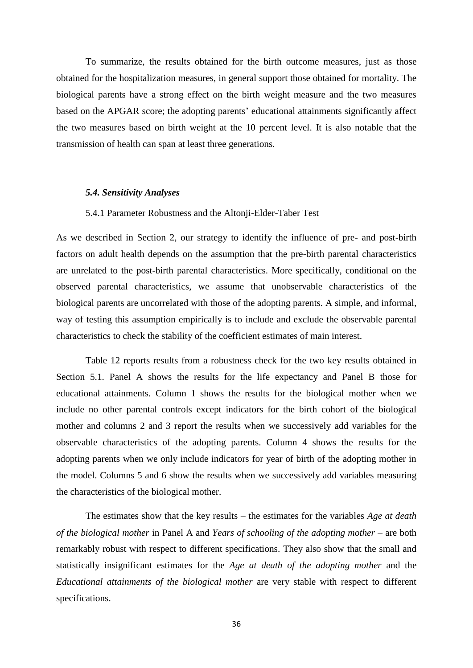To summarize, the results obtained for the birth outcome measures, just as those obtained for the hospitalization measures, in general support those obtained for mortality. The biological parents have a strong effect on the birth weight measure and the two measures based on the APGAR score; the adopting parents' educational attainments significantly affect the two measures based on birth weight at the 10 percent level. It is also notable that the transmission of health can span at least three generations.

#### *5.4. Sensitivity Analyses*

#### 5.4.1 Parameter Robustness and the Altonji-Elder-Taber Test

As we described in Section 2, our strategy to identify the influence of pre- and post-birth factors on adult health depends on the assumption that the pre-birth parental characteristics are unrelated to the post-birth parental characteristics. More specifically, conditional on the observed parental characteristics, we assume that unobservable characteristics of the biological parents are uncorrelated with those of the adopting parents. A simple, and informal, way of testing this assumption empirically is to include and exclude the observable parental characteristics to check the stability of the coefficient estimates of main interest.

Table 12 reports results from a robustness check for the two key results obtained in Section 5.1. Panel A shows the results for the life expectancy and Panel B those for educational attainments. Column 1 shows the results for the biological mother when we include no other parental controls except indicators for the birth cohort of the biological mother and columns 2 and 3 report the results when we successively add variables for the observable characteristics of the adopting parents. Column 4 shows the results for the adopting parents when we only include indicators for year of birth of the adopting mother in the model. Columns 5 and 6 show the results when we successively add variables measuring the characteristics of the biological mother.

The estimates show that the key results – the estimates for the variables *Age at death of the biological mother* in Panel A and *Years of schooling of the adopting mother* – are both remarkably robust with respect to different specifications. They also show that the small and statistically insignificant estimates for the *Age at death of the adopting mother* and the *Educational attainments of the biological mother* are very stable with respect to different specifications.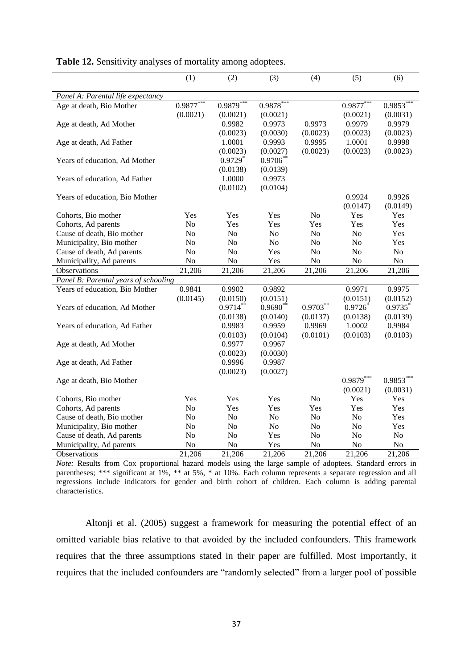|                                      | (1)                 | (2)                   | (3)                    | (4)            | (5)                   | (6)                |
|--------------------------------------|---------------------|-----------------------|------------------------|----------------|-----------------------|--------------------|
| Panel A: Parental life expectancy    |                     |                       |                        |                |                       |                    |
| Age at death, Bio Mother             | 0.9877              | 0.9879                | 0.9878                 |                | 0.9877                | 0.9853             |
|                                      | (0.0021)            | (0.0021)              | (0.0021)               |                | (0.0021)              | (0.0031)           |
| Age at death, Ad Mother              |                     | 0.9982                | 0.9973                 | 0.9973         | 0.9979                | 0.9979             |
|                                      |                     | (0.0023)              | (0.0030)               | (0.0023)       | (0.0023)              | (0.0023)           |
| Age at death, Ad Father              |                     | 1.0001                | 0.9993                 | 0.9995         | 1.0001                | 0.9998             |
|                                      |                     | (0.0023)              | (0.0027)               | (0.0023)       | (0.0023)              | (0.0023)           |
| Years of education, Ad Mother        |                     | $0.9729$ <sup>*</sup> | 0.9706                 |                |                       |                    |
|                                      |                     | (0.0138)              | (0.0139)               |                |                       |                    |
| Years of education, Ad Father        |                     | 1.0000                | 0.9973                 |                |                       |                    |
|                                      |                     | (0.0102)              | (0.0104)               |                |                       |                    |
| Years of education, Bio Mother       |                     |                       |                        |                | 0.9924                | 0.9926             |
|                                      |                     |                       |                        |                | (0.0147)              | (0.0149)           |
| Cohorts, Bio mother                  | Yes                 | <b>Yes</b>            | Yes                    | N <sub>o</sub> | Yes                   | Yes                |
| Cohorts, Ad parents                  | N <sub>o</sub>      | Yes                   | Yes                    | Yes            | Yes                   | Yes                |
| Cause of death, Bio mother           | N <sub>o</sub>      | N <sub>o</sub>        | N <sub>o</sub>         | N <sub>o</sub> | N <sub>o</sub>        | Yes                |
| Municipality, Bio mother             | No                  | No                    | N <sub>0</sub>         | N <sub>o</sub> | N <sub>0</sub>        | Yes                |
| Cause of death, Ad parents           | No                  | N <sub>o</sub>        | Yes                    | N <sub>o</sub> | N <sub>o</sub>        | No                 |
| Municipality, Ad parents             | N <sub>0</sub>      | No                    | Yes                    | No             | No                    | No                 |
| Observations                         | $\overline{21,206}$ | 21,206                | 21,206                 | 21,206         | 21,206                | 21,206             |
| Panel B: Parental years of schooling |                     |                       |                        |                |                       |                    |
| Years of education, Bio Mother       | 0.9841              | 0.9902                | 0.9892                 |                | 0.9971                | 0.9975             |
|                                      | (0.0145)            | (0.0150)              |                        |                |                       |                    |
| Years of education, Ad Mother        |                     | $0.9714***$           | (0.0151)<br>$0.9690**$ | $0.9703***$    | (0.0151)<br>$0.9726*$ | (0.0152)<br>0.9735 |
|                                      |                     |                       |                        |                |                       |                    |
|                                      |                     | (0.0138)              | (0.0140)               | (0.0137)       | (0.0138)              | (0.0139)           |
| Years of education, Ad Father        |                     | 0.9983                | 0.9959                 | 0.9969         | 1.0002                | 0.9984             |
|                                      |                     | (0.0103)              | (0.0104)               | (0.0101)       | (0.0103)              | (0.0103)           |
| Age at death, Ad Mother              |                     | 0.9977                | 0.9967                 |                |                       |                    |
|                                      |                     | (0.0023)              | (0.0030)               |                |                       |                    |
| Age at death, Ad Father              |                     | 0.9996                | 0.9987                 |                |                       |                    |
|                                      |                     | (0.0023)              | (0.0027)               |                |                       |                    |
| Age at death, Bio Mother             |                     |                       |                        |                | $0.9879***$           | $0.9853***$        |
|                                      |                     |                       |                        |                | (0.0021)              | (0.0031)           |
| Cohorts, Bio mother                  | Yes                 | Yes                   | Yes                    | No             | Yes                   | Yes                |
| Cohorts, Ad parents                  | N <sub>o</sub>      | Yes                   | Yes                    | Yes            | Yes                   | Yes                |
| Cause of death, Bio mother           | No                  | No                    | No                     | $\rm No$       | No                    | Yes                |
| Municipality, Bio mother             | N <sub>o</sub>      | No                    | N <sub>o</sub>         | N <sub>o</sub> | N <sub>o</sub>        | Yes                |
| Cause of death, Ad parents           | No                  | No                    | Yes                    | N <sub>o</sub> | N <sub>o</sub>        | N <sub>o</sub>     |
| Municipality, Ad parents             | No                  | No                    | Yes                    | N <sub>o</sub> | No                    | No                 |
| Observations                         | 21,206              | 21,206                | 21,206                 | 21,206         | 21,206                | 21,206             |

Table 12. Sensitivity analyses of mortality among adoptees.

*Note:* Results from Cox proportional hazard models using the large sample of adoptees. Standard errors in parentheses; \*\*\* significant at 1%, \*\* at 5%, \* at 10%. Each column represents a separate regression and all regressions include indicators for gender and birth cohort of children. Each column is adding parental characteristics.

Altonji et al. (2005) suggest a framework for measuring the potential effect of an omitted variable bias relative to that avoided by the included confounders. This framework requires that the three assumptions stated in their paper are fulfilled. Most importantly, it requires that the included confounders are "randomly selected" from a larger pool of possible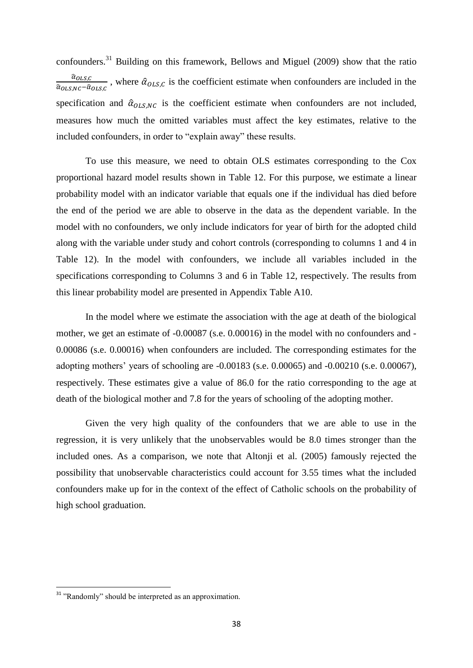confounders.<sup>31</sup> Building on this framework, Bellows and Miguel (2009) show that the ratio  $\widehat{\alpha}_O$  $\frac{u_{OLS,C}}{\hat{\alpha}_{OLS,NC} - \hat{\alpha}_{OLS,C}}$ , where  $\hat{\alpha}_{OLS,C}$  is the coefficient estimate when confounders are included in the specification and  $\hat{\alpha}_{OLS,NC}$  is the coefficient estimate when confounders are not included, measures how much the omitted variables must affect the key estimates, relative to the included confounders, in order to "explain away" these results.

To use this measure, we need to obtain OLS estimates corresponding to the Cox proportional hazard model results shown in Table 12. For this purpose, we estimate a linear probability model with an indicator variable that equals one if the individual has died before the end of the period we are able to observe in the data as the dependent variable. In the model with no confounders, we only include indicators for year of birth for the adopted child along with the variable under study and cohort controls (corresponding to columns 1 and 4 in Table 12). In the model with confounders, we include all variables included in the specifications corresponding to Columns 3 and 6 in Table 12, respectively. The results from this linear probability model are presented in Appendix Table A10.

In the model where we estimate the association with the age at death of the biological mother, we get an estimate of -0.00087 (s.e. 0.00016) in the model with no confounders and - 0.00086 (s.e. 0.00016) when confounders are included. The corresponding estimates for the adopting mothers' years of schooling are -0.00183 (s.e. 0.00065) and -0.00210 (s.e. 0.00067), respectively. These estimates give a value of 86.0 for the ratio corresponding to the age at death of the biological mother and 7.8 for the years of schooling of the adopting mother.

Given the very high quality of the confounders that we are able to use in the regression, it is very unlikely that the unobservables would be 8.0 times stronger than the included ones. As a comparison, we note that Altonji et al. (2005) famously rejected the possibility that unobservable characteristics could account for 3.55 times what the included confounders make up for in the context of the effect of Catholic schools on the probability of high school graduation.

<sup>&</sup>lt;sup>31</sup> "Randomly" should be interpreted as an approximation.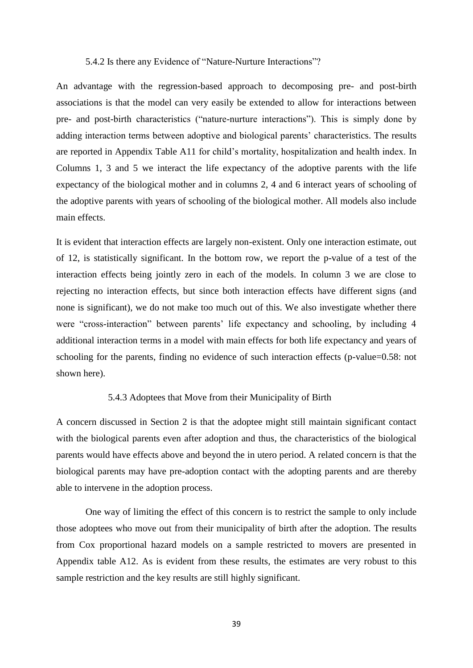### 5.4.2 Is there any Evidence of "Nature-Nurture Interactions"?

An advantage with the regression-based approach to decomposing pre- and post-birth associations is that the model can very easily be extended to allow for interactions between pre- and post-birth characteristics ("nature-nurture interactions"). This is simply done by adding interaction terms between adoptive and biological parents' characteristics. The results are reported in Appendix Table A11 for child's mortality, hospitalization and health index. In Columns 1, 3 and 5 we interact the life expectancy of the adoptive parents with the life expectancy of the biological mother and in columns 2, 4 and 6 interact years of schooling of the adoptive parents with years of schooling of the biological mother. All models also include main effects.

It is evident that interaction effects are largely non-existent. Only one interaction estimate, out of 12, is statistically significant. In the bottom row, we report the p-value of a test of the interaction effects being jointly zero in each of the models. In column 3 we are close to rejecting no interaction effects, but since both interaction effects have different signs (and none is significant), we do not make too much out of this. We also investigate whether there were "cross-interaction" between parents' life expectancy and schooling, by including 4 additional interaction terms in a model with main effects for both life expectancy and years of schooling for the parents, finding no evidence of such interaction effects (p-value=0.58: not shown here).

#### 5.4.3 Adoptees that Move from their Municipality of Birth

A concern discussed in Section 2 is that the adoptee might still maintain significant contact with the biological parents even after adoption and thus, the characteristics of the biological parents would have effects above and beyond the in utero period. A related concern is that the biological parents may have pre-adoption contact with the adopting parents and are thereby able to intervene in the adoption process.

One way of limiting the effect of this concern is to restrict the sample to only include those adoptees who move out from their municipality of birth after the adoption. The results from Cox proportional hazard models on a sample restricted to movers are presented in Appendix table A12. As is evident from these results, the estimates are very robust to this sample restriction and the key results are still highly significant.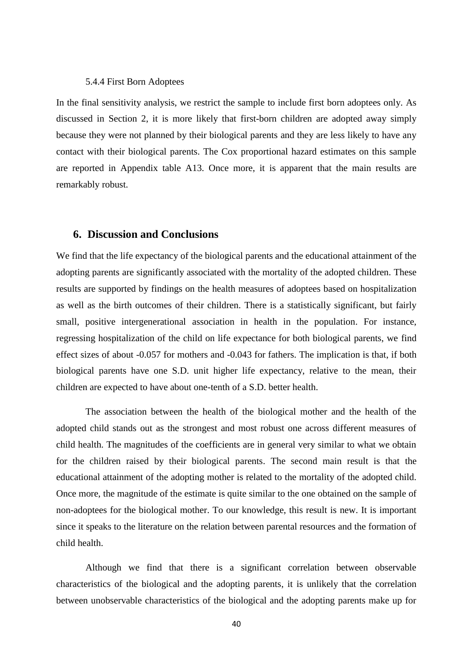#### 5.4.4 First Born Adoptees

In the final sensitivity analysis, we restrict the sample to include first born adoptees only. As discussed in Section 2, it is more likely that first-born children are adopted away simply because they were not planned by their biological parents and they are less likely to have any contact with their biological parents. The Cox proportional hazard estimates on this sample are reported in Appendix table A13. Once more, it is apparent that the main results are remarkably robust.

### **6. Discussion and Conclusions**

We find that the life expectancy of the biological parents and the educational attainment of the adopting parents are significantly associated with the mortality of the adopted children. These results are supported by findings on the health measures of adoptees based on hospitalization as well as the birth outcomes of their children. There is a statistically significant, but fairly small, positive intergenerational association in health in the population. For instance, regressing hospitalization of the child on life expectance for both biological parents, we find effect sizes of about -0.057 for mothers and -0.043 for fathers. The implication is that, if both biological parents have one S.D. unit higher life expectancy, relative to the mean, their children are expected to have about one-tenth of a S.D. better health.

The association between the health of the biological mother and the health of the adopted child stands out as the strongest and most robust one across different measures of child health. The magnitudes of the coefficients are in general very similar to what we obtain for the children raised by their biological parents. The second main result is that the educational attainment of the adopting mother is related to the mortality of the adopted child. Once more, the magnitude of the estimate is quite similar to the one obtained on the sample of non-adoptees for the biological mother. To our knowledge, this result is new. It is important since it speaks to the literature on the relation between parental resources and the formation of child health.

Although we find that there is a significant correlation between observable characteristics of the biological and the adopting parents, it is unlikely that the correlation between unobservable characteristics of the biological and the adopting parents make up for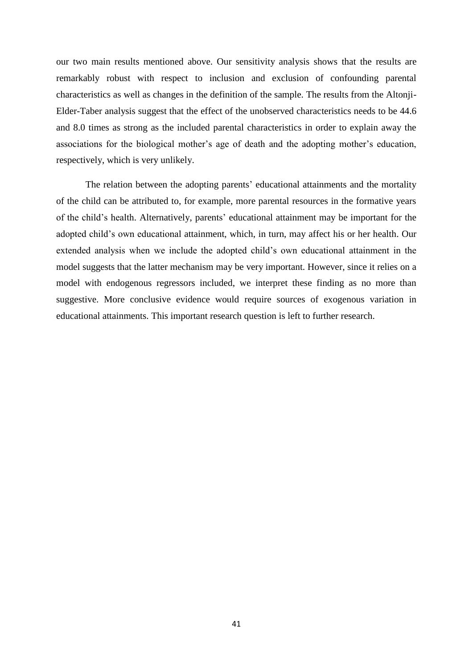our two main results mentioned above. Our sensitivity analysis shows that the results are remarkably robust with respect to inclusion and exclusion of confounding parental characteristics as well as changes in the definition of the sample. The results from the Altonji-Elder-Taber analysis suggest that the effect of the unobserved characteristics needs to be 44.6 and 8.0 times as strong as the included parental characteristics in order to explain away the associations for the biological mother's age of death and the adopting mother's education, respectively, which is very unlikely.

The relation between the adopting parents' educational attainments and the mortality of the child can be attributed to, for example, more parental resources in the formative years of the child's health. Alternatively, parents' educational attainment may be important for the adopted child's own educational attainment, which, in turn, may affect his or her health. Our extended analysis when we include the adopted child's own educational attainment in the model suggests that the latter mechanism may be very important. However, since it relies on a model with endogenous regressors included, we interpret these finding as no more than suggestive. More conclusive evidence would require sources of exogenous variation in educational attainments. This important research question is left to further research.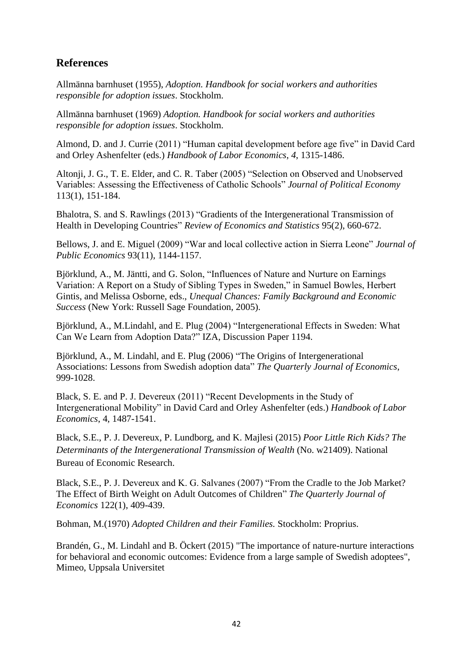# **References**

Allmänna barnhuset (1955), *Adoption. Handbook for social workers and authorities responsible for adoption issues*. Stockholm.

Allmänna barnhuset (1969) *Adoption. Handbook for social workers and authorities responsible for adoption issues*. Stockholm.

Almond, D. and J. Currie (2011) "Human capital development before age five" in David Card and Orley Ashenfelter (eds.) *Handbook of Labor Economics*, *4*, 1315-1486.

Altonii, J. G., T. E. Elder, and C. R. Taber (2005) "Selection on Observed and Unobserved Variables: Assessing the Effectiveness of Catholic Schools" *Journal of Political Economy* 113(1), 151-184.

Bhalotra, S. and S. Rawlings (2013) "Gradients of the Intergenerational Transmission of Health in Developing Countries" *Review of Economics and Statistics* 95(2), 660-672.

Bellows, J. and E. Miguel (2009) "War and local collective action in Sierra Leone" *Journal of Public Economics* 93(11), 1144-1157.

Björklund, A., M. Jäntti, and G. Solon, "Influences of Nature and Nurture on Earnings Variation: A Report on a Study of Sibling Types in Sweden," in Samuel Bowles, Herbert Gintis, and Melissa Osborne, eds., *Unequal Chances: Family Background and Economic Success* (New York: Russell Sage Foundation, 2005).

Björklund, A., M.Lindahl, and E. Plug (2004) "Intergenerational Effects in Sweden: What Can We Learn from Adoption Data?" IZA, Discussion Paper 1194.

Björklund, A., M. Lindahl, and E. Plug (2006) "The Origins of Intergenerational Associations: Lessons from Swedish adoption data" *The Quarterly Journal of Economics*, 999-1028.

Black, S. E. and P. J. Devereux (2011) "Recent Developments in the Study of Intergenerational Mobility" in David Card and Orley Ashenfelter (eds.) *Handbook of Labor Economics*, 4, 1487-1541.

Black, S.E., P. J. Devereux, P. Lundborg, and K. Majlesi (2015) *Poor Little Rich Kids? The Determinants of the Intergenerational Transmission of Wealth* (No. w21409). National Bureau of Economic Research.

Black, S.E., P. J. Devereux and K. G. Salvanes (2007) "From the Cradle to the Job Market? The Effect of Birth Weight on Adult Outcomes of Children" *[The Quarterly Journal of](https://ideas.repec.org/s/oup/qjecon.html)  [Economics](https://ideas.repec.org/s/oup/qjecon.html)* 122(1), 409-439.

Bohman, M.(1970) *Adopted Children and their Families.* Stockholm: Proprius.

Brandén, G., M. Lindahl and B. Öckert (2015) "The importance of nature-nurture interactions for behavioral and economic outcomes: Evidence from a large sample of Swedish adoptees", Mimeo, Uppsala Universitet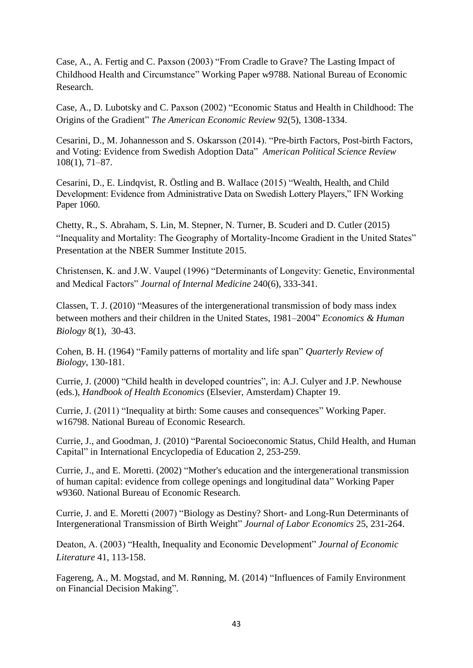Case, A., A. Fertig and C. Paxson (2003) "From Cradle to Grave? The Lasting Impact of Childhood Health and Circumstance" Working Paper w9788. National Bureau of Economic Research.

Case, A., D. Lubotsky and C. Paxson (2002) "Economic Status and Health in Childhood: The Origins of the Gradient" *The American Economic Review* 92(5), 1308-1334.

Cesarini, D., M. Johannesson and S. Oskarsson (2014). "Pre-birth Factors, Post-birth Factors, and Voting: Evidence from Swedish Adoption Data" *American Political Science Review* 108(1), 71–87.

Cesarini, D., E. Lindqvist, R. Östling and B. Wallace (2015) "Wealth, Health, and Child Development: Evidence from Administrative Data on Swedish Lottery Players," IFN Working Paper 1060.

Chetty, R., S. Abraham, S. Lin, M. Stepner, N. Turner, B. Scuderi and D. Cutler (2015) "Inequality and Mortality: The Geography of Mortality-Income Gradient in the United States" Presentation at the NBER Summer Institute 2015.

Christensen, K. and J.W. Vaupel (1996) "Determinants of Longevity: Genetic, Environmental and Medical Factors" *Journal of Internal Medicine* 240(6), 333-341.

Classen, T. J. (2010) ["Measures of the intergenerational transmission of body mass index](http://www.sciencedirect.com/science/article/pii/S1570677X09001026)  [between mothers and their children in the United States, 1981–2004"](http://www.sciencedirect.com/science/article/pii/S1570677X09001026) *[Economics](http://www.sciencedirect.com/science/journal/1570677X) & Human [Biology](http://www.sciencedirect.com/science/journal/1570677X)* 8(1), 30-43.

Cohen, B. H. (1964) "Family patterns of mortality and life span" *Quarterly Review of Biology*, 130-181.

Currie, J. (2000) "Child health in developed countries", in: A.J. Culyer and J.P. Newhouse (eds.), *Handbook of Health Economics* (Elsevier, Amsterdam) Chapter 19.

Currie, J. (2011) "Inequality at birth: Some causes and consequences" Working Paper. w16798. National Bureau of Economic Research.

Currie, J., and Goodman, J. (2010) "Parental Socioeconomic Status, Child Health, and Human Capital" in International Encyclopedia of Education 2, 253-259.

Currie, J., and E. Moretti. (2002) "Mother's education and the intergenerational transmission of human capital: evidence from college openings and longitudinal data" Working Paper w9360. National Bureau of Economic Research.

Currie, J. and E. Moretti (2007) "Biology as Destiny? Short- [and Long-Run Determinants of](https://ideas.repec.org/a/ucp/jlabec/v25y2007p231-264.html)  [Intergenerational Transmission of Birth Weight"](https://ideas.repec.org/a/ucp/jlabec/v25y2007p231-264.html) *[Journal of Labor Economics](https://ideas.repec.org/s/ucp/jlabec.html)* 25, 231-264.

Deaton, A. (2003) "Health, Inequality and Economic Development" *Journal of Economic Literature* 41, 113-158.

Fagereng, A., M. Mogstad, and M. Rønning, M. (2014) "Influences of Family Environment on Financial Decision Making".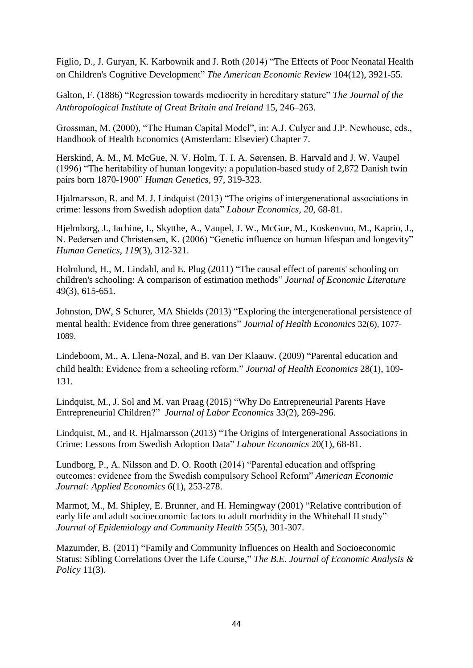Figlio, D., J. Guryan, K. Karbownik and J. Roth (2014) ["The Effects of Poor Neonatal Health](https://www.aeaweb.org/articles.php?doi=10.1257/aer.104.12.3921)  [on Children's Cognitive Development"](https://www.aeaweb.org/articles.php?doi=10.1257/aer.104.12.3921) *The American Economic Review* 104(12), 3921-55.

Galton, F. (1886) "Regression towards mediocrity in hereditary stature" *The Journal of the Anthropological Institute of Great Britain and Ireland* 15, 246–263.

Grossman, M. (2000), "The Human Capital Model", in: A.J. Culyer and J.P. Newhouse, eds., Handbook of Health Economics (Amsterdam: Elsevier) Chapter 7.

Herskind, A. M., M. McGue, N. V. Holm, T. I. A. Sørensen, B. Harvald and J. W. Vaupel (1996) "The heritability of human longevity: a population-based study of 2,872 Danish twin pairs born 1870-1900" *Human Genetics*, 97, 319-323.

Hjalmarsson, R. and M. J. Lindquist (2013) "The origins of intergenerational associations in crime: lessons from Swedish adoption data" *Labour Economics*, *20*, 68-81.

Hjelmborg, J., Iachine, I., Skytthe, A., Vaupel, J. W., McGue, M., Koskenvuo, M., Kaprio, J., N. Pedersen and Christensen, K. (2006) "Genetic influence on human lifespan and longevity" *Human Genetics*, *119*(3), 312-321.

Holmlund, H., M. Lindahl, and E. Plug (2011) "The causal effect of parents' schooling on children's schooling: A comparison of estimation methods" *Journal of Economic Literature* 49(3), 615-651.

Johnston, DW, [S Schurer,](http://scholar.google.se/citations?user=pCeqmisAAAAJ&hl=en&oi=sra) MA Shields (2013) ["Exploring the intergenerational persistence of](http://www.sciencedirect.com/science/article/pii/S0167629613001082)  [mental health: Evidence from three generations"](http://www.sciencedirect.com/science/article/pii/S0167629613001082) *Journal of Health Economics* 32(6), 1077- 1089.

Lindeboom, M., A. Llena-Nozal, and B. van Der Klaauw. (2009) "Parental education and child health: Evidence from a schooling reform." *Journal of Health Economics* 28(1), 109- 131.

Lindquist, M., J. Sol and M. van Praag (2015) ["Why Do Entrepreneurial Parents](http://www2.sofi.su.se/~mjl/docs/Intergenerational_Entrepreneurship_20130813.pdf) Have [Entrepreneurial Children?"](http://www2.sofi.su.se/~mjl/docs/Intergenerational_Entrepreneurship_20130813.pdf) *Journal of Labor Economics* 33(2), 269-296.

Lindquist, M., and R. Hjalmarsson (2013) ["The Origins of Intergenerational Associations in](http://www.sciencedirect.com/science/article/pii/S0927537112001091)  [Crime: Lessons from Swedish Adoption Data"](http://www.sciencedirect.com/science/article/pii/S0927537112001091) *Labour Economics* 20(1), 68-81.

Lundborg, P., A. Nilsson and D. O. Rooth (2014) "Parental education and offspring outcomes: evidence from the Swedish compulsory School Reform" *American Economic Journal: Applied Economics 6*(1), 253-278.

Marmot, M., M. Shipley, E. Brunner, and H. Hemingway (2001) "Relative contribution of early life and adult socioeconomic factors to adult morbidity in the Whitehall II study" *Journal of Epidemiology and Community Health 55*(5), 301-307.

Mazumder, B. (2011) "Family and Community Influences on Health and Socioeconomic Status: Sibling Correlations Over the Life Course," *The B.E. Journal of Economic Analysis & Policy* 11(3).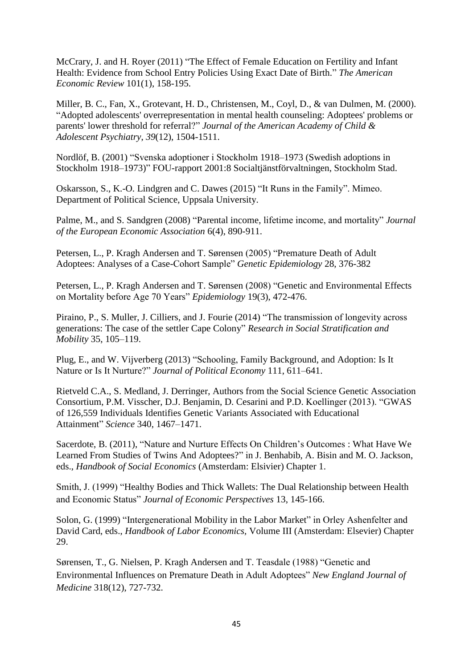McCrary, J. and H. Royer (2011) "The Effect of Female Education on Fertility and Infant Health: Evidence from School Entry Policies Using Exact Date of Birth." *The American Economic Review* 101(1), 158-195.

Miller, B. C., Fan, X., Grotevant, H. D., Christensen, M., Coyl, D., & van Dulmen, M. (2000). "Adopted adolescents' overrepresentation in mental health counseling: Adoptees' problems or parents' lower threshold for referral?" *Journal of the American Academy of Child & Adolescent Psychiatry*, *39*(12), 1504-1511.

Nordlöf, B. (2001) "Svenska adoptioner i Stockholm 1918–1973 (Swedish adoptions in Stockholm 1918–1973)" FOU-rapport 2001:8 Socialtjänstförvaltningen, Stockholm Stad.

Oskarsson, S., K.-O. Lindgren and C. Dawes (2015) "It Runs in the Family". Mimeo. Department of Political Science, Uppsala University.

Palme, M., and S. Sandgren (2008) "Parental income, lifetime income, and mortality" *Journal of the European Economic Association* 6(4), 890-911.

Petersen, L., P. Kragh Andersen and T. Sørensen (2005) "Premature Death of Adult Adoptees: Analyses of a Case-Cohort Sample" *Genetic Epidemiology* 28, 376-382

Petersen, L., P. Kragh Andersen and T. Sørensen (2008) "Genetic and Environmental Effects on Mortality before Age 70 Years" *Epidemiology* 19(3), 472-476.

Piraino, P., S. Muller, J. Cilliers, and J. Fourie (2014) "The transmission of longevity across generations: The case of the settler Cape Colony" *Research in Social [Stratification](http://www.sciencedirect.com/science/journal/02765624) and [Mobility](http://www.sciencedirect.com/science/journal/02765624)* 35, 105–119.

Plug, E., and W. Vijverberg (2013) "Schooling, Family Background, and Adoption: Is It Nature or Is It Nurture?" *Journal of Political Economy* 111, 611–641.

Rietveld C.A., S. Medland, J. Derringer, Authors from the Social Science Genetic Association Consortium, P.M. Visscher, D.J. Benjamin, D. Cesarini and P.D. Koellinger (2013). "GWAS of 126,559 Individuals Identifies Genetic Variants Associated with Educational Attainment" *Science* 340, 1467–1471.

Sacerdote, B. (2011), "Nature and Nurture Effects On Children's Outcomes : What Have We Learned From Studies of Twins And Adoptees?" in J. Benhabib, A. Bisin and M. O. Jackson, eds., *Handbook of Social Economics* (Amsterdam: Elsivier) Chapter 1.

Smith, J. (1999) "Healthy Bodies and Thick Wallets: The Dual Relationship between Health and Economic Status" *Journal of Economic Perspectives* 13, 145-166.

Solon, G. (1999) "Intergenerational Mobility in the Labor Market" in Orley Ashenfelter and David Card, eds., *Handbook of Labor Economics,* Volume III (Amsterdam: Elsevier) Chapter 29.

Sørensen, T., G. Nielsen, P. Kragh Andersen and T. Teasdale (1988) "Genetic and Environmental Influences on Premature Death in Adult Adoptees" *New England Journal of Medicine* 318(12), 727-732.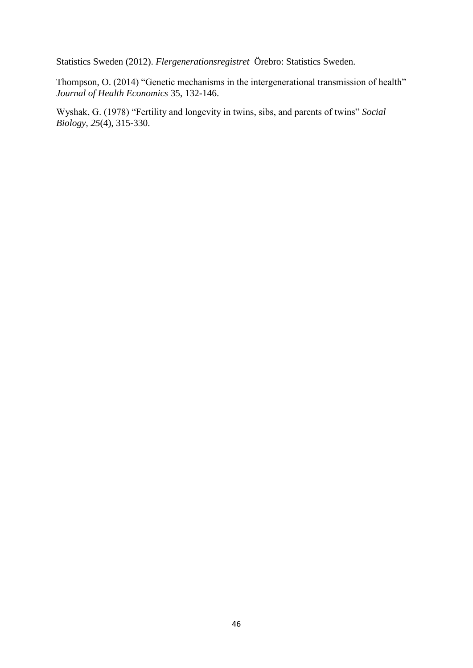Statistics Sweden (2012). *Flergenerationsregistret* Örebro: Statistics Sweden.

Thompson, O. (2014) "Genetic mechanisms in the intergenerational transmission of health" *Journal of Health Economics* 35, 132-146.

Wyshak, G. (1978) "Fertility and longevity in twins, sibs, and parents of twins" *Social Biology*, *25*(4), 315-330.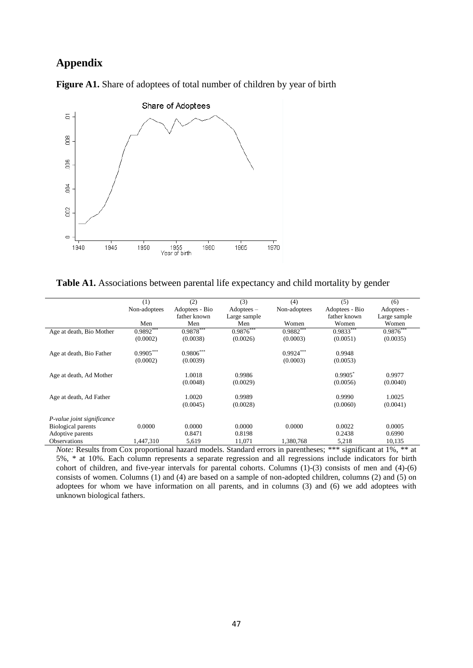# **Appendix**



Figure A1. Share of adoptees of total number of children by year of birth

Table A1. Associations between parental life expectancy and child mortality by gender

|                            | (1)          | (2)            | (3)          | (4)          | (5)            | (6)          |
|----------------------------|--------------|----------------|--------------|--------------|----------------|--------------|
|                            | Non-adoptees | Adoptees - Bio | $Adoptees -$ | Non-adoptees | Adoptees - Bio | Adoptees -   |
|                            |              | father known   | Large sample |              | father known   | Large sample |
|                            | Men          | Men            | Men          | Women        | Women          | Women        |
| Age at death, Bio Mother   | $0.9892***$  | $0.9878***$    | $0.9876***$  | $0.9882***$  | $0.9833***$    | $0.9876***$  |
|                            | (0.0002)     | (0.0038)       | (0.0026)     | (0.0003)     | (0.0051)       | (0.0035)     |
| Age at death, Bio Father   | $0.9905***$  | $0.9806***$    |              | $0.9924***$  | 0.9948         |              |
|                            | (0.0002)     | (0.0039)       |              | (0.0003)     | (0.0053)       |              |
| Age at death, Ad Mother    |              | 1.0018         | 0.9986       |              | $0.9905^*$     | 0.9977       |
|                            |              | (0.0048)       | (0.0029)     |              | (0.0056)       | (0.0040)     |
| Age at death, Ad Father    |              | 1.0020         | 0.9989       |              | 0.9990         | 1.0025       |
|                            |              | (0.0045)       | (0.0028)     |              | (0.0060)       | (0.0041)     |
| P-value joint significance |              |                |              |              |                |              |
| Biological parents         | 0.0000       | 0.0000         | 0.0000       | 0.0000       | 0.0022         | 0.0005       |
| Adoptive parents           |              | 0.8471         | 0.8198       |              | 0.2438         | 0.6990       |
| <b>Observations</b>        | 1.447.310    | 5.619          | 11.071       | 1.380.768    | 5.218          | 10.135       |
|                            |              |                |              |              |                |              |

*Note:* Results from Cox proportional hazard models. Standard errors in parentheses; \*\*\* significant at 1%, \*\* at 5%, \* at 10%. Each column represents a separate regression and all regressions include indicators for birth cohort of children, and five-year intervals for parental cohorts. Columns (1)-(3) consists of men and (4)-(6) consists of women. Columns (1) and (4) are based on a sample of non-adopted children, columns (2) and (5) on adoptees for whom we have information on all parents, and in columns (3) and (6) we add adoptees with unknown biological fathers.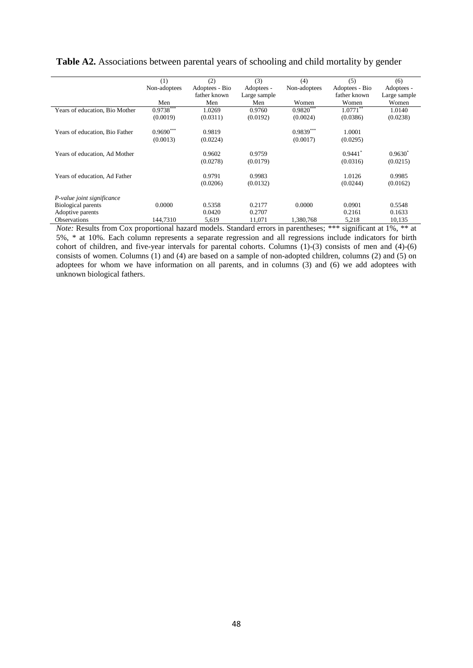|                                | (1)          | (2)            | (3)          | (4)          | (5)                   | (6)              |
|--------------------------------|--------------|----------------|--------------|--------------|-----------------------|------------------|
|                                | Non-adoptees | Adoptees - Bio | Adoptees -   | Non-adoptees | Adoptees - Bio        | Adoptees -       |
|                                |              | father known   | Large sample |              | father known          | Large sample     |
|                                | Men          | Men            | Men          | Women        | Women                 | Women            |
| Years of education, Bio Mother | $0.9738***$  | 1.0269         | 0.9760       | $0.9820***$  | $1.0771***$           | 1.0140           |
|                                | (0.0019)     | (0.0311)       | (0.0192)     | (0.0024)     | (0.0386)              | (0.0238)         |
| Years of education, Bio Father | $0.9690***$  | 0.9819         |              | $0.9839***$  | 1.0001                |                  |
|                                | (0.0013)     | (0.0224)       |              | (0.0017)     | (0.0295)              |                  |
| Years of education, Ad Mother  |              | 0.9602         | 0.9759       |              | $0.9441$ <sup>*</sup> | $0.9630^{\circ}$ |
|                                |              | (0.0278)       | (0.0179)     |              | (0.0316)              | (0.0215)         |
|                                |              |                |              |              |                       |                  |
| Years of education, Ad Father  |              | 0.9791         | 0.9983       |              | 1.0126                | 0.9985           |
|                                |              | (0.0206)       | (0.0132)     |              | (0.0244)              | (0.0162)         |
| P-value joint significance     |              |                |              |              |                       |                  |
| <b>Biological parents</b>      | 0.0000       | 0.5358         | 0.2177       | 0.0000       | 0.0901                | 0.5548           |
| Adoptive parents               |              | 0.0420         | 0.2707       |              | 0.2161                | 0.1633           |
| <b>Observations</b>            | 144.7310     | 5,619          | 11.071       | 1.380.768    | 5,218                 | 10.135           |

**Table A2.** Associations between parental years of schooling and child mortality by gender

*Note:* Results from Cox proportional hazard models. Standard errors in parentheses; \*\*\* significant at 1%, \*\* at 5%, \* at 10%. Each column represents a separate regression and all regressions include indicators for birth cohort of children, and five-year intervals for parental cohorts. Columns (1)-(3) consists of men and (4)-(6) consists of women. Columns (1) and (4) are based on a sample of non-adopted children, columns (2) and (5) on adoptees for whom we have information on all parents, and in columns (3) and (6) we add adoptees with unknown biological fathers.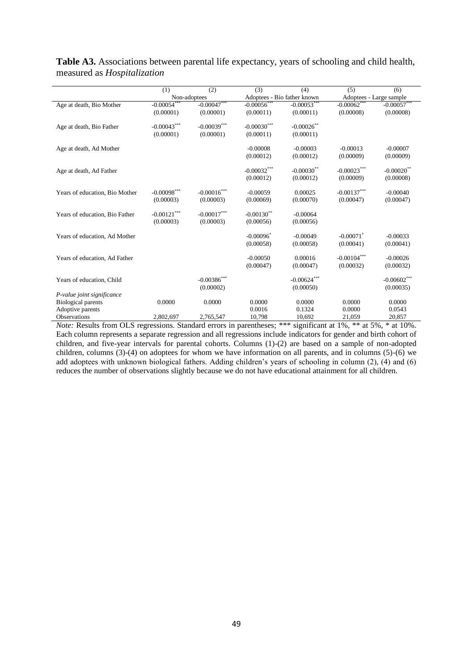|                                | (1)            | (2)              | (3)                         | (4)           | (5)                     | (6)           |
|--------------------------------|----------------|------------------|-----------------------------|---------------|-------------------------|---------------|
|                                | Non-adoptees   |                  | Adoptees - Bio father known |               | Adoptees - Large sample |               |
| Age at death, Bio Mother       | $-0.00054$     | $-0.00047***$    | $-0.00056$ **               | $-0.00053***$ | $-0.00062$ **           | $-0.00057***$ |
|                                | (0.00001)      | (0.00001)        | (0.00011)                   | (0.00011)     | (0.00008)               | (0.00008)     |
| Age at death, Bio Father       | $-0.00043***$  | $-0.00039***$    | $-0.00030***$               | $-0.00026$ ** |                         |               |
|                                | (0.00001)      | (0.00001)        | (0.00011)                   | (0.00011)     |                         |               |
|                                |                |                  |                             |               |                         |               |
| Age at death, Ad Mother        |                |                  | $-0.00008$                  | $-0.00003$    | $-0.00013$              | $-0.00007$    |
|                                |                |                  | (0.00012)                   | (0.00012)     | (0.00009)               | (0.00009)     |
| Age at death, Ad Father        |                |                  | $-0.00032***$               | $-0.00030$ ** | $-0.00023***$           | $-0.00020$ ** |
|                                |                |                  | (0.00012)                   | (0.00012)     | (0.00009)               | (0.00008)     |
|                                |                |                  |                             |               |                         |               |
| Years of education, Bio Mother | $-0.00098$ *** | $-0.00016$ ***   | $-0.00059$                  | 0.00025       | $-0.00137***$           | $-0.00040$    |
|                                | (0.00003)      | (0.00003)        | (0.00069)                   | (0.00070)     | (0.00047)               | (0.00047)     |
|                                |                |                  |                             |               |                         |               |
| Years of education, Bio Father | $-0.00121***$  | $-0.00017^{***}$ | $-0.00130$ <sup>**</sup>    | $-0.00064$    |                         |               |
|                                | (0.00003)      | (0.00003)        | (0.00056)                   | (0.00056)     |                         |               |
|                                |                |                  |                             |               |                         |               |
| Years of education, Ad Mother  |                |                  | $-0.00096$ <sup>*</sup>     | $-0.00049$    | $-0.00071$ <sup>*</sup> | $-0.00033$    |
|                                |                |                  | (0.00058)                   | (0.00058)     | (0.00041)               | (0.00041)     |
| Years of education, Ad Father  |                |                  | $-0.00050$                  | 0.00016       | $-0.00104***$           | $-0.00026$    |
|                                |                |                  | (0.00047)                   | (0.00047)     | (0.00032)               | (0.00032)     |
|                                |                |                  |                             |               |                         |               |
| Years of education, Child      |                | $-0.00386$ ***   |                             | $-0.00624***$ |                         | $-0.00602***$ |
|                                |                | (0.00002)        |                             | (0.00050)     |                         | (0.00035)     |
| P-value joint significance     |                |                  |                             |               |                         |               |
| <b>Biological parents</b>      | 0.0000         | 0.0000           | 0.0000                      | 0.0000        | 0.0000                  | 0.0000        |
| Adoptive parents               |                |                  | 0.0016                      | 0.1324        | 0.0000                  | 0.0543        |
| <b>Observations</b>            | 2,802,697      | 2,765,547        | 10,798                      | 10,692        | 21,059                  | 20,857        |

### **Table A3.** Associations between parental life expectancy, years of schooling and child health, measured as *Hospitalization*

*Note:* Results from OLS regressions. Standard errors in parentheses; \*\*\* significant at 1%, \*\* at 5%, \* at 10%. Each column represents a separate regression and all regressions include indicators for gender and birth cohort of children, and five-year intervals for parental cohorts. Columns (1)-(2) are based on a sample of non-adopted children, columns (3)-(4) on adoptees for whom we have information on all parents, and in columns (5)-(6) we add adoptees with unknown biological fathers. Adding children's years of schooling in column (2), (4) and (6) reduces the number of observations slightly because we do not have educational attainment for all children.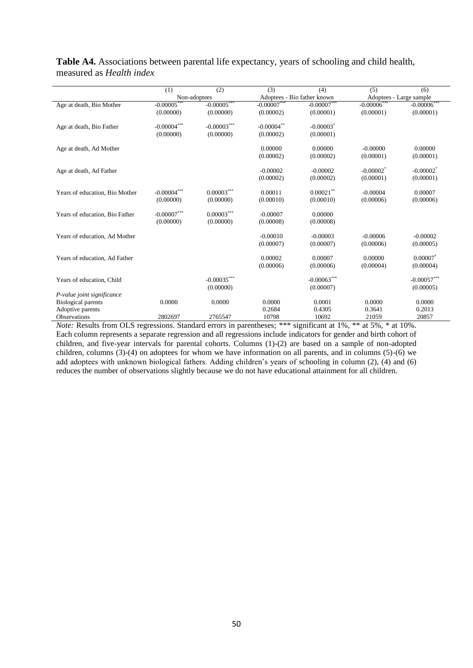|                                | (1)                | (2)               | (3)                         | (4)                     | (5)                     | (6)                     |
|--------------------------------|--------------------|-------------------|-----------------------------|-------------------------|-------------------------|-------------------------|
|                                | Non-adoptees       |                   | Adoptees - Bio father known |                         | Adoptees - Large sample |                         |
| Age at death, Bio Mother       | $-0.00005$ **      | $-0.00005***$     | $-0.00007$                  | $-0.00007***$           | $-0.00006$ <sup>*</sup> | $-0.00006***$           |
|                                | (0.00000)          | (0.00000)         | (0.00002)                   | (0.00001)               | (0.00001)               | (0.00001)               |
| Age at death, Bio Father       | $-0.00004^{***}\,$ | $-0.00003***$     | $-0.00004$ **               | $-0.00003$ <sup>*</sup> |                         |                         |
|                                | (0.00000)          | (0.00000)         | (0.00002)                   | (0.00001)               |                         |                         |
| Age at death, Ad Mother        |                    |                   | 0.00000                     | 0.00000                 | $-0.00000$              | 0.00000                 |
|                                |                    |                   | (0.00002)                   | (0.00002)               | (0.00001)               | (0.00001)               |
| Age at death, Ad Father        |                    |                   | $-0.00002$                  | $-0.00002$              | $-0.00002$ <sup>*</sup> | $-0.00002$ <sup>*</sup> |
|                                |                    |                   | (0.00002)                   | (0.00002)               | (0.00001)               | (0.00001)               |
| Years of education, Bio Mother | $-0.00004***$      | $0.00003^{***}\,$ | 0.00011                     | $0.00021$ **            | $-0.00004$              | 0.00007                 |
|                                | (0.00000)          | (0.00000)         | (0.00010)                   | (0.00010)               | (0.00006)               | (0.00006)               |
| Years of education, Bio Father | $-0.00007***$      | $0.00003***$      | $-0.00007$                  | 0.00000                 |                         |                         |
|                                | (0.00000)          | (0.00000)         | (0.00008)                   | (0.00008)               |                         |                         |
| Years of education, Ad Mother  |                    |                   | $-0.00010$                  | $-0.00003$              | $-0.00006$              | $-0.00002$              |
|                                |                    |                   | (0.00007)                   | (0.00007)               | (0.00006)               | (0.00005)               |
| Years of education, Ad Father  |                    |                   | 0.00002                     | 0.00007                 | 0.00000                 | 0.00007                 |
|                                |                    |                   | (0.00006)                   | (0.00006)               | (0.00004)               | (0.00004)               |
| Years of education, Child      |                    | $-0.00035***$     |                             | $-0.00063***$           |                         | $-0.00057***$           |
|                                |                    | (0.00000)         |                             | (0.00007)               |                         | (0.00005)               |
| P-value joint significance     |                    |                   |                             |                         |                         |                         |
| Biological parents             | 0.0000             | 0.0000            | 0.0000                      | 0.0001                  | 0.0000                  | 0.0000                  |
| Adoptive parents               |                    |                   | 0.2684                      | 0.4305                  | 0.3641                  | 0.2013                  |
| Observations                   | 2802697            | 2765547           | 10798                       | 10692                   | 21059                   | 20857                   |

**Table A4.** Associations between parental life expectancy, years of schooling and child health, measured as *Health index*

*Note:* Results from OLS regressions. Standard errors in parentheses; \*\*\* significant at 1%, \*\* at 5%, \* at 10%. Each column represents a separate regression and all regressions include indicators for gender and birth cohort of children, and five-year intervals for parental cohorts. Columns (1)-(2) are based on a sample of non-adopted children, columns (3)-(4) on adoptees for whom we have information on all parents, and in columns (5)-(6) we add adoptees with unknown biological fathers. Adding children's years of schooling in column (2), (4) and (6) reduces the number of observations slightly because we do not have educational attainment for all children.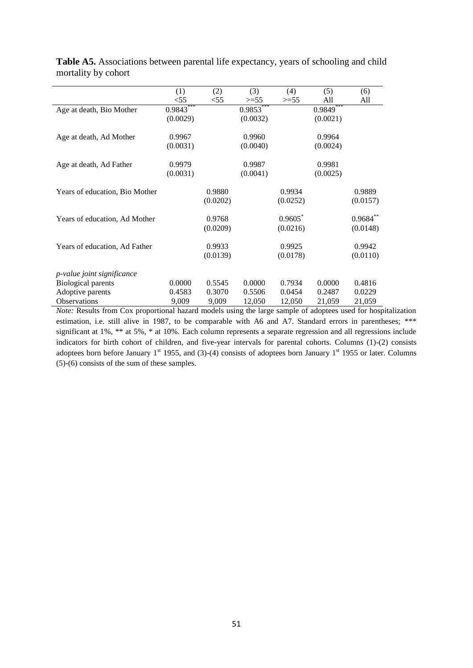|                                   | (1)         | (2)      | (3)         | (4)      | (5)         | (6)         |
|-----------------------------------|-------------|----------|-------------|----------|-------------|-------------|
|                                   | $<$ 55      | $<$ 55   | $>=55$      | $>=55$   | All         | All         |
| Age at death, Bio Mother          | $0.9843***$ |          | $0.9853***$ |          | $0.9849***$ |             |
|                                   | (0.0029)    |          | (0.0032)    |          | (0.0021)    |             |
| Age at death, Ad Mother           | 0.9967      |          | 0.9960      |          | 0.9964      |             |
|                                   | (0.0031)    |          | (0.0040)    |          | (0.0024)    |             |
| Age at death, Ad Father           | 0.9979      |          | 0.9987      |          | 0.9981      |             |
|                                   | (0.0031)    |          | (0.0041)    |          | (0.0025)    |             |
| Years of education, Bio Mother    |             | 0.9880   |             | 0.9934   |             | 0.9889      |
|                                   |             | (0.0202) |             | (0.0252) |             | (0.0157)    |
| Years of education, Ad Mother     |             | 0.9768   |             | 0.9605   |             | $0.9684***$ |
|                                   |             | (0.0209) |             | (0.0216) |             | (0.0148)    |
| Years of education, Ad Father     |             | 0.9933   |             | 0.9925   |             | 0.9942      |
|                                   |             | (0.0139) |             | (0.0178) |             | (0.0110)    |
| <i>p-value joint significance</i> |             |          |             |          |             |             |
| <b>Biological parents</b>         | 0.0000      | 0.5545   | 0.0000      | 0.7934   | 0.0000      | 0.4816      |
| Adoptive parents                  | 0.4583      | 0.3070   | 0.5506      | 0.0454   | 0.2487      | 0.0229      |
| <b>Observations</b>               | 9,009       | 9,009    | 12,050      | 12,050   | 21,059      | 21,059      |

**Table A5.** Associations between parental life expectancy, years of schooling and child mortality by cohort

*Note:* Results from Cox proportional hazard models using the large sample of adoptees used for hospitalization estimation, i.e. still alive in 1987, to be comparable with A6 and A7. Standard errors in parentheses; \*\*\* significant at 1%, \*\* at 5%, \* at 10%. Each column represents a separate regression and all regressions include indicators for birth cohort of children, and five-year intervals for parental cohorts. Columns (1)-(2) consists adoptees born before January  $1<sup>st</sup>$  1955, and (3)-(4) consists of adoptees born January  $1<sup>st</sup>$  1955 or later. Columns (5)-(6) consists of the sum of these samples.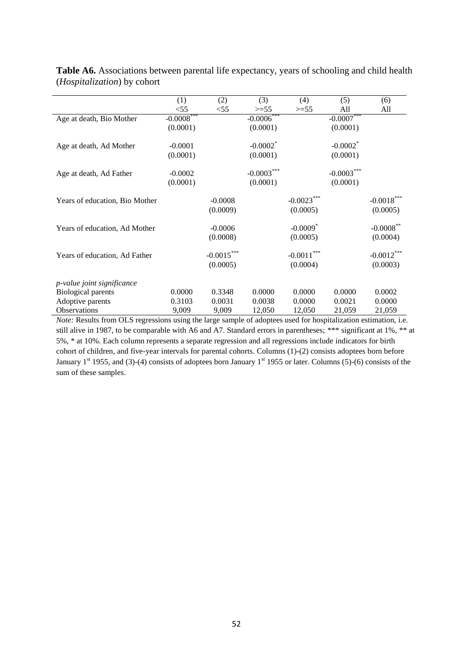|                                | (1)          | (2)                      | (3)                    | (4)                                | (5)                    | (6)                      |
|--------------------------------|--------------|--------------------------|------------------------|------------------------------------|------------------------|--------------------------|
|                                | < 55         | $<$ 55                   | $>=55$                 | $>=55$                             | All                    | All                      |
| Age at death, Bio Mother       | $-0.0008***$ |                          | $-0.0006***$           |                                    | $-0.0007***$           |                          |
|                                | (0.0001)     |                          | (0.0001)               |                                    | (0.0001)               |                          |
| Age at death, Ad Mother        | $-0.0001$    |                          | $-0.0002$ <sup>*</sup> |                                    | $-0.0002$ <sup>*</sup> |                          |
|                                | (0.0001)     |                          | (0.0001)               |                                    | (0.0001)               |                          |
| Age at death, Ad Father        | $-0.0002$    |                          | $-0.0003***$           |                                    | $-0.0003***$           |                          |
|                                | (0.0001)     |                          | (0.0001)               |                                    | (0.0001)               |                          |
| Years of education, Bio Mother |              | $-0.0008$<br>(0.0009)    |                        | $-0.0023***$<br>(0.0005)           |                        | $-0.0018***$<br>(0.0005) |
| Years of education, Ad Mother  |              | $-0.0006$<br>(0.0008)    |                        | $-0.0009$ <sup>*</sup><br>(0.0005) |                        | $-0.0008$ **<br>(0.0004) |
| Years of education, Ad Father  |              | $-0.0015***$<br>(0.0005) |                        | $-0.0011***$<br>(0.0004)           |                        | $-0.0012***$<br>(0.0003) |
| p-value joint significance     |              |                          |                        |                                    |                        |                          |
| Biological parents             | 0.0000       | 0.3348                   | 0.0000                 | 0.0000                             | 0.0000                 | 0.0002                   |
| Adoptive parents               | 0.3103       | 0.0031                   | 0.0038                 | 0.0000                             | 0.0021                 | 0.0000                   |
| <b>Observations</b>            | 9,009        | 9,009                    | 12,050                 | 12,050                             | 21,059                 | 21,059                   |

Table A6. Associations between parental life expectancy, years of schooling and child health (*Hospitalization*) by cohort

*Note:* Results from OLS regressions using the large sample of adoptees used for hospitalization estimation, i.e. still alive in 1987, to be comparable with A6 and A7. Standard errors in parentheses; \*\*\* significant at 1%, \*\* at 5%, \* at 10%. Each column represents a separate regression and all regressions include indicators for birth cohort of children, and five-year intervals for parental cohorts. Columns (1)-(2) consists adoptees born before January  $1^{st}$  1955, and (3)-(4) consists of adoptees born January  $1^{st}$  1955 or later. Columns (5)-(6) consists of the sum of these samples.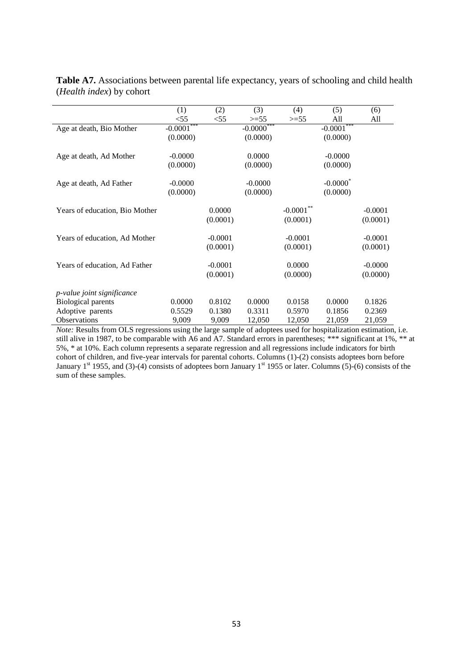|                                   | (1)          | (2)       | (3)          | (4)         | (5)                    | (6)       |
|-----------------------------------|--------------|-----------|--------------|-------------|------------------------|-----------|
|                                   | $<$ 55       | $<$ 55    | $>=55$       | $>=55$      | All                    | All       |
| Age at death, Bio Mother          | $-0.0001***$ |           | $-0.0000***$ |             | $-0.0001***$           |           |
|                                   | (0.0000)     |           | (0.0000)     |             | (0.0000)               |           |
| Age at death, Ad Mother           | $-0.0000$    |           | 0.0000       |             | $-0.0000$              |           |
|                                   | (0.0000)     |           | (0.0000)     |             | (0.0000)               |           |
| Age at death, Ad Father           | $-0.0000$    |           | $-0.0000$    |             | $-0.0000$ <sup>*</sup> |           |
|                                   | (0.0000)     |           | (0.0000)     |             | (0.0000)               |           |
| Years of education, Bio Mother    |              | 0.0000    |              | $-0.0001**$ |                        | $-0.0001$ |
|                                   |              | (0.0001)  |              | (0.0001)    |                        | (0.0001)  |
| Years of education, Ad Mother     |              | $-0.0001$ |              | $-0.0001$   |                        | $-0.0001$ |
|                                   |              | (0.0001)  |              | (0.0001)    |                        | (0.0001)  |
| Years of education, Ad Father     |              | $-0.0001$ |              | 0.0000      |                        | $-0.0000$ |
|                                   |              | (0.0001)  |              | (0.0000)    |                        | (0.0000)  |
| <i>p-value joint significance</i> |              |           |              |             |                        |           |
| <b>Biological parents</b>         | 0.0000       | 0.8102    | 0.0000       | 0.0158      | 0.0000                 | 0.1826    |
| Adoptive parents                  | 0.5529       | 0.1380    | 0.3311       | 0.5970      | 0.1856                 | 0.2369    |
| <b>Observations</b>               | 9,009        | 9,009     | 12,050       | 12,050      | 21,059                 | 21,059    |

**Table A7.** Associations between parental life expectancy, years of schooling and child health (*Health index*) by cohort

*Note:* Results from OLS regressions using the large sample of adoptees used for hospitalization estimation, i.e. still alive in 1987, to be comparable with A6 and A7. Standard errors in parentheses; \*\*\* significant at 1%, \*\* at 5%, \* at 10%. Each column represents a separate regression and all regressions include indicators for birth cohort of children, and five-year intervals for parental cohorts. Columns (1)-(2) consists adoptees born before January 1<sup>st</sup> 1955, and (3)-(4) consists of adoptees born January 1<sup>st</sup> 1955 or later. Columns (5)-(6) consists of the sum of these samples.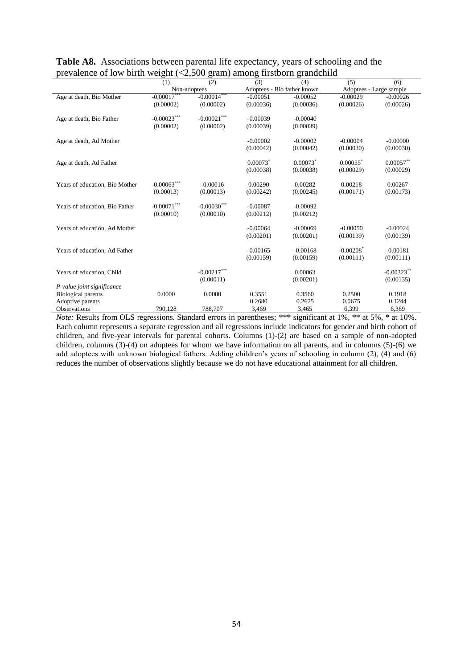| $\alpha$ concrete of low offer weight ( $\leq 2,000$<br>$\mu$ anong mstoom grandenno |                           |                           |            |                             |                         |                         |  |  |  |
|--------------------------------------------------------------------------------------|---------------------------|---------------------------|------------|-----------------------------|-------------------------|-------------------------|--|--|--|
|                                                                                      | (1)                       | (2)                       | (3)        | (4)                         | (5)                     | (6)                     |  |  |  |
|                                                                                      | Non-adoptees              |                           |            | Adoptees - Bio father known |                         | Adoptees - Large sample |  |  |  |
| Age at death, Bio Mother                                                             | $-0.00017$                | $-0.00014$ ***            | $-0.00051$ | $-0.00052$                  | $-0.00029$              | $-0.00026$              |  |  |  |
|                                                                                      | (0.00002)                 | (0.00002)                 | (0.00036)  | (0.00036)                   | (0.00026)               | (0.00026)               |  |  |  |
| Age at death, Bio Father                                                             | $-0.00023^{***}\,$        | $-0.00021^{\ast\ast\ast}$ | $-0.00039$ | $-0.00040$                  |                         |                         |  |  |  |
|                                                                                      | (0.00002)                 | (0.00002)                 | (0.00039)  | (0.00039)                   |                         |                         |  |  |  |
|                                                                                      |                           |                           |            |                             |                         |                         |  |  |  |
| Age at death, Ad Mother                                                              |                           |                           | $-0.00002$ | $-0.00002$                  | $-0.00004$              | $-0.00000$              |  |  |  |
|                                                                                      |                           |                           | (0.00042)  | (0.00042)                   | (0.00030)               | (0.00030)               |  |  |  |
| Age at death, Ad Father                                                              |                           |                           | 0.00073    | $0.00073$ <sup>*</sup>      | $0.00055$ <sup>*</sup>  | $0.00057$ **            |  |  |  |
|                                                                                      |                           |                           | (0.00038)  | (0.00038)                   | (0.00029)               | (0.00029)               |  |  |  |
|                                                                                      |                           |                           |            |                             |                         |                         |  |  |  |
| Years of education, Bio Mother                                                       | $-0.00063***$             | $-0.00016$                | 0.00290    | 0.00282                     | 0.00218                 | 0.00267                 |  |  |  |
|                                                                                      | (0.00013)                 | (0.00013)                 | (0.00242)  | (0.00245)                   | (0.00171)               | (0.00173)               |  |  |  |
|                                                                                      |                           |                           |            |                             |                         |                         |  |  |  |
| Years of education, Bio Father                                                       | $-0.00071^{\ast\ast\ast}$ | $-0.00030***$             | $-0.00087$ | $-0.00092$                  |                         |                         |  |  |  |
|                                                                                      | (0.00010)                 | (0.00010)                 | (0.00212)  | (0.00212)                   |                         |                         |  |  |  |
|                                                                                      |                           |                           |            |                             |                         |                         |  |  |  |
| Years of education, Ad Mother                                                        |                           |                           | $-0.00064$ | $-0.00069$                  | $-0.00050$              | $-0.00024$              |  |  |  |
|                                                                                      |                           |                           | (0.00201)  | (0.00201)                   | (0.00139)               | (0.00139)               |  |  |  |
|                                                                                      |                           |                           |            |                             |                         |                         |  |  |  |
| Years of education, Ad Father                                                        |                           |                           | $-0.00165$ | $-0.00168$                  | $-0.00208$ <sup>*</sup> | $-0.00181$              |  |  |  |
|                                                                                      |                           |                           | (0.00159)  | (0.00159)                   | (0.00111)               | (0.00111)               |  |  |  |
| Years of education, Child                                                            |                           | $-0.00217***$             |            | 0.00063                     |                         | $-0.00323***$           |  |  |  |
|                                                                                      |                           |                           |            |                             |                         |                         |  |  |  |
|                                                                                      |                           | (0.00011)                 |            | (0.00201)                   |                         | (0.00135)               |  |  |  |
| P-value joint significance                                                           |                           |                           |            |                             |                         |                         |  |  |  |
| <b>Biological parents</b>                                                            | 0.0000                    | 0.0000                    | 0.3551     | 0.3560                      | 0.2500                  | 0.1918                  |  |  |  |
| Adoptive parents                                                                     |                           |                           | 0.2680     | 0.2625                      | 0.0675                  | 0.1244                  |  |  |  |
| Observations                                                                         | 790,128                   | 788,707                   | 3,469      | 3,465                       | 6,399                   | 6,389                   |  |  |  |

#### **Table A8.** Associations between parental life expectancy, years of schooling and the prevalence of low birth weight  $\left($  <2.500 gram) among firstborn grandchild

*Note:* Results from OLS regressions. Standard errors in parentheses; \*\*\* significant at 1%, \*\* at 5%, \* at 10%. Each column represents a separate regression and all regressions include indicators for gender and birth cohort of children, and five-year intervals for parental cohorts. Columns (1)-(2) are based on a sample of non-adopted children, columns (3)-(4) on adoptees for whom we have information on all parents, and in columns (5)-(6) we add adoptees with unknown biological fathers. Adding children's years of schooling in column (2), (4) and (6) reduces the number of observations slightly because we do not have educational attainment for all children.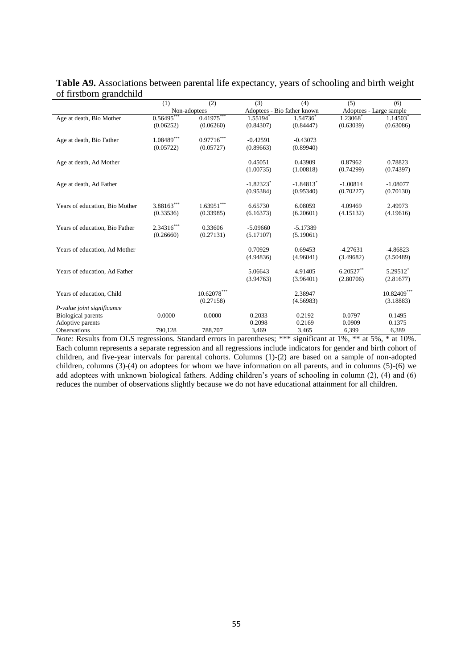|                                | (1)                      | (2)                      | (3)                     | (4)                         | (5)                     | (6)         |
|--------------------------------|--------------------------|--------------------------|-------------------------|-----------------------------|-------------------------|-------------|
|                                |                          | Non-adoptees             |                         | Adoptees - Bio father known | Adoptees - Large sample |             |
| Age at death, Bio Mother       | $0.56495$ **             | $0.41975***$             | 1.55194                 | 1.54736                     | 1.23068                 | 1.14503*    |
|                                | (0.06252)                | (0.06260)                | (0.84307)               | (0.84447)                   | (0.63039)               | (0.63086)   |
| Age at death, Bio Father       | $1.08489^{\ast\ast\ast}$ | $0.97716^{\ast\ast\ast}$ | $-0.42591$              | $-0.43073$                  |                         |             |
|                                | (0.05722)                | (0.05727)                | (0.89663)               | (0.89940)                   |                         |             |
| Age at death, Ad Mother        |                          |                          | 0.45051                 | 0.43909                     | 0.87962                 | 0.78823     |
|                                |                          |                          | (1.00735)               | (1.00818)                   | (0.74299)               | (0.74397)   |
| Age at death, Ad Father        |                          |                          | $-1.82323$ <sup>*</sup> | $-1.84813*$                 | $-1.00814$              | $-1.08077$  |
|                                |                          |                          | (0.95384)               | (0.95340)                   | (0.70227)               | (0.70130)   |
| Years of education, Bio Mother | $3.88163***$             | $1.63951^{\ast\ast\ast}$ | 6.65730                 | 6.08059                     | 4.09469                 | 2.49973     |
|                                | (0.33536)                | (0.33985)                | (6.16373)               | (6.20601)                   | (4.15132)               | (4.19616)   |
| Years of education, Bio Father | $2.34316***$             | 0.33606                  | $-5.09660$              | $-5.17389$                  |                         |             |
|                                | (0.26660)                | (0.27131)                | (5.17107)               | (5.19061)                   |                         |             |
| Years of education, Ad Mother  |                          |                          | 0.70929                 | 0.69453                     | $-4.27631$              | $-4.86823$  |
|                                |                          |                          | (4.94836)               | (4.96041)                   | (3.49682)               | (3.50489)   |
| Years of education, Ad Father  |                          |                          | 5.06643                 | 4.91405                     | $6.20527**$             | 5.29512*    |
|                                |                          |                          | (3.94763)               | (3.96401)                   | (2.80706)               | (2.81677)   |
| Years of education, Child      |                          | $10.62078***$            |                         | 2.38947                     |                         | 10.82409*** |
|                                |                          | (0.27158)                |                         | (4.56983)                   |                         | (3.18883)   |
| P-value joint significance     |                          |                          |                         |                             |                         |             |
| <b>Biological parents</b>      | 0.0000                   | 0.0000                   | 0.2033                  | 0.2192                      | 0.0797                  | 0.1495      |
| Adoptive parents               |                          |                          | 0.2098                  | 0.2169                      | 0.0909                  | 0.1375      |
| <b>Observations</b>            | 790.128                  | 788.707                  | 3,469                   | 3,465                       | 6,399                   | 6,389       |

**Table A9.** Associations between parental life expectancy, years of schooling and birth weight of firstborn grandchild

*Note:* Results from OLS regressions. Standard errors in parentheses; \*\*\* significant at 1%, \*\* at 5%, \* at 10%. Each column represents a separate regression and all regressions include indicators for gender and birth cohort of children, and five-year intervals for parental cohorts. Columns (1)-(2) are based on a sample of non-adopted children, columns  $(3)-(4)$  on adoptees for whom we have information on all parents, and in columns  $(5)-(6)$  we add adoptees with unknown biological fathers. Adding children's years of schooling in column (2), (4) and (6) reduces the number of observations slightly because we do not have educational attainment for all children.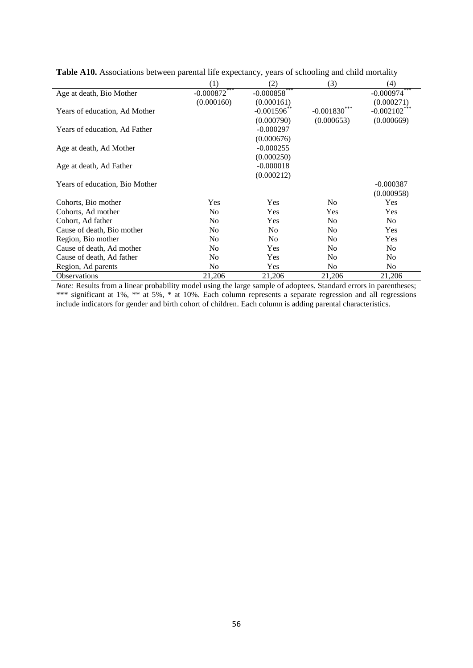|                                | (1)            | (2)             | (3)            | (4)             |
|--------------------------------|----------------|-----------------|----------------|-----------------|
| Age at death, Bio Mother       | $-0.000872***$ | $-0.000858$ *** |                | $-0.000974***$  |
|                                | (0.000160)     | (0.000161)      |                | (0.000271)      |
| Years of education, Ad Mother  |                | $-0.001596$ **  | $-0.001830$    | $-0.002102$ *** |
|                                |                | (0.000790)      | (0.000653)     | (0.000669)      |
| Years of education, Ad Father  |                | $-0.000297$     |                |                 |
|                                |                | (0.000676)      |                |                 |
| Age at death, Ad Mother        |                | $-0.000255$     |                |                 |
|                                |                | (0.000250)      |                |                 |
| Age at death, Ad Father        |                | $-0.000018$     |                |                 |
|                                |                | (0.000212)      |                |                 |
| Years of education, Bio Mother |                |                 |                | $-0.000387$     |
|                                |                |                 |                | (0.000958)      |
| Cohorts, Bio mother            | Yes            | Yes             | N <sub>0</sub> | Yes             |
| Cohorts, Ad mother             | N <sub>0</sub> | Yes             | Yes            | <b>Yes</b>      |
| Cohort, Ad father              | N <sub>0</sub> | Yes             | N <sub>0</sub> | N <sub>0</sub>  |
| Cause of death, Bio mother     | N <sub>0</sub> | N <sub>0</sub>  | N <sub>0</sub> | Yes             |
| Region, Bio mother             | N <sub>0</sub> | N <sub>0</sub>  | N <sub>0</sub> | Yes             |
| Cause of death, Ad mother      | No             | Yes             | N <sub>0</sub> | N <sub>0</sub>  |
| Cause of death, Ad father      | N <sub>0</sub> | <b>Yes</b>      | N <sub>0</sub> | N <sub>0</sub>  |
| Region, Ad parents             | N <sub>0</sub> | <b>Yes</b>      | N <sub>o</sub> | No.             |
| <b>Observations</b>            | 21,206         | 21,206          | 21,206         | 21,206          |

**Table A10.** Associations between parental life expectancy, years of schooling and child mortality

*Note:* Results from a linear probability model using the large sample of adoptees. Standard errors in parentheses; \*\*\* significant at 1%, \*\* at 5%, \* at 10%. Each column represents a separate regression and all regressions include indicators for gender and birth cohort of children. Each column is adding parental characteristics.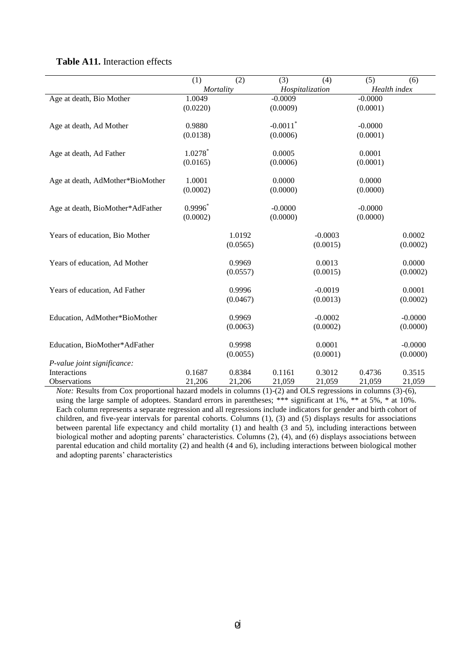|                                  | (1)                   | (2)      | (3)                    | (4)             | (5)          | (6)       |
|----------------------------------|-----------------------|----------|------------------------|-----------------|--------------|-----------|
|                                  | Mortality             |          |                        | Hospitalization | Health index |           |
| Age at death, Bio Mother         | 1.0049                |          | $-0.0009$              |                 | $-0.0000$    |           |
|                                  | (0.0220)              |          | (0.0009)               |                 | (0.0001)     |           |
| Age at death, Ad Mother          | 0.9880                |          | $-0.0011$ <sup>*</sup> |                 | $-0.0000$    |           |
|                                  | (0.0138)              |          | (0.0006)               |                 | (0.0001)     |           |
| Age at death, Ad Father          | $1.0278$ <sup>*</sup> |          | 0.0005                 |                 | 0.0001       |           |
|                                  | (0.0165)              |          | (0.0006)               |                 | (0.0001)     |           |
| Age at death, AdMother*BioMother | 1.0001                |          | 0.0000                 |                 | 0.0000       |           |
|                                  | (0.0002)              |          | (0.0000)               |                 | (0.0000)     |           |
| Age at death, BioMother*AdFather | $0.9996*$             |          | $-0.0000$              |                 | $-0.0000$    |           |
|                                  | (0.0002)              |          | (0.0000)               |                 | (0.0000)     |           |
| Years of education, Bio Mother   |                       | 1.0192   |                        | $-0.0003$       |              | 0.0002    |
|                                  |                       | (0.0565) |                        | (0.0015)        |              | (0.0002)  |
| Years of education, Ad Mother    |                       | 0.9969   |                        | 0.0013          |              | 0.0000    |
|                                  |                       | (0.0557) |                        | (0.0015)        |              | (0.0002)  |
| Years of education, Ad Father    |                       | 0.9996   |                        | $-0.0019$       |              | 0.0001    |
|                                  |                       | (0.0467) |                        | (0.0013)        |              | (0.0002)  |
| Education, AdMother*BioMother    |                       | 0.9969   |                        | $-0.0002$       |              | $-0.0000$ |
|                                  |                       | (0.0063) |                        | (0.0002)        |              | (0.0000)  |
| Education, BioMother*AdFather    |                       | 0.9998   |                        | 0.0001          |              | $-0.0000$ |
|                                  |                       | (0.0055) |                        | (0.0001)        |              | (0.0000)  |
| P-value joint significance:      |                       |          |                        |                 |              |           |
| Interactions                     | 0.1687                | 0.8384   | 0.1161                 | 0.3012          | 0.4736       | 0.3515    |
| Observations                     | 21,206                | 21,206   | 21,059                 | 21,059          | 21,059       | 21,059    |

### **Table A11.** Interaction effects

*Note:* Results from Cox proportional hazard models in columns (1)-(2) and OLS regressions in columns (3)-(6), using the large sample of adoptees. Standard errors in parentheses; \*\*\* significant at 1%, \*\* at 5%, \* at 10%. Each column represents a separate regression and all regressions include indicators for gender and birth cohort of children, and five-year intervals for parental cohorts. Columns (1), (3) and (5) displays results for associations between parental life expectancy and child mortality (1) and health (3 and 5), including interactions between biological mother and adopting parents' characteristics. Columns (2), (4), and (6) displays associations between parental education and child mortality (2) and health (4 and 6), including interactions between biological mother and adopting parents' characteristics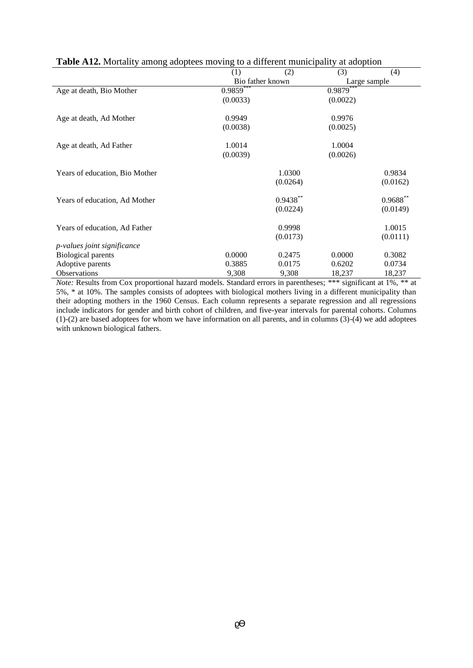| <b>There</b> is nothing unong adopted the ring to a university manierpancy<br>at auopuon |                  |            |              |            |  |  |
|------------------------------------------------------------------------------------------|------------------|------------|--------------|------------|--|--|
|                                                                                          | (1)              | (2)        | (3)          | (4)        |  |  |
|                                                                                          | Bio father known |            | Large sample |            |  |  |
| Age at death, Bio Mother                                                                 | $0.9859***$      |            | $0.9879***$  |            |  |  |
|                                                                                          | (0.0033)         |            | (0.0022)     |            |  |  |
| Age at death, Ad Mother                                                                  | 0.9949           |            | 0.9976       |            |  |  |
|                                                                                          | (0.0038)         |            | (0.0025)     |            |  |  |
| Age at death, Ad Father                                                                  | 1.0014           |            | 1.0004       |            |  |  |
|                                                                                          | (0.0039)         |            | (0.0026)     |            |  |  |
| Years of education, Bio Mother                                                           |                  | 1.0300     |              | 0.9834     |  |  |
|                                                                                          |                  | (0.0264)   |              | (0.0162)   |  |  |
| Years of education, Ad Mother                                                            |                  | $0.9438**$ |              | $0.9688**$ |  |  |
|                                                                                          |                  | (0.0224)   |              | (0.0149)   |  |  |
| Years of education, Ad Father                                                            |                  | 0.9998     |              | 1.0015     |  |  |
|                                                                                          |                  | (0.0173)   |              | (0.0111)   |  |  |
| p-values joint significance                                                              |                  |            |              |            |  |  |
| <b>Biological parents</b>                                                                | 0.0000           | 0.2475     | 0.0000       | 0.3082     |  |  |
| Adoptive parents                                                                         | 0.3885           | 0.0175     | 0.6202       | 0.0734     |  |  |
| Observations                                                                             | 9,308            | 9,308      | 18,237       | 18,237     |  |  |

# **Table A12.** Mortality among adoptees moving to a different municipality at adoption

*Note:* Results from Cox proportional hazard models. Standard errors in parentheses; \*\*\* significant at 1%, \*\* at 5%, \* at 10%. The samples consists of adoptees with biological mothers living in a different municipality than their adopting mothers in the 1960 Census. Each column represents a separate regression and all regressions include indicators for gender and birth cohort of children, and five-year intervals for parental cohorts. Columns (1)-(2) are based adoptees for whom we have information on all parents, and in columns (3)-(4) we add adoptees with unknown biological fathers.